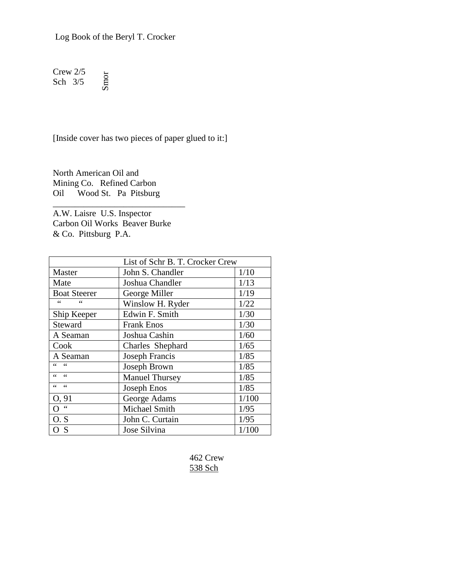Log Book of the Beryl T. Crocker

Crew 2/5 Sch 3/5 Smor

[Inside cover has two pieces of paper glued to it:]

North American Oil and Mining Co. Refined Carbon Oil Wood St. Pa Pitsburg

A.W. Laisre U.S. Inspector Carbon Oil Works Beaver Burke & Co. Pittsburg P.A.

\_\_\_\_\_\_\_\_\_\_\_\_\_\_\_\_\_\_\_\_\_\_\_\_\_\_\_\_\_\_

| List of Schr B. T. Crocker Crew |                       |       |  |  |  |
|---------------------------------|-----------------------|-------|--|--|--|
| Master                          | John S. Chandler      | 1/10  |  |  |  |
| Mate                            | Joshua Chandler       | 1/13  |  |  |  |
| <b>Boat Steerer</b>             | George Miller         | 1/19  |  |  |  |
| $\leq$                          | Winslow H. Ryder      | 1/22  |  |  |  |
| Ship Keeper                     | Edwin F. Smith        | 1/30  |  |  |  |
| Steward                         | <b>Frank Enos</b>     | 1/30  |  |  |  |
| A Seaman                        | Joshua Cashin         | 1/60  |  |  |  |
| Cook                            | Charles Shephard      | 1/65  |  |  |  |
| A Seaman                        | Joseph Francis        | 1/85  |  |  |  |
|                                 | Joseph Brown          | 1/85  |  |  |  |
| $\leq$ $\leq$<br>$\epsilon$     | <b>Manuel Thursey</b> | 1/85  |  |  |  |
| 66<br>$\leq$ $\leq$             | Joseph Enos           | 1/85  |  |  |  |
| O, 91                           | George Adams          | 1/100 |  |  |  |
| $\zeta$ $\zeta$<br>O            | Michael Smith         | 1/95  |  |  |  |
| O.S                             | John C. Curtain       | 1/95  |  |  |  |
| S                               | Jose Silvina          | 1/100 |  |  |  |

 462 Crew 538 Sch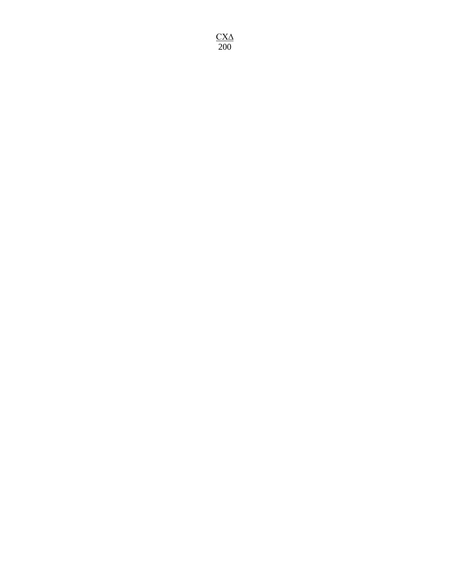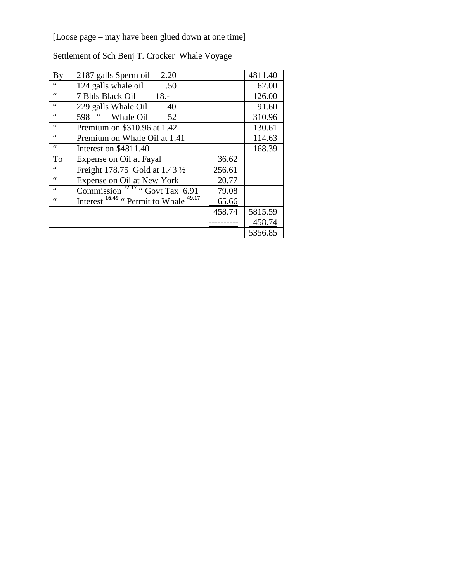[Loose page – may have been glued down at one time]

| By              | 2.20<br>2187 galls Sperm oil                                 |        | 4811.40 |
|-----------------|--------------------------------------------------------------|--------|---------|
|                 | 124 galls whale oil<br>.50                                   |        | 62.00   |
| $\zeta$ $\zeta$ | 7 Bbls Black Oil 18.-                                        |        | 126.00  |
| $\zeta$ $\zeta$ | 229 galls Whale Oil<br>.40                                   |        | 91.60   |
| 66              | 598 " Whale Oil<br>52                                        |        | 310.96  |
| 66              | Premium on \$310.96 at 1.42                                  |        | 130.61  |
| 66              | Premium on Whale Oil at 1.41                                 |        | 114.63  |
| 66              | Interest on \$4811.40                                        |        | 168.39  |
| To              | Expense on Oil at Fayal                                      | 36.62  |         |
| 66              | Freight 178.75 Gold at 1.43 1/2                              | 256.61 |         |
| 66              | Expense on Oil at New York                                   | 20.77  |         |
| $\leq$ $\leq$   | Commission <sup>72.17</sup> "Govt Tax 6.91"                  | 79.08  |         |
| 66              | Interest <sup>16.49</sup> " Permit to Whale <sup>49.17</sup> | 65.66  |         |
|                 |                                                              | 458.74 | 5815.59 |
|                 |                                                              |        | 458.74  |
|                 |                                                              |        | 5356.85 |

Settlement of Sch Benj T. Crocker Whale Voyage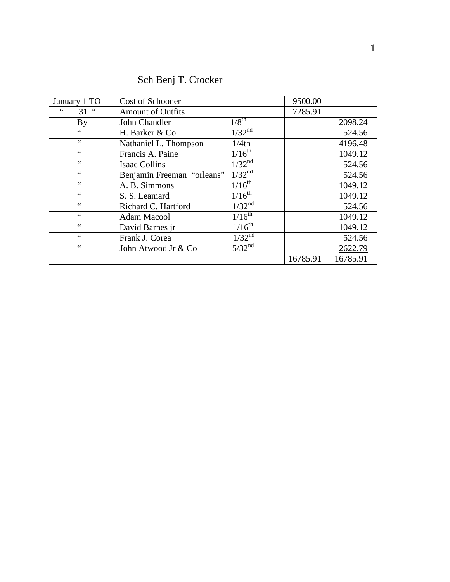| January 1 TO    | Cost of Schooner           |                    | 9500.00  |          |
|-----------------|----------------------------|--------------------|----------|----------|
| 66<br>$31$ "    | <b>Amount of Outfits</b>   |                    | 7285.91  |          |
| <b>By</b>       | John Chandler              | $1/8^{\text{th}}$  |          | 2098.24  |
| $\zeta$ $\zeta$ | H. Barker & Co.            | 1/32 <sup>nd</sup> |          | 524.56   |
| 66              | Nathaniel L. Thompson      | 1/4th              |          | 4196.48  |
| 66              | Francis A. Paine           | $1/16^{th}$        |          | 1049.12  |
| 66              | <b>Isaac Collins</b>       | 1/32 <sup>nd</sup> |          | 524.56   |
| 66              | Benjamin Freeman "orleans" | 1/32 <sup>nd</sup> |          | 524.56   |
| $\zeta$ $\zeta$ | A. B. Simmons              | $1/16^{th}$        |          | 1049.12  |
| 66              | S. S. Leamard              | $1/16^{th}$        |          | 1049.12  |
| $\zeta$ $\zeta$ | Richard C. Hartford        | 1/32 <sup>nd</sup> |          | 524.56   |
| 66              | Adam Macool                | $1/16^{th}$        |          | 1049.12  |
| $\zeta$ $\zeta$ | David Barnes jr            | $1/16^{th}$        |          | 1049.12  |
| 66              | Frank J. Corea             | 1/32 <sup>nd</sup> |          | 524.56   |
| 66              | John Atwood Jr & Co        | 5/32 <sup>nd</sup> |          | 2622.79  |
|                 |                            |                    | 16785.91 | 16785.91 |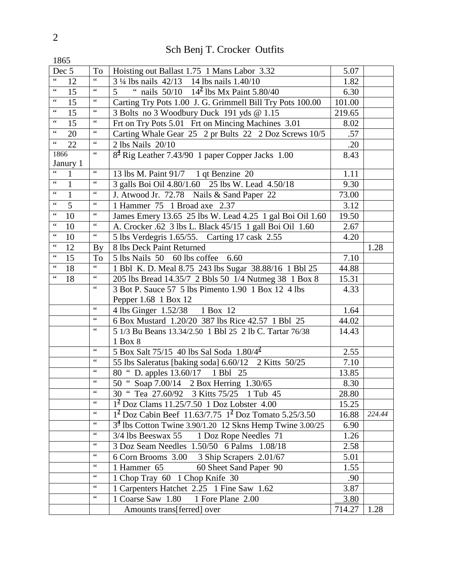| 1865                 |              |                               |                                                                            |        |        |
|----------------------|--------------|-------------------------------|----------------------------------------------------------------------------|--------|--------|
| Dec 5                |              | To                            | Hoisting out Ballast 1.75 1 Mans Labor 3.32                                | 5.07   |        |
| $\zeta$ $\zeta$      | 12           | $\zeta \, \zeta$              | 3 1/4 lbs nails 42/13 14 lbs nails 1.40/10                                 | 1.82   |        |
| $\zeta\,\zeta$       | 15           | $\zeta$ $\zeta$               | nails $50/10$ $14^2$ lbs Mx Paint 5.80/40<br>$\overline{\phantom{a}}$<br>5 | 6.30   |        |
| $\boldsymbol{\zeta}$ | 15           | $\zeta$ $\zeta$               | Carting Try Pots 1.00 J. G. Grimmell Bill Try Pots 100.00                  | 101.00 |        |
| $\zeta$ $\zeta$      | 15           | $\zeta$ $\zeta$               | 3 Bolts no 3 Woodbury Duck 191 yds @ 1.15                                  | 219.65 |        |
| $\zeta\,\zeta$       | 15           | $\zeta$ $\zeta$               | Frt on Try Pots 5.01 Frt on Mincing Machines 3.01                          | 8.02   |        |
| $\zeta$ $\zeta$      | 20           | $\zeta$ $\zeta$               | Carting Whale Gear 25 2 pr Bults 22 2 Doz Screws 10/5                      | .57    |        |
| $\zeta$ $\zeta$      | 22           | $\zeta$ $\zeta$               | 2 lbs Nails 20/10                                                          | .20    |        |
| 1866                 |              | $\zeta$ $\zeta$               | 8 <sup>4</sup> Rig Leather 7.43/90 1 paper Copper Jacks 1.00               | 8.43   |        |
|                      | Janury 1     |                               |                                                                            |        |        |
| $\zeta \, \zeta$     | 1            | $\zeta$ $\zeta$               | 13 lbs M. Paint 91/7 1 qt Benzine 20                                       | 1.11   |        |
| $\zeta$ $\zeta$      | $\mathbf{1}$ | $\zeta$ $\zeta$               | 3 galls Boi Oil 4.80/1.60 25 lbs W. Lead 4.50/18                           | 9.30   |        |
| $\zeta$ $\zeta$      | $\mathbf{1}$ | $\zeta$ $\zeta$               | J. Atwood Jr. 72.78 Nails & Sand Paper 22                                  | 73.00  |        |
| $\zeta$ $\zeta$      | 5            | $\zeta$ $\zeta$               | 1 Hammer 75 1 Broad axe 2.37                                               | 3.12   |        |
| $\zeta$ $\zeta$      | 10           | $\zeta$ $\zeta$               | James Emery 13.65 25 lbs W. Lead 4.25 1 gal Boi Oil 1.60                   | 19.50  |        |
| $\zeta$ $\zeta$      | 10           | $\zeta$ $\zeta$               | A. Crocker .62 3 lbs L. Black 45/15 1 gall Boi Oil 1.60                    | 2.67   |        |
| $\zeta$ $\zeta$      | 10           | $\zeta\,\zeta$                | 5 lbs Verdegris 1.65/55. Carting 17 cask 2.55                              | 4.20   |        |
| $\zeta$ $\zeta$      | 12           | By                            | 8 lbs Deck Paint Returned                                                  |        | 1.28   |
| $\zeta$ $\zeta$      | 15           | To                            | 5 lbs Nails 50 60 lbs coffee 6.60                                          | 7.10   |        |
| $\zeta$ $\zeta$      | 18           | $\zeta$ $\zeta$               | 1 Bbl K. D. Meal 8.75 243 lbs Sugar 38.88/16 1 Bbl 25                      | 44.88  |        |
| $\zeta$ $\zeta$      | 18           | $\zeta$ $\zeta$               | 205 lbs Bread 14.35/7 2 Bbls 50 1/4 Nutmeg 38 1 Box 8                      | 15.31  |        |
|                      |              | $\zeta$ $\zeta$               | 3 Bot P. Sauce 57 5 lbs Pimento 1.90 1 Box 12 4 lbs                        | 4.33   |        |
|                      |              |                               | Pepper 1.68 1 Box 12                                                       |        |        |
|                      |              | $\zeta$ $\zeta$               | 4 lbs Ginger 1.52/38 1 Box 12                                              | 1.64   |        |
|                      |              | $\zeta$ $\zeta$               | 6 Box Mustard 1.20/20 387 lbs Rice 42.57 1 Bbl 25                          | 44.02  |        |
|                      |              | $\zeta$ $\zeta$               | 5 1/3 Bu Beans 13.34/2.50 1 Bbl 25 2 lb C. Tartar 76/38                    | 14.43  |        |
|                      |              |                               | 1 Box 8                                                                    |        |        |
|                      |              |                               | 5 Box Salt 75/15 40 lbs Sal Soda $1.80/4^2$                                | 2.55   |        |
|                      |              | $\mbox{\bf 6}$ $\mbox{\bf 6}$ | 55 lbs Saleratus [baking soda] 6.60/12 2 Kitts 50/25                       | 7.10   |        |
|                      |              | $\zeta$ $\zeta$               | 80 " D. apples 13.60/17 1 Bbl 25                                           | 13.85  |        |
|                      |              | $\zeta$ $\zeta$               | 50 " Soap 7.00/14 2 Box Herring 1.30/65                                    | 8.30   |        |
|                      |              | $\zeta$ $\zeta$               | 30 " Tea 27.60/92 3 Kitts 75/25 1 Tub 45                                   | 28.80  |        |
|                      |              | $\zeta$ $\zeta$               | $1^2$ Doz Clams 11.25/7.50 1 Doz Lobster 4.00                              | 15.25  |        |
|                      |              | $\zeta$ $\zeta$               | $1^2$ Doz Cabin Beef 11.63/7.75 $1^2$ Doz Tomato 5.25/3.50                 | 16.88  | 224.44 |
|                      |              | $\zeta$ $\zeta$               | $34$ lbs Cotton Twine 3.90/1.20 12 Skns Hemp Twine 3.00/25                 | 6.90   |        |
|                      |              | $\zeta$ $\zeta$               | 3/4 lbs Beeswax 55 1 Doz Rope Needles 71                                   | 1.26   |        |
|                      |              | $\zeta$ $\zeta$               | 3 Doz Seam Needles 1.50/50 6 Palms 1.08/18                                 | 2.58   |        |
|                      |              | $\zeta$ $\zeta$               | 6 Corn Brooms 3.00 3 Ship Scrapers 2.01/67                                 | 5.01   |        |
|                      |              | $\zeta$ $\zeta$               | 1 Hammer 65<br>60 Sheet Sand Paper 90                                      | 1.55   |        |
|                      |              |                               | 1 Chop Tray 60 1 Chop Knife 30                                             | .90    |        |
|                      |              | $\zeta$ $\zeta$               | 1 Carpenters Hatchet 2.25 1 Fine Saw 1.62                                  | 3.87   |        |
|                      |              | $\zeta$ $\zeta$               | 1 Coarse Saw 1.80 1 Fore Plane 2.00                                        | 3.80   |        |
|                      |              |                               | Amounts trans[ferred] over                                                 | 714.27 | 1.28   |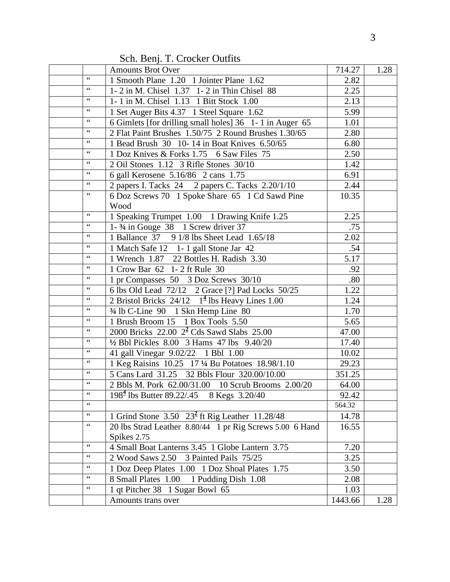Sch. Benj. T. Crocker Outfits

|                 | <b>Amounts Brot Over</b>                                            | 714.27  | 1.28 |
|-----------------|---------------------------------------------------------------------|---------|------|
| $\zeta$ $\zeta$ | 1 Smooth Plane 1.20 1 Jointer Plane 1.62                            | 2.82    |      |
| $\zeta$ $\zeta$ | 1-2 in M. Chisel 1.37 1-2 in Thin Chisel 88                         | 2.25    |      |
| $\zeta$ $\zeta$ | 1-1 in M. Chisel 1.13 1 Bitt Stock 1.00                             | 2.13    |      |
|                 | 1 Set Auger Bits 4.37 1 Steel Square 1.62                           | 5.99    |      |
| $\zeta$ $\zeta$ | 6 Gimlets [for drilling small holes] 36 1-1 in Auger 65             | 1.01    |      |
| $\zeta$ $\zeta$ | 2 Flat Paint Brushes 1.50/75 2 Round Brushes 1.30/65                | 2.80    |      |
|                 | 1 Bead Brush 30 10-14 in Boat Knives 6.50/65                        | 6.80    |      |
| $\zeta\,\zeta$  | 1 Doz Knives & Forks 1.75 6 Saw Files 75                            | 2.50    |      |
| $\zeta$ $\zeta$ | 2 Oil Stones 1.12 3 Rifle Stones 30/10                              | 1.42    |      |
| $\zeta$ $\zeta$ | 6 gall Kerosene 5.16/86 2 cans 1.75                                 | 6.91    |      |
| $\zeta$ $\zeta$ | 2 papers I. Tacks 24 2 papers C. Tacks 2.20/1/10                    | 2.44    |      |
| $\zeta$ $\zeta$ | 6 Doz Screws 70 1 Spoke Share 65 1 Cd Sawd Pine                     | 10.35   |      |
|                 | Wood                                                                |         |      |
|                 | 1 Speaking Trumpet 1.00 1 Drawing Knife 1.25                        | 2.25    |      |
| $\zeta$ $\zeta$ | 1- $\frac{3}{4}$ in Gouge 38 1 Screw driver 37                      | .75     |      |
| $\zeta\,\zeta$  | 1 Ballance 37 9 1/8 lbs Sheet Lead 1.65/18                          | 2.02    |      |
| $\zeta$ $\zeta$ | 1 Match Safe 12 1-1 gall Stone Jar 42                               | .54     |      |
| $\zeta$ $\zeta$ | 1 Wrench 1.87 22 Bottles H. Radish 3.30                             | 5.17    |      |
|                 | 1 Crow Bar 62 1-2 ft Rule 30                                        | .92     |      |
| $\zeta$ $\zeta$ | 1 pr Compasses 50 3 Doz Screws 30/10                                | .80     |      |
| $\zeta$ $\zeta$ | 6 lbs Old Lead 72/12 2 Grace [?] Pad Locks 50/25                    | 1.22    |      |
| $\zeta$ $\zeta$ | 2 Bristol Bricks $24/12 \quad 1^{\frac{4}{3}}$ lbs Heavy Lines 1.00 | 1.24    |      |
| $\zeta$ $\zeta$ | 34 lb C-Line 90 1 Skn Hemp Line 80                                  | 1.70    |      |
|                 | 1 Brush Broom 15 1 Box Tools 5.50                                   | 5.65    |      |
| $\zeta$ $\zeta$ | 2000 Bricks $22.00 \frac{2^2}{1}$ Cds Sawd Slabs $25.00$            | 47.00   |      |
| $\zeta$ $\zeta$ | 1/2 Bbl Pickles 8.00 3 Hams 47 lbs 9.40/20                          | 17.40   |      |
| $\zeta$ $\zeta$ | 41 gall Vinegar 9.02/22 1 Bbl 1.00                                  | 10.02   |      |
| $\zeta$ $\zeta$ | 1 Keg Raisins 10.25 17 1/4 Bu Potatoes 18.98/1.10                   | 29.23   |      |
| $\leq$ $\leq$   | 5 Cans Lard 31.25 32 Bbls Flour 320.00/10.00                        | 351.25  |      |
| $\zeta$ $\zeta$ | 2 Bbls M. Pork 62.00/31.00 10 Scrub Brooms 2.00/20                  | 64.00   |      |
|                 | $1984$ lbs Butter 89.22/.45 8 Kegs 3.20/40                          | 92.42   |      |
| $\zeta$ $\zeta$ |                                                                     | 564.32  |      |
| $\zeta$ $\zeta$ | 1 Grind Stone $3.50\overline{)23^2}$ ft Rig Leather 11.28/48        | 14.78   |      |
| $\zeta\,\zeta$  | 20 lbs Strad Leather 8.80/44 1 pr Rig Screws 5.00 6 Hand            | 16.55   |      |
|                 | Spikes 2.75                                                         |         |      |
| $\zeta$ $\zeta$ | 4 Small Boat Lanterns 3.45 1 Globe Lantern 3.75                     | 7.20    |      |
| $\zeta$ $\zeta$ | 2 Wood Saws 2.50 3 Painted Pails 75/25                              | 3.25    |      |
| $\zeta$ $\zeta$ | 1 Doz Deep Plates 1.00 1 Doz Shoal Plates 1.75                      | 3.50    |      |
| $\zeta$ $\zeta$ | 8 Small Plates 1.00 1 Pudding Dish 1.08                             | 2.08    |      |
| $\zeta$ $\zeta$ | 1 qt Pitcher 38 1 Sugar Bowl 65                                     | 1.03    |      |
|                 | Amounts trans over                                                  | 1443.66 | 1.28 |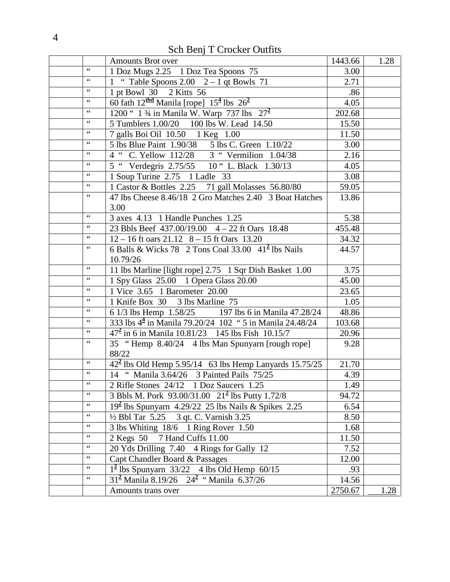Sch Benj T Crocker Outfits

|                               | <b>Amounts Brot over</b>                                                                  | 1443.66 | 1.28 |
|-------------------------------|-------------------------------------------------------------------------------------------|---------|------|
| $\,$ 6 $\,$                   | 1 Doz Mugs 2.25 1 Doz Tea Spoons 75                                                       | 3.00    |      |
| $\zeta$ $\zeta$               | 1 " Table Spoons 2.00 $2 - 1$ qt Bowls 71                                                 | 2.71    |      |
| $\,$ 6 $\,$                   | 1 pt Bowl 30 2 Kitts 56                                                                   | .86     |      |
|                               | 60 fath $12^{\text{thd}}$ Manila [rope] $15^{\frac{4}{3}}$ lbs $26^{\frac{2}{3}}$         | 4.05    |      |
|                               | 1200 " 1 3/4 in Manila W. Warp 737 lbs $27^2$                                             | 202.68  |      |
| $\zeta$ $\zeta$               | 5 Tumblers 1.00/20  100 lbs W. Lead 14.50                                                 | 15.50   |      |
| $\zeta$ $\zeta$               | 7 galls Boi Oil 10.50 1 Keg 1.00                                                          | 11.50   |      |
| $\zeta$ $\zeta$               | 5 lbs Blue Paint 1.90/38 5 lbs C. Green 1.10/22                                           | 3.00    |      |
| $\zeta$ $\zeta$               | 4 " C. Yellow 112/28 3 " Vermilion 1.04/38<br>5 " Verdegris 2.75/55 10 " L. Black 1.30/13 | 2.16    |      |
| $\zeta$ $\zeta$               |                                                                                           | 4.05    |      |
| $\zeta$ $\zeta$               | 1 Soup Turine 2.75 1 Ladle 33                                                             | 3.08    |      |
| $\zeta$ $\zeta$               | 1 Castor & Bottles 2.25 71 gall Molasses 56.80/80                                         | 59.05   |      |
| $\zeta$ $\zeta$               | 47 lbs Cheese 8.46/18 2 Gro Matches 2.40 3 Boat Hatches                                   | 13.86   |      |
|                               | 3.00                                                                                      |         |      |
|                               | 3 axes 4.13 1 Handle Punches 1.25                                                         | 5.38    |      |
| $\zeta$ $\zeta$               | 23 Bbls Beef 437.00/19.00 4 - 22 ft Oars 18.48                                            | 455.48  |      |
| $\zeta$ $\zeta$               | $12 - 16$ ft oars $21.12$ $8 - 15$ ft Oars 13.20                                          | 34.32   |      |
| $\zeta$ $\zeta$               | 6 Balls & Wicks 78 2 Tons Coal 33.00 $41^2$ lbs Nails                                     | 44.57   |      |
|                               | 10.79/26                                                                                  |         |      |
|                               | 11 lbs Marline [light rope] 2.75 1 Sqr Dish Basket 1.00                                   | 3.75    |      |
| $\zeta$ $\zeta$               | 1 Spy Glass 25.00 1 Opera Glass 20.00                                                     | 45.00   |      |
| $\zeta$ $\zeta$               | 1 Vice 3.65 1 Barometer 20.00                                                             | 23.65   |      |
| $\zeta$ $\zeta$               | 1 Knife Box 30 3 lbs Marline 75                                                           | 1.05    |      |
| $\zeta$ $\zeta$               | 6 1/3 lbs Hemp 1.58/25 197 lbs 6 in Manila 47.28/24                                       | 48.86   |      |
| $\,$ 6 $\,$                   | 333 lbs 4 <sup>4</sup> in Manila 79.20/24 102 " 5 in Manila 24.48/24                      | 103.68  |      |
| $\zeta$ $\zeta$               | $47^2$ in 6 in Manila 10.81/23 145 lbs Fish 10.15/7                                       | 20.96   |      |
|                               | 35 "Hemp 8.40/24 4 lbs Man Spunyarn [rough rope]                                          | 9.28    |      |
|                               | 88/22                                                                                     |         |      |
| $\zeta$ $\zeta$               | $\frac{1}{2^2}$ lbs Old Hemp 5.95/14 63 lbs Hemp Lanyards 15.75/25                        | 21.70   |      |
|                               | 14 " Manila 3.64/26 3 Painted Pails 75/25                                                 | 4.39    |      |
| $\zeta\,\zeta$                | 2 Rifle Stones 24/12 1 Doz Saucers 1.25                                                   | 1.49    |      |
| $\zeta$ $\zeta$               | 3 Bbls M. Pork 93.00/31.00 21 <sup>2</sup> lbs Putty 1.72/8                               | 94.72   |      |
|                               | $192$ lbs Spunyarn 4.29/22 25 lbs Nails & Spikes 2.25                                     | 6.54    |      |
| $\zeta$ $\zeta$               | $\frac{1}{2}$ Bbl Tar 5.25 3 qt. C. Varnish 3.25                                          | 8.50    |      |
| $\zeta$ $\zeta$               | 3 lbs Whiting 18/6 1 Ring Rover 1.50                                                      | 1.68    |      |
| $\mbox{\bf 6}$ $\mbox{\bf 6}$ | 2 Kegs 50 7 Hand Cuffs 11.00                                                              | 11.50   |      |
| $\zeta$ $\zeta$               | 20 Yds Drilling 7.40 4 Rings for Gally 12                                                 | 7.52    |      |
| $\zeta$ $\zeta$               | Capt Chandler Board & Passages                                                            | 12.00   |      |
| $\zeta$ $\zeta$               | $12$ lbs Spunyarn 33/22 4 lbs Old Hemp 60/15                                              | .93     |      |
|                               | $312$ Manila 8.19/26 $242$ "Manila 6.37/26                                                | 14.56   |      |
|                               | Amounts trans over                                                                        | 2750.67 | 1.28 |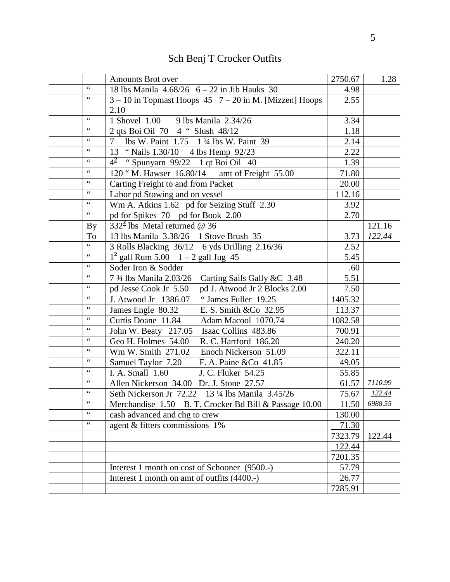|                 | <b>Amounts Brot over</b>                                                        | 2750.67 | 1.28    |
|-----------------|---------------------------------------------------------------------------------|---------|---------|
| $\zeta$ $\zeta$ | 18 lbs Manila $4.68/26$ 6 - 22 in Jib Hauks 30                                  | 4.98    |         |
| $\zeta$ $\zeta$ | $3 - 10$ in Topmast Hoops 45 $7 - 20$ in M. [Mizzen] Hoops                      | 2.55    |         |
|                 | 2.10                                                                            |         |         |
| $\zeta$ $\zeta$ | 1 Shovel 1.00 9 lbs Manila 2.34/26                                              | 3.34    |         |
| $\zeta$ $\zeta$ | 2 qts Boi Oil 70 4 " Slush 48/12                                                | 1.18    |         |
| $\zeta$ $\zeta$ | 7 lbs W. Paint 1.75 1 3⁄4 lbs W. Paint 39                                       | 2.14    |         |
| $\zeta$ $\zeta$ | 13 "Nails 1.30/10 4 lbs Hemp 92/23                                              | 2.22    |         |
| $\zeta$ $\zeta$ | $4^2$ "Spunyarn 99/22 1 qt Boi Oil 40                                           | 1.39    |         |
| $\zeta$ $\zeta$ | $\overline{120}$ "M. Hawser $16.80/14$ amt of Freight 55.00                     | 71.80   |         |
| $\zeta\,\zeta$  | Carting Freight to and from Packet                                              | 20.00   |         |
| $\zeta$ $\zeta$ | Labor pd Stowing and on vessel                                                  | 112.16  |         |
| $\zeta$ $\zeta$ | Wm A. Atkins 1.62 pd for Seizing Stuff 2.30                                     | 3.92    |         |
| $\zeta$ $\zeta$ | pd for Spikes 70 pd for Book 2.00                                               | 2.70    |         |
| <b>By</b>       | $332^2$ lbs Metal returned @ 36                                                 |         | 121.16  |
| To              | 13 lbs Manila 3.38/26 1 Stove Brush 35                                          | 3.73    | 122.44  |
| $\zeta$ $\zeta$ | 3 Rolls Blacking 36/12 6 yds Drilling 2.16/36                                   | 2.52    |         |
| $\zeta$ $\zeta$ | $1^2$ gall Rum 5.00 $1 - 2$ gall Jug 45                                         | 5.45    |         |
| $\,$ 6 $\,$     | Soder Iron & Sodder                                                             | .60     |         |
| $\leq$ $\leq$   | 7 <sup>3</sup> / <sub>4</sub> lbs Manila 2.03/26<br>Carting Sails Gally &C 3.48 | 5.51    |         |
| $\zeta$ $\zeta$ | pd J. Atwood Jr 2 Blocks 2.00<br>pd Jesse Cook Jr 5.50                          | 7.50    |         |
| $\zeta$ $\zeta$ | "James Fuller 19.25<br>J. Atwood Jr 1386.07                                     | 1405.32 |         |
| $\zeta$ $\zeta$ | James Engle 80.32<br>E. S. Smith & Co 32.95                                     | 113.37  |         |
| $\zeta$ $\zeta$ | Curtis Doane 11.84<br>Adam Macool 1070.74                                       | 1082.58 |         |
| $\zeta$ $\zeta$ | Isaac Collins 483.86<br>John W. Beaty 217.05                                    | 700.91  |         |
|                 | Geo H. Holmes 54.00<br>R. C. Hartford 186.20                                    | 240.20  |         |
| $\zeta$ $\zeta$ | Wm W. Smith 271.02<br>Enoch Nickerson 51.09                                     | 322.11  |         |
| $\zeta$ $\zeta$ | Samuel Taylor 7.20<br>F. A. Paine & Co 41.85                                    | 49.05   |         |
| $\zeta$ $\zeta$ | I. A. Small 1.60<br>J. C. Fluker 54.25                                          | 55.85   |         |
| $\zeta$ $\zeta$ | Allen Nickerson 34.00 Dr. J. Stone 27.57                                        | 61.57   | 7110.99 |
| $\zeta$ $\zeta$ | Seth Nickerson Jr 72.22 13 1/4 lbs Manila 3.45/26                               | 75.67   | 122.44  |
| $\leq$ $\leq$   | Merchandise 1.50 B. T. Crocker Bd Bill & Passage 10.00                          | 11.50   | 6988.55 |
| $\zeta$ $\zeta$ | cash advanced and chg to crew                                                   | 130.00  |         |
| $\zeta$ $\zeta$ | agent & fitters commissions 1%                                                  | 71.30   |         |
|                 |                                                                                 | 7323.79 | 122.44  |
|                 |                                                                                 | 122.44  |         |
|                 |                                                                                 | 7201.35 |         |
|                 | Interest 1 month on cost of Schooner (9500.-)                                   | 57.79   |         |
|                 | Interest 1 month on amt of outfits (4400.-)                                     | 26.77   |         |
|                 |                                                                                 | 7285.91 |         |

# Sch Benj T Crocker Outfits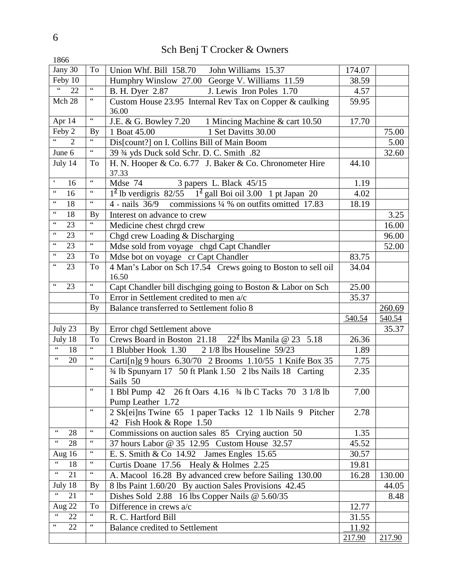## Sch Benj T Crocker & Owners

| 1866                                             |                                                    |                                                                                       |        |        |
|--------------------------------------------------|----------------------------------------------------|---------------------------------------------------------------------------------------|--------|--------|
| Jany 30                                          | To                                                 | Union Whf. Bill 158.70 John Williams 15.37                                            | 174.07 |        |
| Feby 10                                          |                                                    | Humphry Winslow 27.00 George V. Williams 11.59                                        | 38.59  |        |
| $\boldsymbol{\zeta}$ $\boldsymbol{\zeta}$<br>22  | $\zeta$ $\zeta$                                    | B. H. Dyer 2.87<br>J. Lewis Iron Poles 1.70                                           | 4.57   |        |
| Mch 28                                           |                                                    | Custom House 23.95 Internal Rev Tax on Copper & caulking<br>36.00                     | 59.95  |        |
| Apr 14                                           | $\zeta\,\zeta$                                     | J.E. & G. Bowley 7.20 1 Mincing Machine & cart 10.50                                  | 17.70  |        |
| Feby 2                                           | <b>By</b>                                          | 1 Set Davitts 30.00<br>1 Boat 45.00                                                   |        | 75.00  |
| $\overline{2}$                                   | $\zeta\,\zeta$                                     | Dis[count?] on I. Collins Bill of Main Boom                                           |        | 5.00   |
| June 6                                           | $\zeta\,\zeta$                                     | 39 34 yds Duck sold Schr. D. C. Smith .82                                             |        | 32.60  |
| July 14                                          | To                                                 | H. N. Hooper & Co. 6.77 J. Baker & Co. Chronometer Hire<br>37.33                      | 44.10  |        |
| $\epsilon$<br>16                                 | $\textcolor{red}{\bullet}\textcolor{red}{\bullet}$ | Mdse 74<br>3 papers L. Black 45/15                                                    | 1.19   |        |
| $\zeta\,\zeta$<br>16                             | $\zeta$ $\zeta$                                    | $1^2$ lb verdigris 82/55 $1^2$ gall Boi oil 3.00 1 pt Japan 20                        | 4.02   |        |
| $\zeta\,\zeta$<br>18                             | $\zeta\,\zeta$                                     | $\frac{4 \text{ m}}{2}$ mails 36/9 commissions 1/4 % on outfits omitted 17.83         | 18.19  |        |
| $\zeta\,\zeta$<br>18                             | <b>By</b>                                          | Interest on advance to crew                                                           |        | 3.25   |
| $\zeta\,\zeta$<br>23                             | $\overline{\mathbf{G}}$                            | Medicine chest chrgd crew                                                             |        | 16.00  |
| $\zeta\,\zeta$<br>23                             |                                                    | Chgd crew Loading & Discharging                                                       |        | 96.00  |
| $\zeta\,\zeta$<br>23                             | $\zeta\,\zeta$                                     | Mdse sold from voyage chgd Capt Chandler                                              |        | 52.00  |
| $\zeta\,\zeta$<br>23                             | To                                                 | Mdse bot on voyage cr Capt Chandler                                                   | 83.75  |        |
| $\zeta\,\zeta$<br>23                             | To                                                 | 4 Man's Labor on Sch 17.54 Crews going to Boston to sell oil<br>16.50                 | 34.04  |        |
| $\zeta\,\zeta$<br>23                             | $\mathbf{G}$                                       | Capt Chandler bill dischging going to Boston & Labor on Sch                           | 25.00  |        |
|                                                  | To                                                 | Error in Settlement credited to men a/c                                               | 35.37  |        |
|                                                  | <b>By</b>                                          | Balance transferred to Settlement folio 8                                             |        | 260.69 |
|                                                  |                                                    |                                                                                       | 540.54 | 540.54 |
| July 23                                          | <b>By</b>                                          | Error chgd Settlement above                                                           |        | 35.37  |
| July 18                                          | To                                                 | Crews Board in Boston 21.18 $22^2$ lbs Manila @ 23 5.18                               | 26.36  |        |
| $\zeta\,\zeta$<br>18                             | $\zeta$ $\zeta$                                    | 1 Blubber Hook 1.30 2 1/8 lbs Houseline 59/23                                         | 1.89   |        |
| $\,6.6$<br>20                                    | $\zeta$ $\zeta$                                    | Carti[n]g 9 hours 6.30/70 2 Brooms 1.10/55 1 Knife Box 35                             | 7.75   |        |
|                                                  | $\zeta$ $\zeta$                                    | 3⁄4 lb Spunyarn 17 50 ft Plank 1.50 2 lbs Nails 18 Carting<br>Sails 50                | 2.35   |        |
|                                                  | $\zeta$ $\zeta$                                    | 1 Bbl Pump 42 26 ft Oars 4.16 3/4 lb C Tacks 70 3 1/8 lb<br>Pump Leather 1.72         | 7.00   |        |
|                                                  | $\,$ 4 $\,$                                        | 2 Sk[ei]ns Twine 65 1 paper Tacks 12 1 lb Nails 9 Pitcher<br>42 Fish Hook & Rope 1.50 | 2.78   |        |
| $\,$ 6 $\,$<br>28                                | $\zeta$ $\zeta$                                    | Commissions on auction sales 85 Crying auction 50                                     | 1.35   |        |
| $\zeta\,\zeta$<br>28                             | $\zeta\,\zeta$                                     | 37 hours Labor @ 35 12.95 Custom House 32.57                                          | 45.52  |        |
| Aug 16                                           |                                                    | E. S. Smith & Co $14.92$ James Engles 15.65                                           | 30.57  |        |
| $\zeta\,\zeta$<br>18                             |                                                    | Curtis Doane 17.56 Healy & Holmes 2.25                                                | 19.81  |        |
| $\boldsymbol{\zeta} \, \boldsymbol{\zeta}$<br>21 | $\boldsymbol{\zeta} \, \boldsymbol{\zeta}$         | A. Macool 16.28 By advanced crew before Sailing 130.00                                | 16.28  | 130.00 |
| July 18                                          | <b>By</b>                                          | 8 lbs Paint 1.60/20 By auction Sales Provisions 42.45                                 |        | 44.05  |
| $\zeta$ $\zeta$<br>21                            |                                                    | Dishes Sold 2.88 16 lbs Copper Nails @ 5.60/35                                        |        | 8.48   |
| Aug 22                                           | To                                                 | Difference in crews $a/c$                                                             | 12.77  |        |
| $\zeta$ $\zeta$<br>22                            | $\zeta\,\zeta$                                     | R. C. Hartford Bill                                                                   | 31.55  |        |
| $\zeta\,\zeta$<br>22                             | $\,$ 6 $\,$                                        | <b>Balance credited to Settlement</b>                                                 | 11.92  |        |
|                                                  |                                                    |                                                                                       | 217.90 | 217.90 |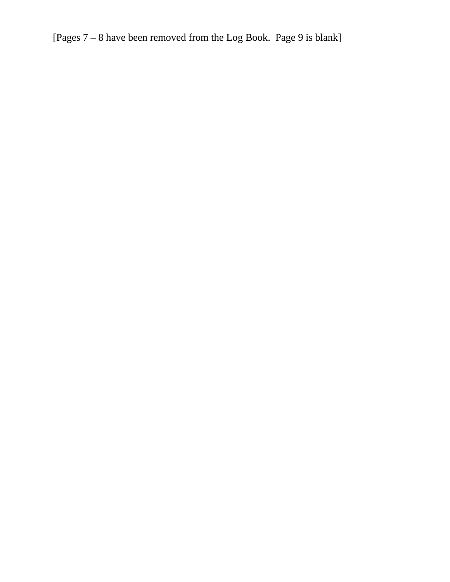[Pages 7 – 8 have been removed from the Log Book. Page 9 is blank]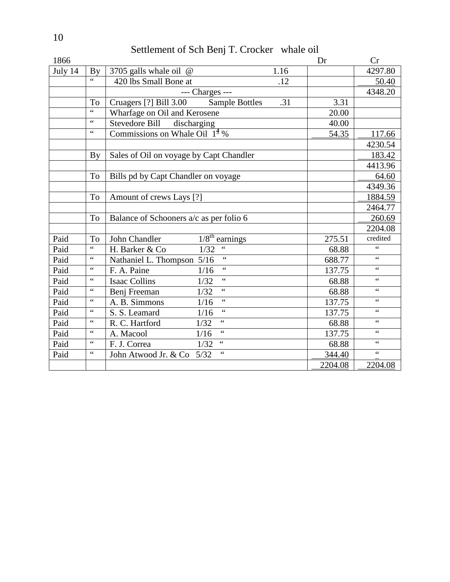Settlement of Sch Benj T. Crocker whale oil

| 1866    |                          |                                                             |      | Dr      | Cr              |
|---------|--------------------------|-------------------------------------------------------------|------|---------|-----------------|
| July 14 | <b>By</b>                | 3705 galls whale oil @                                      | 1.16 |         | 4297.80         |
|         | $\overline{\mathcal{L}}$ | 420 lbs Small Bone at                                       | .12  |         | 50.40           |
|         |                          | --- Charges ---                                             |      |         | 4348.20         |
|         | To                       | Cruagers [?] Bill 3.00<br><b>Sample Bottles</b>             | .31  | 3.31    |                 |
|         | $\overline{\mathbf{66}}$ | Wharfage on Oil and Kerosene                                |      | 20.00   |                 |
|         | $\zeta$ $\zeta$          | Stevedore Bill<br>discharging                               |      | 40.00   |                 |
|         | $\zeta$ $\zeta$          | Commissions on Whale Oil $1^{\frac{4}{3}}$ %                |      | 54.35   | 117.66          |
|         |                          |                                                             |      |         | 4230.54         |
|         | By                       | Sales of Oil on voyage by Capt Chandler                     |      |         | 183.42          |
|         |                          |                                                             |      |         | 4413.96         |
|         | To                       | Bills pd by Capt Chandler on voyage                         |      |         | 64.60           |
|         |                          |                                                             |      |         | 4349.36         |
|         | To                       | Amount of crews Lays [?]                                    |      |         | 1884.59         |
|         |                          |                                                             |      |         | 2464.77         |
|         | T <sub>o</sub>           | Balance of Schooners a/c as per folio 6                     |      |         | 260.69          |
|         |                          |                                                             |      |         | 2204.08         |
| Paid    | To                       | $1/8$ <sup>th</sup> earnings<br>John Chandler               |      | 275.51  | credited        |
| Paid    | $\overline{\mathbf{66}}$ | $\zeta\,\zeta$<br>1/32<br>H. Barker & Co                    |      | 68.88   | 66              |
| Paid    | $\zeta$ $\zeta$          | $\overline{\mathbf{66}}$<br>$5/16$<br>Nathaniel L. Thompson |      | 688.77  | $\zeta$ $\zeta$ |
| Paid    | $\zeta\,\zeta$           | $\overline{\mathbf{66}}$<br>1/16<br>F. A. Paine             |      | 137.75  | 66              |
| Paid    | $\zeta$ $\zeta$          | $\epsilon$<br><b>Isaac Collins</b><br>1/32                  |      | 68.88   | $\zeta$ $\zeta$ |
| Paid    | $\zeta$ $\zeta$          | $\overline{\mathcal{L}}$<br>1/32<br>Benj Freeman            |      | 68.88   | $\zeta\,\zeta$  |
| Paid    | $\zeta\,\zeta$           | $\zeta$ $\zeta$<br>A. B. Simmons<br>$1/16$                  |      | 137.75  | $\zeta$ $\zeta$ |
| Paid    | $\zeta\,\zeta$           | $\zeta$ $\zeta$<br>S. S. Leamard<br>1/16                    |      | 137.75  | $\zeta\,\zeta$  |
| Paid    | $\zeta$ $\zeta$          | $\zeta$ $\zeta$<br>R. C. Hartford<br>1/32                   |      | 68.88   | $\zeta$ $\zeta$ |
| Paid    | $\zeta$ $\zeta$          | $\overline{\mathbf{G}}$<br>1/16<br>A. Macool                |      | 137.75  | 66              |
| Paid    | $\zeta$ $\zeta$          | $\zeta$ $\zeta$<br>1/32<br>F. J. Correa                     |      | 68.88   | $\zeta$ $\zeta$ |
| Paid    | $\zeta$ $\zeta$          | 66<br>5/32<br>John Atwood Jr. & Co                          |      | 344.40  | $\zeta\,\zeta$  |
|         |                          |                                                             |      | 2204.08 | 2204.08         |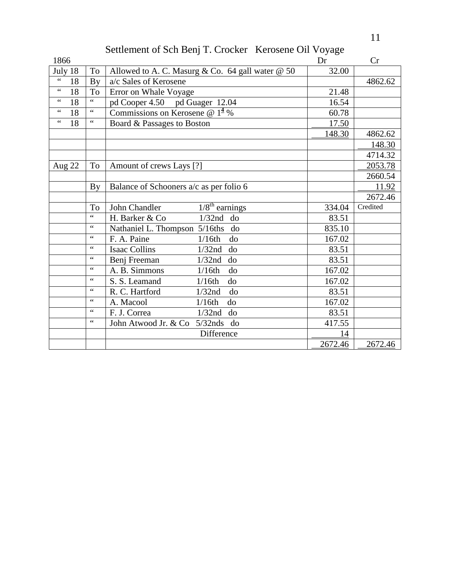# Settlement of Sch Benj T. Crocker Kerosene Oil Voyage

| 1866                   |                     |                                                      | Dr      | Cr       |
|------------------------|---------------------|------------------------------------------------------|---------|----------|
| July 18                | To                  | Allowed to A. C. Masurg & Co. 64 gall water @ 50     | 32.00   |          |
| $\zeta \, \zeta$<br>18 | <b>By</b>           | a/c Sales of Kerosene                                |         | 4862.62  |
| $\zeta$ $\zeta$<br>18  | To                  | Error on Whale Voyage                                | 21.48   |          |
| $\zeta$ $\zeta$<br>18  | $\overline{\cdots}$ | pd Cooper 4.50 pd Guager 12.04                       | 16.54   |          |
| $\zeta$ $\zeta$<br>18  | $\zeta$ $\zeta$     | Commissions on Kerosene @ $14$ %                     | 60.78   |          |
| $\zeta$ $\zeta$<br>18  | $\zeta$ $\zeta$     | Board & Passages to Boston                           | 17.50   |          |
|                        |                     |                                                      | 148.30  | 4862.62  |
|                        |                     |                                                      |         | 148.30   |
|                        |                     |                                                      |         | 4714.32  |
| <b>Aug 22</b>          | To                  | Amount of crews Lays [?]                             |         | 2053.78  |
|                        |                     |                                                      |         | 2660.54  |
|                        | By                  | Balance of Schooners a/c as per folio 6              |         | 11.92    |
|                        |                     |                                                      |         | 2672.46  |
|                        | To                  | $\sqrt{1/8}$ <sup>th</sup> earnings<br>John Chandler | 334.04  | Credited |
|                        | 66                  | H. Barker & Co<br>$1/32$ nd do                       | 83.51   |          |
|                        | $\zeta$ $\zeta$     | Nathaniel L. Thompson 5/16ths<br>do                  | 835.10  |          |
|                        | 66                  | F. A. Paine<br>1/16th<br>do                          | 167.02  |          |
|                        | $\zeta$ $\zeta$     | <b>Isaac Collins</b><br>$1/32$ nd<br>do              | 83.51   |          |
|                        | $\zeta$ $\zeta$     | Benj Freeman<br>1/32nd<br>do                         | 83.51   |          |
|                        | $\mbox{\bf 6}$      | A. B. Simmons<br>1/16th<br>do                        | 167.02  |          |
|                        | $\zeta$ $\zeta$     | do<br>S. S. Leamand<br>1/16th                        | 167.02  |          |
|                        | $\zeta$ $\zeta$     | R. C. Hartford<br>$1/32$ nd<br>do                    | 83.51   |          |
|                        | $\zeta$ $\zeta$     | A. Macool<br>1/16th<br>do                            | 167.02  |          |
|                        | $\zeta$ $\zeta$     | F. J. Correa<br>1/32nd<br>do                         | 83.51   |          |
|                        | $\zeta$ $\zeta$     | John Atwood Jr. & Co 5/32nds<br>do                   | 417.55  |          |
|                        |                     | Difference                                           | 14      |          |
|                        |                     |                                                      | 2672.46 | 2672.46  |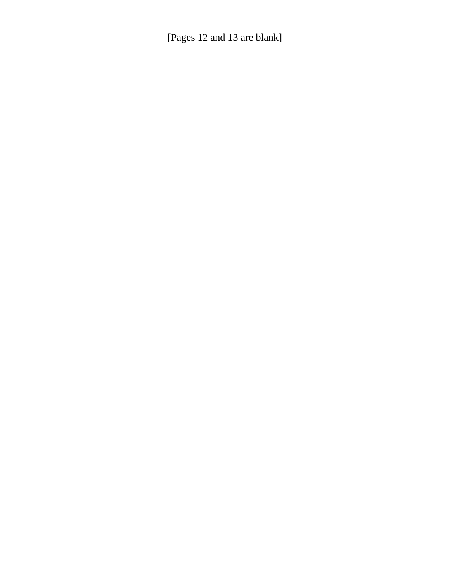[Pages 12 and 13 are blank]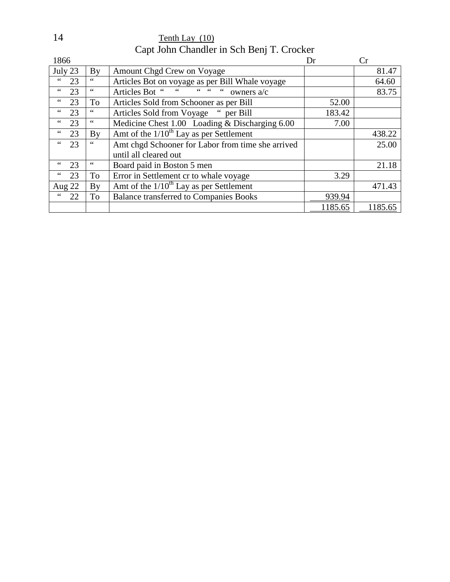14 Tenth Lay (10) Capt John Chandler in Sch Benj T. Crocker

| 1866                  |                        |                                                   | Dr      | Cr      |
|-----------------------|------------------------|---------------------------------------------------|---------|---------|
| July 23               | $\mathbf{By}$          | Amount Chgd Crew on Voyage                        |         | 81.47   |
| $\leq$ $\leq$<br>23   | $\zeta$ $\zeta$        | Articles Bot on voyage as per Bill Whale voyage   |         | 64.60   |
| $\,6\,6$<br>23        | $\leq$ $\leq$          | $66 - 66$<br>Articles Bot "<br>owners a/c<br>66   |         | 83.75   |
| $\zeta$ $\zeta$<br>23 | To                     | Articles Sold from Schooner as per Bill           | 52.00   |         |
| 23                    | 66                     | Articles Sold from Voyage " per Bill              | 183.42  |         |
| 23<br>$\leq \leq$     | $\leq$ $\leq$          | Medicine Chest 1.00 Loading & Discharging 6.00    | 7.00    |         |
| $\leq \leq$<br>23     | $\mathbf{B}\mathbf{v}$ | Amt of the $1/10^{th}$ Lay as per Settlement      |         | 438.22  |
| 23<br>$\leq \leq$     |                        | Amt chgd Schooner for Labor from time she arrived |         | 25.00   |
|                       |                        | until all cleared out                             |         |         |
| 23<br>66              | 66                     | Board paid in Boston 5 men                        |         | 21.18   |
| 66<br>23              | To                     | Error in Settlement cr to whale voyage            | 3.29    |         |
| Aug 22                | By                     | Amt of the $1/10^{th}$ Lay as per Settlement      |         | 471.43  |
| $\leq$ $\leq$<br>22   | To                     | <b>Balance transferred to Companies Books</b>     | 939.94  |         |
|                       |                        |                                                   | 1185.65 | 1185.65 |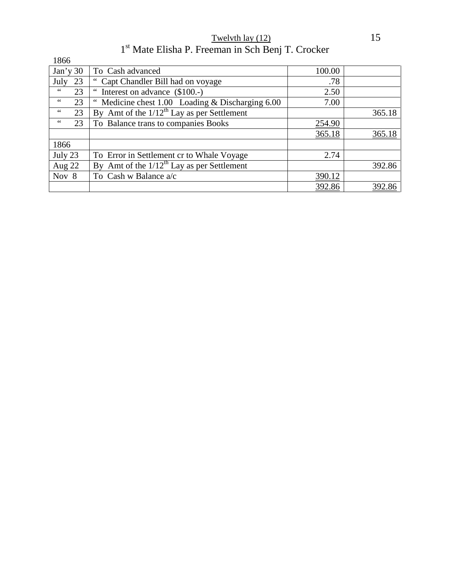Twelvth lay  $(12)$  15 1<sup>st</sup> Mate Elisha P. Freeman in Sch Benj T. Crocker

| 1866                 |                                                    |        |        |
|----------------------|----------------------------------------------------|--------|--------|
| Jan'y30              | To Cash advanced                                   | 100.00 |        |
| 23<br>July           | " Capt Chandler Bill had on voyage                 | .78    |        |
| $\,$ 6 6 $\,$<br>23  | Interest on advance (\$100.-)                      | 2.50   |        |
| $\leq \leq$<br>23    | Medicine chest $1.00$ Loading & Discharging $6.00$ | 7.00   |        |
| $\leq$ $\leq$<br>23  | By Amt of the $1/12^{th}$ Lay as per Settlement    |        | 365.18 |
| $\zeta\,\zeta$<br>23 | To Balance trans to companies Books                | 254.90 |        |
|                      |                                                    | 365.18 | 365.18 |
| 1866                 |                                                    |        |        |
| July 23              | To Error in Settlement cr to Whale Voyage          | 2.74   |        |
| Aug $22$             | By Amt of the $1/12^{th}$ Lay as per Settlement    |        | 392.86 |
| Nov 8                | To Cash w Balance a/c                              | 390.12 |        |
|                      |                                                    | 392.86 | 392.86 |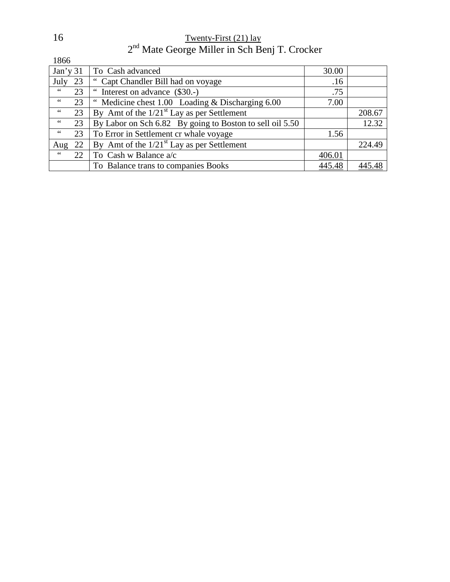16 Twenty-First (21) lay 2<sup>nd</sup> Mate George Miller in Sch Benj T. Crocker

1866

| Jan'y31       |    | To Cash advanced                                         | 30.00  |        |
|---------------|----|----------------------------------------------------------|--------|--------|
| July 23       |    | " Capt Chandler Bill had on voyage                       | .16    |        |
| 66            | 23 | " Interest on advance (\$30.-)                           | .75    |        |
| $\,$ 6 6 $\,$ | 23 | " Medicine chest 1.00 Loading & Discharging 6.00         | 7.00   |        |
| $\,$ 6 6 $\,$ | 23 | By Amt of the $1/21st$ Lay as per Settlement             |        | 208.67 |
| 66            | 23 | By Labor on Sch 6.82 By going to Boston to sell oil 5.50 |        | 12.32  |
| $\leq$ $\leq$ | 23 | To Error in Settlement cr whale voyage                   | 1.56   |        |
| Aug           | 22 | By Amt of the $1/21st$ Lay as per Settlement             |        | 224.49 |
| $\leq$ $\leq$ | 22 | To Cash w Balance a/c                                    | 406.01 |        |
|               |    | To Balance trans to companies Books                      | 445.48 | 445.48 |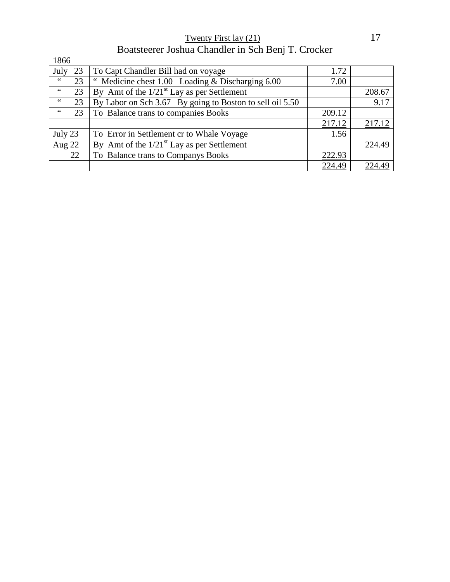Twenty First lay (21) 17 Boatsteerer Joshua Chandler in Sch Benj T. Crocker

| 1866                 |                                                          |        |        |
|----------------------|----------------------------------------------------------|--------|--------|
| July<br>23           | To Capt Chandler Bill had on voyage                      | 1.72   |        |
| 66<br>23             | " Medicine chest 1.00 Loading & Discharging 6.00         | 7.00   |        |
| $\,$ 6 $\,$<br>23    | By Amt of the $1/21st$ Lay as per Settlement             |        | 208.67 |
| 66<br>23             | By Labor on Sch 3.67 By going to Boston to sell oil 5.50 |        | 9.17   |
| $\zeta\,\zeta$<br>23 | To Balance trans to companies Books                      | 209.12 |        |
|                      |                                                          | 217.12 | 217.12 |
| July 23              | To Error in Settlement cr to Whale Voyage                | 1.56   |        |
| Aug $22$             | By Amt of the $1/21st$ Lay as per Settlement             |        | 224.49 |
| 22                   | To Balance trans to Companys Books                       | 222.93 |        |
|                      |                                                          | 224.49 | 224.49 |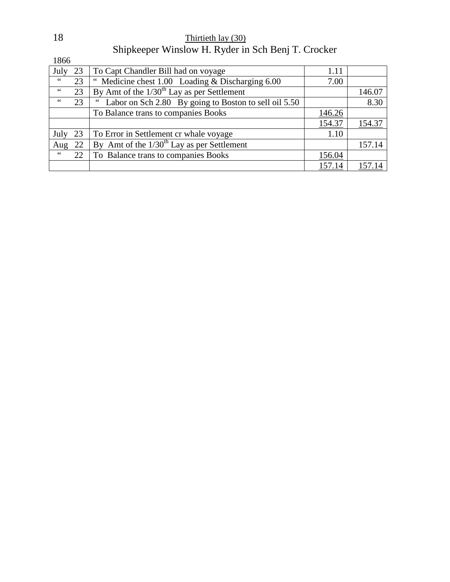|               |    | $\mu$ bulphceper $\mu$ more $\mu$ . It is not the best being the crocker |        |        |
|---------------|----|--------------------------------------------------------------------------|--------|--------|
| 1866          |    |                                                                          |        |        |
| July          | 23 | To Capt Chandler Bill had on voyage                                      | 1.11   |        |
| $\,66$        | 23 | " Medicine chest 1.00 Loading & Discharging 6.00                         | 7.00   |        |
| 66            | 23 | By Amt of the $1/30^{th}$ Lay as per Settlement                          |        | 146.07 |
| 66            | 23 | Labor on Sch 2.80 By going to Boston to sell oil 5.50                    |        | 8.30   |
|               |    | To Balance trans to companies Books                                      | 146.26 |        |
|               |    |                                                                          | 154.37 | 154.37 |
| July          | 23 | To Error in Settlement cr whale voyage                                   | 1.10   |        |
| Aug           | 22 | By Amt of the $1/30^{th}$ Lay as per Settlement                          |        | 157.14 |
| $\,$ 6 6 $\,$ | 22 | To Balance trans to companies Books                                      | 156.04 |        |
|               |    |                                                                          | 157.14 | 157.14 |

| 18 | Thirtieth lay (30)                                 |
|----|----------------------------------------------------|
|    | Shipkeeper Winslow H. Ryder in Sch Benj T. Crocker |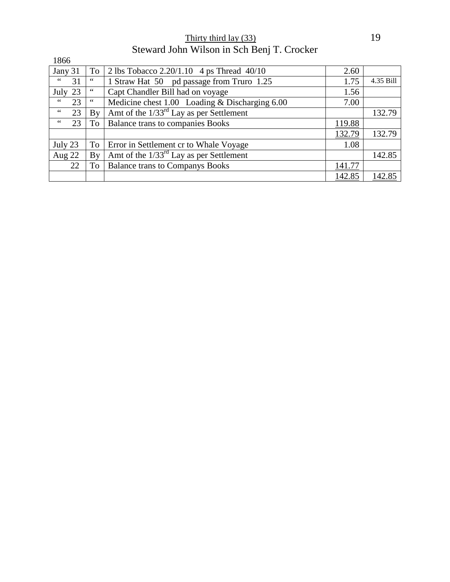Thirty third lay (33) 19 Steward John Wilson in Sch Benj T. Crocker

| 1866                |    |                                                |        |           |
|---------------------|----|------------------------------------------------|--------|-----------|
| Jany 31             | To | 2 lbs Tobacco $2.20/1.10$ 4 ps Thread $40/10$  | 2.60   |           |
| 66<br>31            | 66 | 1 Straw Hat 50 pd passage from Truro 1.25      | 1.75   | 4.35 Bill |
| 23<br>July          | 66 | Capt Chandler Bill had on voyage               | 1.56   |           |
| $\leq$ $\leq$<br>23 | 66 | Medicine chest 1.00 Loading & Discharging 6.00 | 7.00   |           |
| $\leq$ $\leq$<br>23 | By | Amt of the $1/33^{rd}$ Lay as per Settlement   |        | 132.79    |
| 66<br>23            | To | <b>Balance trans to companies Books</b>        | 119.88 |           |
|                     |    |                                                | 132.79 | 132.79    |
| July 23             | To | Error in Settlement cr to Whale Voyage         | 1.08   |           |
| Aug $22$            | By | Amt of the $1/33^{rd}$ Lay as per Settlement   |        | 142.85    |
| 22                  | To | <b>Balance trans to Companys Books</b>         | 141.77 |           |
|                     |    |                                                | 142.85 | 142.85    |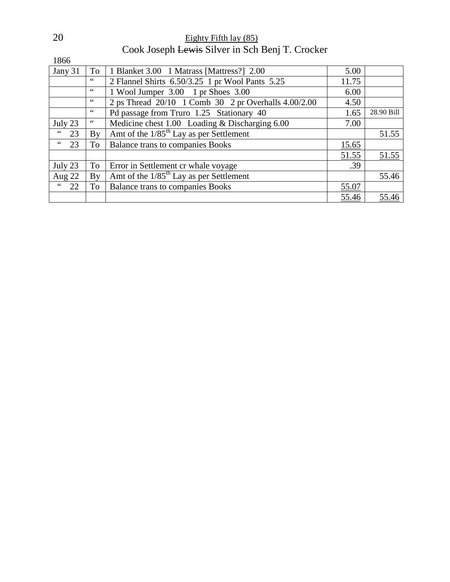| 20 | Eighty Fifth lay $(85)$                         |
|----|-------------------------------------------------|
|    | Cook Joseph Lewis Silver in Sch Benj T. Crocker |

1866

| Jany 31                     | To                    | 1 Blanket 3.00 1 Matrass [Mattress?] 2.00             | 5.00  |            |
|-----------------------------|-----------------------|-------------------------------------------------------|-------|------------|
|                             | 66                    | 2 Flannel Shirts 6.50/3.25 1 pr Wool Pants 5.25       | 11.75 |            |
|                             | 66                    | 1 Wool Jumper 3.00 1 pr Shoes 3.00                    | 6.00  |            |
|                             | 66                    | 2 ps Thread 20/10 1 Comb 30 2 pr Overhalls 4.00/2.00  | 4.50  |            |
|                             | 66                    | Pd passage from Truro 1.25 Stationary 40              | 1.65  | 28.90 Bill |
| July 23                     | 66                    | Medicine chest 1.00 Loading & Discharging 6.00        | 7.00  |            |
| $\epsilon$ $\epsilon$<br>23 | <b>B</b> <sub>V</sub> | Amt of the $1/85$ <sup>th</sup> Lay as per Settlement |       | 51.55      |
| $\,$ 6 $\,$<br>23           | To                    | <b>Balance trans to companies Books</b>               | 15.65 |            |
|                             |                       |                                                       | 51.55 | 51.55      |
| July 23                     | To                    | Error in Settlement cr whale voyage                   | .39   |            |
| Aug 22                      | By                    | Amt of the $1/85^{\text{th}}$ Lay as per Settlement   |       | 55.46      |
| 22                          | <b>To</b>             | <b>Balance trans to companies Books</b>               | 55.07 |            |
|                             |                       |                                                       | 55.46 | 55.46      |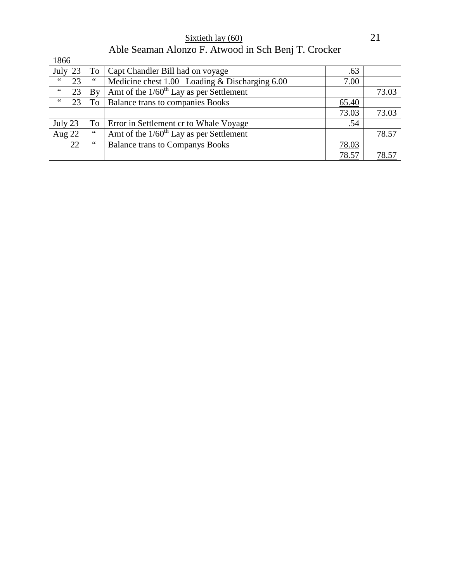Sixtieth lay  $(60)$  21 Able Seaman Alonzo F. Atwood in Sch Benj T. Crocker

| 1866                |    |                                                       |       |       |
|---------------------|----|-------------------------------------------------------|-------|-------|
| July<br>23          | To | Capt Chandler Bill had on voyage                      | .63   |       |
| 66<br>23            | 66 | Medicine chest 1.00 Loading & Discharging 6.00        | 7.00  |       |
| $\leq$ $\leq$<br>23 | By | Amt of the $1/60$ <sup>th</sup> Lay as per Settlement |       | 73.03 |
| $\leq$ $\leq$<br>23 | To | <b>Balance trans to companies Books</b>               | 65.40 |       |
|                     |    |                                                       | 73.03 | 73.03 |
| July 23             | To | Error in Settlement cr to Whale Voyage                | .54   |       |
| Aug 22              | 66 | Amt of the $1/60th$ Lay as per Settlement             |       | 78.57 |
| 22                  | 66 | <b>Balance trans to Companys Books</b>                | 78.03 |       |
|                     |    |                                                       | 78.57 | 78.57 |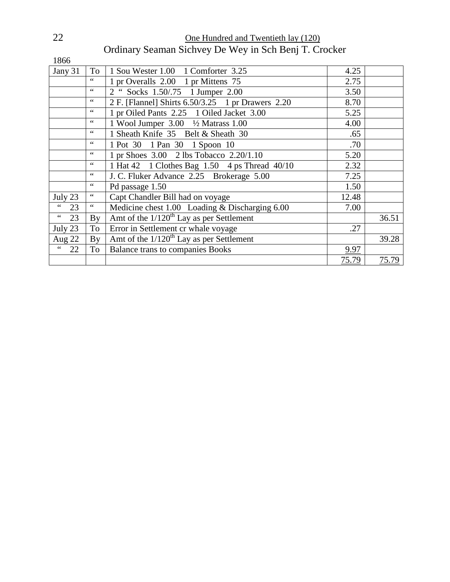| 22 | One Hundred and Twentieth lay (120)                   |
|----|-------------------------------------------------------|
|    | Ordinary Seaman Sichvey De Wey in Sch Benj T. Crocker |

| 1866                  |                 |                                                             |       |       |
|-----------------------|-----------------|-------------------------------------------------------------|-------|-------|
| Jany 31               | To              | 1 Sou Wester 1.00 1 Comforter 3.25                          | 4.25  |       |
|                       | 66              | 1 pr Overalls 2.00 1 pr Mittens 75                          | 2.75  |       |
|                       | 66              | 2 " Socks 1.50/.75 1 Jumper 2.00                            | 3.50  |       |
|                       | 66              | 2 F. [Flannel] Shirts 6.50/3.25 1 pr Drawers 2.20           | 8.70  |       |
|                       | $\leq$ $\leq$   | 1 pr Oiled Pants 2.25 1 Oiled Jacket 3.00                   | 5.25  |       |
|                       | $\,$ 4 $\,$     | 1 Wool Jumper 3.00 <sup>1</sup> / <sub>2</sub> Matrass 1.00 | 4.00  |       |
|                       | 66              | 1 Sheath Knife 35 Belt & Sheath 30                          | .65   |       |
|                       | $\,66$          | 1 Pot 30 1 Pan 30 1 Spoon 10                                | .70   |       |
|                       | $\zeta \zeta$   | 1 pr Shoes 3.00 2 lbs Tobacco 2.20/1.10                     | 5.20  |       |
|                       | $\leq$ $\leq$   | 1 Hat 42 1 Clothes Bag 1.50 4 ps Thread 40/10               | 2.32  |       |
|                       | $\leq$ $\leq$   | J. C. Fluker Advance 2.25 Brokerage 5.00                    | 7.25  |       |
|                       | $\,66$          | Pd passage 1.50                                             | 1.50  |       |
| July 23               |                 | Capt Chandler Bill had on voyage                            | 12.48 |       |
| 66<br>23              | $\zeta$ $\zeta$ | Medicine chest 1.00 Loading & Discharging 6.00              | 7.00  |       |
| $\zeta$ $\zeta$<br>23 | By              | Amt of the $1/120$ <sup>th</sup> Lay as per Settlement      |       | 36.51 |
| July 23               | To              | Error in Settlement cr whale voyage                         | .27   |       |
| Aug 22                | By              | Amt of the $1/120^{th}$ Lay as per Settlement               |       | 39.28 |
| $\zeta$ $\zeta$<br>22 | To              | <b>Balance trans to companies Books</b>                     | 9.97  |       |
|                       |                 |                                                             | 75.79 | 75.79 |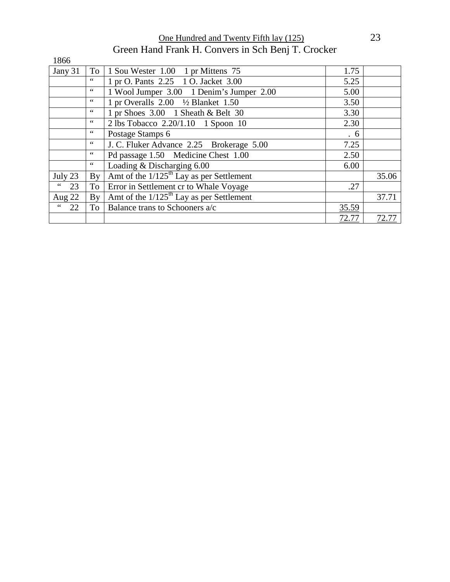One Hundred and Twenty Fifth lay (125) 23 Green Hand Frank H. Convers in Sch Benj T. Crocker

| 1866     |                 |                                                        |       |       |
|----------|-----------------|--------------------------------------------------------|-------|-------|
| Jany 31  | To              | 1 Sou Wester 1.00 1 pr Mittens 75                      | 1.75  |       |
|          | $\zeta$ $\zeta$ | 1 pr O. Pants 2.25 1 O. Jacket 3.00                    | 5.25  |       |
|          | $\leq$ $\leq$   | 1 Wool Jumper 3.00 1 Denim's Jumper 2.00               | 5.00  |       |
|          | $\zeta$ $\zeta$ | 1 pr Overalls $2.00 \frac{1}{2}$ Blanket 1.50          | 3.50  |       |
|          | 66              | 1 pr Shoes 3.00 1 Sheath & Belt 30                     | 3.30  |       |
|          | 66              | 2 lbs Tobacco 2.20/1.10 1 Spoon 10                     | 2.30  |       |
|          | 66              | Postage Stamps 6                                       | .6    |       |
|          | $\zeta$ $\zeta$ | J. C. Fluker Advance 2.25 Brokerage 5.00               | 7.25  |       |
|          | 66              | Pd passage 1.50 Medicine Chest 1.00                    | 2.50  |       |
|          | $\zeta$ $\zeta$ | Loading & Discharging 6.00                             | 6.00  |       |
| July 23  | By              | Amt of the $1/125$ <sup>th</sup> Lay as per Settlement |       | 35.06 |
| 66<br>23 | To              | Error in Settlement cr to Whale Voyage                 | .27   |       |
| Aug 22   | By              | Amt of the $1/125$ <sup>th</sup> Lay as per Settlement |       | 37.71 |
| 66<br>22 | To 1            | Balance trans to Schooners a/c                         | 35.59 |       |
|          |                 |                                                        | 72.77 | 72.77 |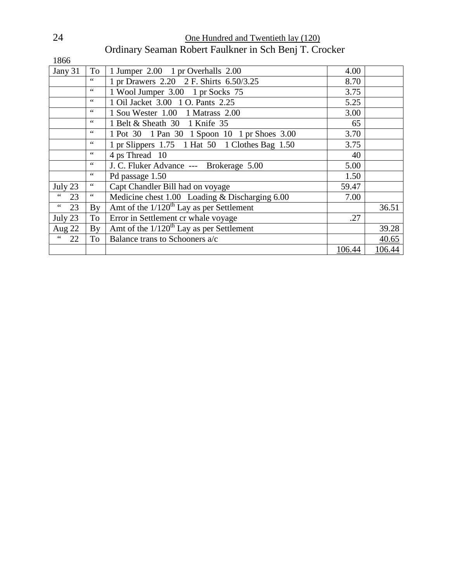| 24<br>One Hundred and Twentieth lay (120) |                                                        |  |
|-------------------------------------------|--------------------------------------------------------|--|
|                                           | Ordinary Seaman Robert Faulkner in Sch Benj T. Crocker |  |

| 1866                                |                 |                                                        |        |        |
|-------------------------------------|-----------------|--------------------------------------------------------|--------|--------|
| Jany 31                             | To              | 1 Jumper 2.00 1 pr Overhalls 2.00                      | 4.00   |        |
|                                     | 66              | 1 pr Drawers 2.20 2 F. Shirts 6.50/3.25                | 8.70   |        |
|                                     | $\zeta$ $\zeta$ | 1 Wool Jumper 3.00 1 pr Socks 75                       | 3.75   |        |
|                                     | $\,66$          | 1 Oil Jacket 3.00 1 O. Pants 2.25                      | 5.25   |        |
|                                     | 66              | 1 Sou Wester 1.00 1 Matrass 2.00                       | 3.00   |        |
|                                     | $\zeta \zeta$   | 1 Belt & Sheath 30 1 Knife 35                          | 65     |        |
|                                     | 66              | 1 Pot 30 1 Pan 30 1 Spoon 10 1 pr Shoes 3.00           | 3.70   |        |
|                                     | $\zeta$ $\zeta$ | 1 pr Slippers 1.75 1 Hat 50 1 Clothes Bag 1.50         | 3.75   |        |
|                                     | 66              | 4 ps Thread 10                                         | 40     |        |
|                                     | 66              | J. C. Fluker Advance --- Brokerage 5.00                | 5.00   |        |
|                                     | $\zeta$ $\zeta$ | Pd passage 1.50                                        | 1.50   |        |
| July 23                             | $\leq$ $\leq$   | Capt Chandler Bill had on voyage                       | 59.47  |        |
| $\,$ 6 $\,$<br>23                   |                 | Medicine chest 1.00 Loading & Discharging 6.00         | 7.00   |        |
| $\mbox{\bf 6}$ $\mbox{\bf 6}$<br>23 | By              | Amt of the $1/120$ <sup>th</sup> Lay as per Settlement |        | 36.51  |
| July 23                             | To              | Error in Settlement cr whale voyage                    | .27    |        |
| Aug 22                              | <b>By</b>       | Amt of the $1/120^{th}$ Lay as per Settlement          |        | 39.28  |
| $\zeta$ $\zeta$<br>22               | To              | Balance trans to Schooners a/c                         |        | 40.65  |
|                                     |                 |                                                        | 106.44 | 106.44 |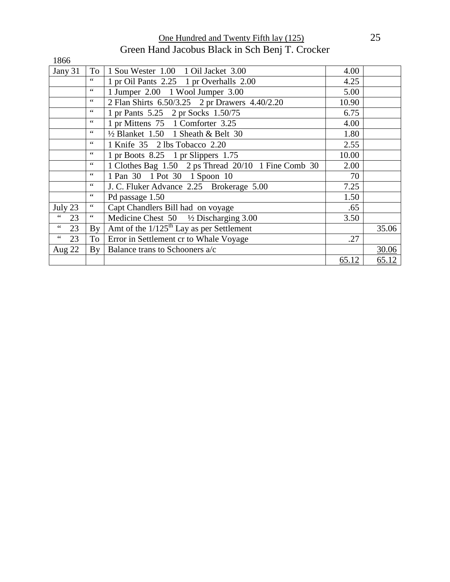One Hundred and Twenty Fifth lay (125) 25 Green Hand Jacobus Black in Sch Benj T. Crocker

| 1866                  |                 |                                                     |       |       |
|-----------------------|-----------------|-----------------------------------------------------|-------|-------|
| Jany 31               | To              | 1 Sou Wester 1.00 1 Oil Jacket 3.00                 | 4.00  |       |
|                       | 66              | 1 pr Oil Pants 2.25 1 pr Overhalls 2.00             | 4.25  |       |
|                       | $\zeta$ $\zeta$ | 1 Jumper 2.00 1 Wool Jumper 3.00                    | 5.00  |       |
|                       | $\zeta$ $\zeta$ | 2 Flan Shirts 6.50/3.25 2 pr Drawers 4.40/2.20      | 10.90 |       |
|                       | $\zeta$ $\zeta$ | 1 pr Pants 5.25 2 pr Socks 1.50/75                  | 6.75  |       |
|                       | $\zeta$ $\zeta$ | 1 pr Mittens 75 1 Comforter 3.25                    | 4.00  |       |
|                       | $\zeta$ $\zeta$ | $\frac{1}{2}$ Blanket 1.50 1 Sheath & Belt 30       | 1.80  |       |
|                       | 66              | 1 Knife 35 2 lbs Tobacco 2.20                       | 2.55  |       |
|                       | 66              | 1 pr Boots $8.25$ 1 pr Slippers 1.75                | 10.00 |       |
|                       | $\zeta$ $\zeta$ | 1 Clothes Bag 1.50 2 ps Thread 20/10 1 Fine Comb 30 | 2.00  |       |
|                       | $\leq$ $\leq$   | 1 Pan 30 1 Pot 30 1 Spoon 10                        | 70    |       |
|                       | $\zeta$ $\zeta$ | J. C. Fluker Advance 2.25 Brokerage 5.00            | 7.25  |       |
|                       | 66              | Pd passage 1.50                                     | 1.50  |       |
| July 23               |                 | Capt Chandlers Bill had on voyage                   | .65   |       |
| $\zeta$ $\zeta$<br>23 | $\leq$ $\leq$   | Medicine Chest $50 \frac{1}{2}$ Discharging 3.00    | 3.50  |       |
| $\,$ 6 $\,$<br>23     | By              | Amt of the $1/125^{th}$ Lay as per Settlement       |       | 35.06 |
| $\zeta$ $\zeta$<br>23 | To              | Error in Settlement cr to Whale Voyage              | .27   |       |
| Aug 22                | By              | Balance trans to Schooners a/c                      |       | 30.06 |
|                       |                 |                                                     | 65.12 | 65.12 |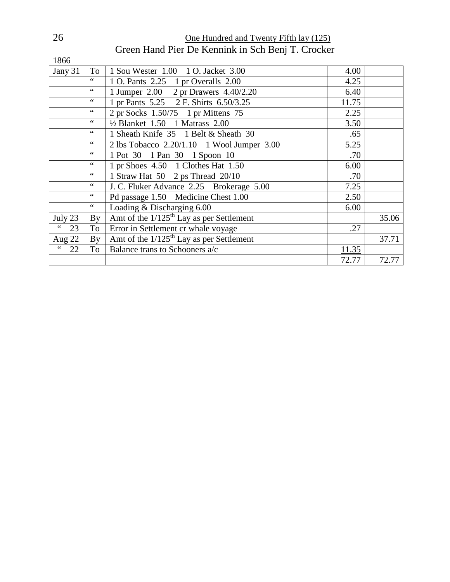26 **One Hundred and Twenty Fifth lay (125)** Green Hand Pier De Kennink in Sch Benj T. Crocker

| 1866                  |                        |                                                        |       |       |
|-----------------------|------------------------|--------------------------------------------------------|-------|-------|
| Jany 31               | To                     | 1 Sou Wester 1.00 1 O. Jacket 3.00                     | 4.00  |       |
|                       | 66                     | 1 O. Pants 2.25 1 pr Overalls 2.00                     | 4.25  |       |
|                       | 66                     | 1 Jumper 2.00 2 pr Drawers 4.40/2.20                   | 6.40  |       |
|                       | $\mbox{4}$ $\mbox{4}$  | 1 pr Pants 5.25 2 F. Shirts 6.50/3.25                  | 11.75 |       |
|                       | $\,66$                 | 2 pr Socks 1.50/75 1 pr Mittens 75                     | 2.25  |       |
|                       | 66                     | $\frac{1}{2}$ Blanket 1.50 1 Matrass 2.00              | 3.50  |       |
|                       | 66                     | 1 Sheath Knife 35 1 Belt & Sheath 30                   | .65   |       |
|                       | $\mbox{4}$ $\mbox{4}$  | 2 lbs Tobacco 2.20/1.10 1 Wool Jumper 3.00             | 5.25  |       |
|                       | $\mbox{4}$ $\mbox{4}$  | 1 Pot 30 1 Pan 30 1 Spoon 10                           | .70   |       |
|                       | 66                     | 1 pr Shoes 4.50 1 Clothes Hat 1.50                     | 6.00  |       |
|                       | 66                     | 1 Straw Hat 50 2 ps Thread 20/10                       | .70   |       |
|                       | $\,66$                 | J. C. Fluker Advance 2.25 Brokerage 5.00               | 7.25  |       |
|                       | $\mbox{4}$ $\mbox{4}$  | Pd passage 1.50 Medicine Chest 1.00                    | 2.50  |       |
|                       | $\zeta$ $\zeta$        | Loading & Discharging 6.00                             | 6.00  |       |
| July 23               | By                     | Amt of the $1/125$ <sup>th</sup> Lay as per Settlement |       | 35.06 |
| $\zeta$ $\zeta$<br>23 | To                     | Error in Settlement cr whale voyage                    | .27   |       |
| Aug $22$              | $\mathbf{B}\mathbf{v}$ | Amt of the $1/125$ <sup>th</sup> Lay as per Settlement |       | 37.71 |
| $\zeta$ $\zeta$<br>22 | To                     | Balance trans to Schooners a/c                         | 11.35 |       |
|                       |                        |                                                        | 72.77 | 72.77 |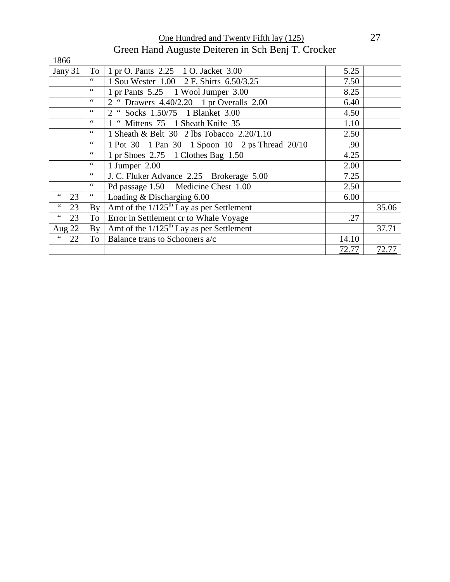One Hundred and Twenty Fifth lay (125) 27 Green Hand Auguste Deiteren in Sch Benj T. Crocker

| 1866                  |                        |                                                        |       |       |
|-----------------------|------------------------|--------------------------------------------------------|-------|-------|
| Jany 31               | To                     | 1 pr O. Pants 2.25 1 O. Jacket 3.00                    | 5.25  |       |
|                       | 66                     | 1 Sou Wester 1.00 2 F. Shirts 6.50/3.25                | 7.50  |       |
|                       | 66                     | 1 pr Pants 5.25 1 Wool Jumper 3.00                     | 8.25  |       |
|                       | 66                     | 2 " Drawers 4.40/2.20 1 pr Overalls 2.00               | 6.40  |       |
|                       | $\zeta$ $\zeta$        | 2 " Socks 1.50/75 1 Blanket 3.00                       | 4.50  |       |
|                       | $\zeta$ $\zeta$        | 1 " Mittens 75 1 Sheath Knife 35                       | 1.10  |       |
|                       | $\zeta$ $\zeta$        | 1 Sheath & Belt 30 2 lbs Tobacco 2.20/1.10             | 2.50  |       |
|                       | 66                     | 1 Pot 30 1 Pan 30 1 Spoon 10 2 ps Thread 20/10         | .90   |       |
|                       | $\zeta$ $\zeta$        | 1 pr Shoes 2.75 1 Clothes Bag 1.50                     | 4.25  |       |
|                       | $\zeta$ $\zeta$        | 1 Jumper 2.00                                          | 2.00  |       |
|                       | $\zeta$ $\zeta$        | J. C. Fluker Advance 2.25 Brokerage 5.00               | 7.25  |       |
|                       | $\zeta$ $\zeta$        | Pd passage 1.50 Medicine Chest 1.00                    | 2.50  |       |
| 66<br>23              | $\zeta$ $\zeta$        | Loading & Discharging 6.00                             | 6.00  |       |
| $\leq \leq$<br>23     | $\mathbf{B}\mathbf{v}$ | Amt of the $1/125$ <sup>th</sup> Lay as per Settlement |       | 35.06 |
| $\zeta$ $\zeta$<br>23 | To                     | Error in Settlement cr to Whale Voyage                 | .27   |       |
| Aug 22                | By                     | Amt of the $1/125^{th}$ Lay as per Settlement          |       | 37.71 |
| 66<br>22              | To                     | Balance trans to Schooners a/c                         | 14.10 |       |
|                       |                        |                                                        | 72.77 | 72.77 |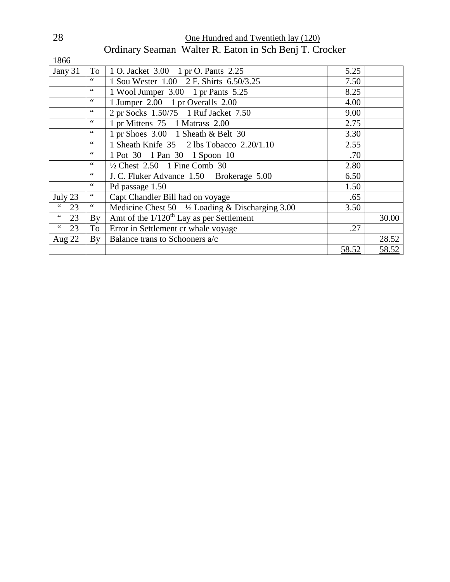| 28 | One Hundred and Twentieth lay (120) |                                                        |  |
|----|-------------------------------------|--------------------------------------------------------|--|
|    |                                     | Ordinary Seaman Walter R. Eaton in Sch Benj T. Crocker |  |

| 1866                                |                       |                                                            |       |       |
|-------------------------------------|-----------------------|------------------------------------------------------------|-------|-------|
| Jany 31                             | To                    | 1 O. Jacket 3.00 1 pr O. Pants 2.25                        | 5.25  |       |
|                                     | 66                    | 1 Sou Wester 1.00 2 F. Shirts 6.50/3.25                    | 7.50  |       |
|                                     | $\mbox{4}$ $\mbox{4}$ | 1 Wool Jumper 3.00 1 pr Pants 5.25                         | 8.25  |       |
|                                     | $\zeta$ $\zeta$       | 1 Jumper 2.00 1 pr Overalls 2.00                           | 4.00  |       |
|                                     | $\,66$                | 2 pr Socks 1.50/75 1 Ruf Jacket 7.50                       | 9.00  |       |
|                                     | $\zeta$ $\zeta$       | 1 pr Mittens 75 1 Matrass 2.00                             | 2.75  |       |
|                                     | $\zeta$ $\zeta$       | 1 pr Shoes 3.00 1 Sheath & Belt 30                         | 3.30  |       |
|                                     | $\zeta$ $\zeta$       | 1 Sheath Knife 35 2 lbs Tobacco 2.20/1.10                  | 2.55  |       |
|                                     | 66                    | 1 Pot 30 1 Pan 30 1 Spoon 10                               | .70   |       |
|                                     | $\zeta$ $\zeta$       | $\frac{1}{2}$ Chest 2.50 1 Fine Comb 30                    | 2.80  |       |
|                                     | $\zeta$ $\zeta$       | J. C. Fluker Advance 1.50 Brokerage 5.00                   | 6.50  |       |
|                                     | $\,66$                | Pd passage 1.50                                            | 1.50  |       |
| July 23                             | $\,$ 6 $\,$           | Capt Chandler Bill had on voyage                           | .65   |       |
| 66<br>23                            | $\zeta$ $\zeta$       | Medicine Chest 50 $\frac{1}{2}$ Loading & Discharging 3.00 | 3.50  |       |
| $\mbox{\bf 6}$ $\mbox{\bf 6}$<br>23 | By                    | Amt of the $1/120^{th}$ Lay as per Settlement              |       | 30.00 |
| $\zeta$ $\zeta$<br>23               | To                    | Error in Settlement cr whale voyage                        | .27   |       |
| Aug 22                              | By                    | Balance trans to Schooners a/c                             |       | 28.52 |
|                                     |                       |                                                            | 58.52 | 58.52 |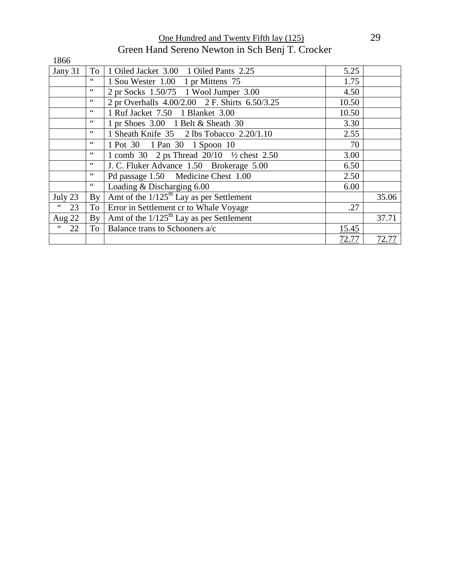One Hundred and Twenty Fifth lay (125) 29 Green Hand Sereno Newton in Sch Benj T. Crocker

| 1866                                        |                 |                                                                      |       |       |
|---------------------------------------------|-----------------|----------------------------------------------------------------------|-------|-------|
| Jany 31                                     | To              | 1 Oiled Jacket 3.00 1 Oiled Pants 2.25                               | 5.25  |       |
|                                             | $\zeta$ $\zeta$ | 1 Sou Wester 1.00 1 pr Mittens 75                                    | 1.75  |       |
|                                             | 66              | 2 pr Socks 1.50/75 1 Wool Jumper 3.00                                | 4.50  |       |
|                                             | $\zeta$ $\zeta$ | 2 pr Overhalls 4.00/2.00 2 F. Shirts 6.50/3.25                       | 10.50 |       |
|                                             | $\leq$ $\leq$   | 1 Ruf Jacket 7.50 1 Blanket 3.00                                     | 10.50 |       |
|                                             | $\zeta$ $\zeta$ | 1 pr Shoes $3.00$ 1 Belt & Sheath 30                                 | 3.30  |       |
|                                             | $\zeta$ $\zeta$ | 1 Sheath Knife 35 2 lbs Tobacco 2.20/1.10                            | 2.55  |       |
|                                             | $\zeta$ $\zeta$ | 1 Pot 30 1 Pan 30 1 Spoon 10                                         | 70    |       |
|                                             | 66              | 1 comb 30 2 ps Thread $20/10$ <sup>1</sup> / <sub>2</sub> chest 2.50 | 3.00  |       |
|                                             | $\leq$ $\leq$   | J. C. Fluker Advance 1.50 Brokerage 5.00                             | 6.50  |       |
|                                             | $\zeta$ $\zeta$ | Pd passage 1.50 Medicine Chest 1.00                                  | 2.50  |       |
|                                             | $\zeta$ $\zeta$ | Loading & Discharging 6.00                                           | 6.00  |       |
| July 23                                     | By              | Amt of the $1/125^{\text{th}}$ Lay as per Settlement                 |       | 35.06 |
| $\!\!\!\zeta\!\!\!\zeta\!\!\!\zeta\!$<br>23 | To              | Error in Settlement cr to Whale Voyage                               | .27   |       |
| Aug 22                                      | By              | Amt of the $1/125$ <sup>th</sup> Lay as per Settlement               |       | 37.71 |
| $\zeta$ $\zeta$<br>22                       | To              | Balance trans to Schooners a/c                                       | 15.45 |       |
|                                             |                 |                                                                      | 72.77 | 72.77 |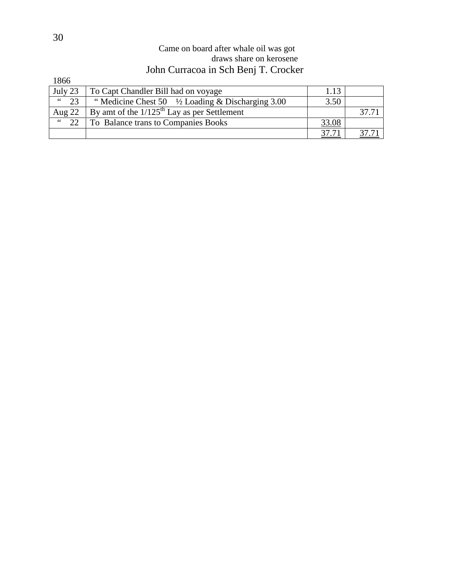#### Came on board after whale oil was got draws share on kerosene John Curracoa in Sch Benj T. Crocker

| 1866                 |                                                             |       |       |
|----------------------|-------------------------------------------------------------|-------|-------|
| July 23              | To Capt Chandler Bill had on voyage                         | 1.13  |       |
| $\zeta\,\zeta$<br>23 | "Medicine Chest 50 $\frac{1}{2}$ Loading & Discharging 3.00 | 3.50  |       |
| Aug $22$             | By amt of the $1/125$ <sup>th</sup> Lay as per Settlement   |       | 37.71 |
| 66<br>22             | To Balance trans to Companies Books                         | 33.08 |       |
|                      |                                                             |       |       |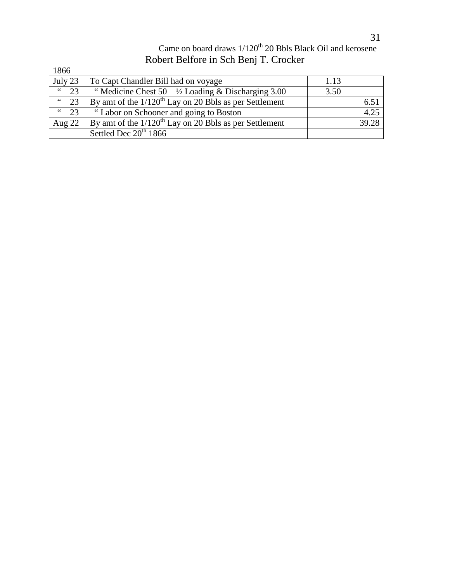### Came on board draws  $1/120^{th}$  20 Bbls Black Oil and kerosene Robert Belfore in Sch Benj T. Crocker

| 1866         |                                                                      |      |       |
|--------------|----------------------------------------------------------------------|------|-------|
| July 23      | To Capt Chandler Bill had on voyage                                  | 1.13 |       |
| 66<br>23     | "Medicine Chest 50 $\frac{1}{2}$ Loading & Discharging 3.00          | 3.50 |       |
| $\degree$ 23 | By amt of the $1/120$ <sup>th</sup> Lay on 20 Bbls as per Settlement |      | 6.51  |
| $\degree$ 23 | "Labor on Schooner and going to Boston                               |      | 4.25  |
| Aug $22$     | By amt of the $1/120^{th}$ Lay on 20 Bbls as per Settlement          |      | 39.28 |
|              | Settled Dec 20 <sup>th</sup> 1866                                    |      |       |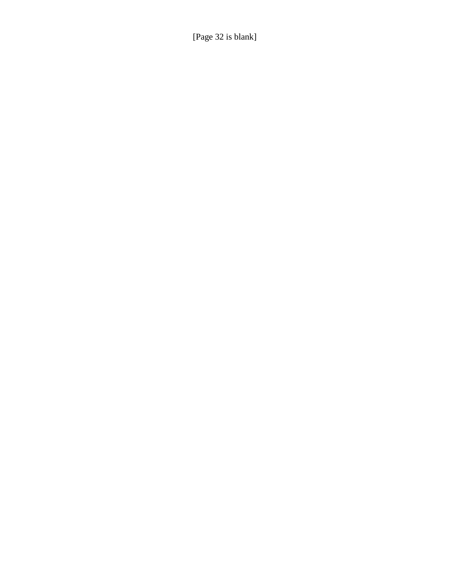[Page 32 is blank]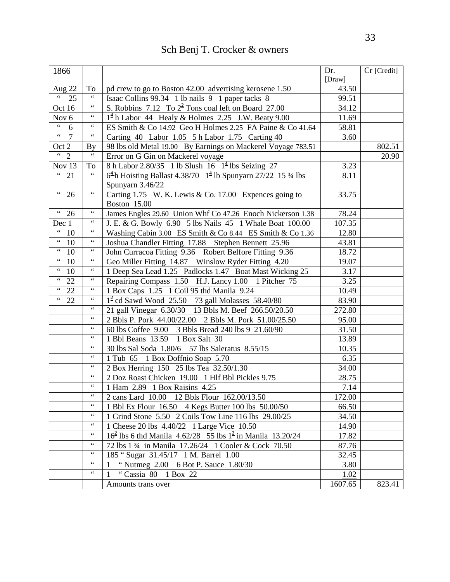## Sch Benj T. Crocker & owners

| 1866                                                                                             |                 |                                                                                         | Dr.<br>[Draw] | Cr [Credit] |
|--------------------------------------------------------------------------------------------------|-----------------|-----------------------------------------------------------------------------------------|---------------|-------------|
| Aug 22                                                                                           | To              | pd crew to go to Boston 42.00 advertising kerosene 1.50                                 | 43.50         |             |
| $\overline{\mathfrak{c}}$ (<br>$\overline{25}$                                                   | $\zeta\,\zeta$  | Isaac Collins 99.34 1 lb nails 9 1 paper tacks 8                                        | 99.51         |             |
| Oct 16                                                                                           | $\zeta$ $\zeta$ | S. Robbins 7.12 To $2^2$ Tons coal left on Board 27.00                                  | 34.12         |             |
| Nov <sub>6</sub>                                                                                 | $\zeta$ $\zeta$ | $14$ h Labor 44 Healy & Holmes 2.25 J.W. Beaty 9.00                                     | 11.69         |             |
| $\overline{\mathfrak{c}}$ $\overline{\mathfrak{c}}$<br>6                                         | $\zeta\,\zeta$  | ES Smith & Co 14.92 Geo H Holmes 2.25 FA Paine & Co 41.64                               | 58.81         |             |
| $\epsilon\, \epsilon$<br>$\overline{7}$                                                          | $\zeta\,\zeta$  | Carting 40 Labor 1.05 5 h Labor 1.75 Carting 40                                         | 3.60          |             |
| Oct 2                                                                                            | <b>By</b>       | 98 lbs old Metal 19.00 By Earnings on Mackerel Voyage 783.51                            |               | 802.51      |
| $\frac{1}{2}$                                                                                    | $\zeta\,\zeta$  | Error on G Gin on Mackerel voyage                                                       |               | 20.90       |
| Nov 13                                                                                           | To              | 8 h Labor 2.80/35 1 lb Slush 16 1 <sup>4</sup> lbs Seizing 27                           | 3.23          |             |
| $\overline{321}$                                                                                 | $\zeta$ $\zeta$ | $64$ h Hoisting Ballast 4.38/70 1 <sup>4</sup> lb Spunyarn 27/22 15 <sup>3</sup> /4 lbs | 8.11          |             |
|                                                                                                  |                 | Spunyarn 3.46/22                                                                        |               |             |
| $\overline{4\cdot 26}$                                                                           | $\zeta\,\zeta$  | Carting 1.75 W. K. Lewis & Co. 17.00 Expences going to                                  | 33.75         |             |
|                                                                                                  |                 | Boston 15.00                                                                            |               |             |
| $\frac{1}{26}$                                                                                   | $\zeta\,\zeta$  | James Engles 29.60 Union Whf Co 47.26 Enoch Nickerson 1.38                              | 78.24         |             |
| Dec 1                                                                                            | $\zeta\,\zeta$  | J. E. & G. Bowly 6.90 5 lbs Nails 45 1 Whale Boat 100.00                                | 107.35        |             |
| $\hbox{\large\ensuremath{\mathsf{G}}}\hbox{\large\ensuremath{\mathsf{G}}\hbox{\large\sf}}$<br>10 | $\zeta$ $\zeta$ | Washing Cabin 3.00 ES Smith & Co 8.44 ES Smith & Co 1.36                                | 12.80         |             |
| $\zeta\,\zeta$<br>10                                                                             | $\zeta$ $\zeta$ | Joshua Chandler Fitting 17.88 Stephen Bennett 25.96                                     | 43.81         |             |
| $\epsilon$ $\epsilon$<br>10                                                                      | $\zeta$ $\zeta$ | John Curracoa Fitting 9.36 Robert Belfore Fitting 9.36                                  | 18.72         |             |
| $\zeta$ $\zeta$<br>10                                                                            | $\zeta$ $\zeta$ | Geo Miller Fitting 14.87 Winslow Ryder Fitting 4.20                                     | 19.07         |             |
| $\zeta\,\zeta$<br>10                                                                             | $\zeta\,\zeta$  | 1 Deep Sea Lead 1.25 Padlocks 1.47 Boat Mast Wicking 25                                 | 3.17          |             |
| $\overline{14}$ 22                                                                               | $\zeta$ $\zeta$ | Repairing Compass 1.50 H.J. Lancy 1.00 1 Pitcher 75                                     | 3.25          |             |
| $\overline{14}$ 22                                                                               | $\zeta$ $\zeta$ | 1 Box Caps 1.25 1 Coil 95 thd Manila 9.24                                               | 10.49         |             |
| $\frac{1}{22}$                                                                                   | $\zeta$ $\zeta$ | $12$ cd Sawd Wood 25.50 73 gall Molasses 58.40/80                                       | 83.90         |             |
|                                                                                                  | $\zeta$ $\zeta$ | 21 gall Vinegar 6.30/30 13 Bbls M. Beef 266.50/20.50                                    | 272.80        |             |
|                                                                                                  | $\zeta$ $\zeta$ | 2 Bbls P. Pork 44.00/22.00 2 Bbls M. Pork 51.00/25.50                                   | 95.00         |             |
|                                                                                                  | $\zeta$ $\zeta$ | 60 lbs Coffee 9.00 3 Bbls Bread 240 lbs 9 21.60/90                                      | 31.50         |             |
|                                                                                                  | $\zeta$ $\zeta$ | 1 Bbl Beans 13.59 1 Box Salt 30                                                         | 13.89         |             |
|                                                                                                  | $\zeta$ $\zeta$ | 30 lbs Sal Soda 1.80/6 57 lbs Saleratus 8.55/15                                         | 10.35         |             |
|                                                                                                  | $\zeta$ $\zeta$ | 1 Tub 65 1 Box Doffnio Soap 5.70                                                        | 6.35          |             |
|                                                                                                  | $\zeta$ $\zeta$ | 2 Box Herring 150 25 lbs Tea 32.50/1.30                                                 | 34.00         |             |
|                                                                                                  | $\zeta$ $\zeta$ | 2 Doz Roast Chicken 19.00 1 Hlf Bbl Pickles 9.75                                        | 28.75         |             |
|                                                                                                  |                 | 1 Ham 2.89 1 Box Raisins 4.25                                                           | 7.14          |             |
|                                                                                                  | $\zeta\,\zeta$  | 2 cans Lard 10.00 12 Bbls Flour 162.00/13.50                                            | 172.00        |             |
|                                                                                                  | $\zeta$ $\zeta$ | 1 Bbl Ex Flour 16.50 4 Kegs Butter 100 lbs 50.00/50                                     | 66.50         |             |
|                                                                                                  | $\zeta$ $\zeta$ | 1 Grind Stone 5.50 2 Coils Tow Line 116 lbs 29.00/25                                    | 34.50         |             |
|                                                                                                  | $\zeta$ $\zeta$ | 1 Cheese 20 lbs 4.40/22 1 Large Vice 10.50                                              | 14.90         |             |
|                                                                                                  | $\zeta$ $\zeta$ | $162$ lbs 6 thd Manila 4.62/28 55 lbs $12$ in Manila 13.20/24                           | 17.82         |             |
|                                                                                                  | $\zeta$ $\zeta$ | 72 lbs 1 3/4 in Manila 17.26/24 1 Cooler & Cock 70.50                                   | 87.76         |             |
|                                                                                                  | $\zeta$ $\zeta$ | 185 "Sugar 31.45/17 1 M. Barrel 1.00                                                    | 32.45         |             |
|                                                                                                  | $\zeta$ $\zeta$ | "Nutmeg 2.00 6 Bot P. Sauce 1.80/30                                                     | 3.80          |             |
|                                                                                                  | $\zeta$ $\zeta$ | "Cassia 80 1 Box 22<br>1                                                                | 1.02          |             |
|                                                                                                  |                 | Amounts trans over                                                                      | 1607.65       | 823.41      |
|                                                                                                  |                 |                                                                                         |               |             |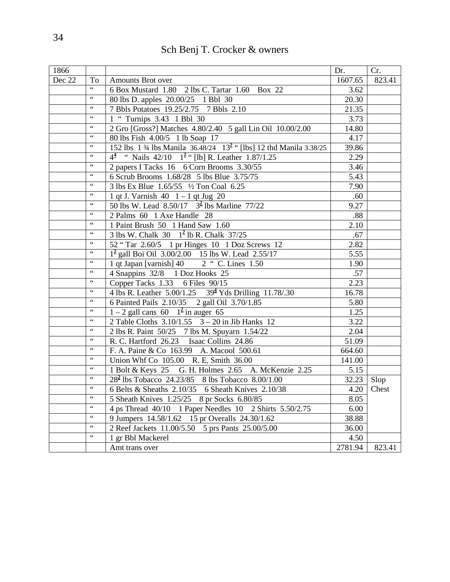| Sch Benj T. Crocker & owners |  |  |
|------------------------------|--|--|
|------------------------------|--|--|

| 1866   |                                                    |                                                                                | Dr.               | Cr.    |
|--------|----------------------------------------------------|--------------------------------------------------------------------------------|-------------------|--------|
| Dec 22 | To                                                 | Amounts Brot over                                                              | 1607.65           | 823.41 |
|        | $66$                                               | 6 Box Mustard 1.80 2 lbs C. Tartar 1.60 Box 22                                 | 3.62              |        |
|        | $\zeta\,\zeta$                                     | 80 lbs D. apples 20.00/25 1 Bbl 30                                             | 20.30             |        |
|        | $\zeta\,\zeta$                                     | 7 Bbls Potatoes 19.25/2.75 7 Bbls 2.10                                         | 21.35             |        |
|        | $\,$ 4 $\,$                                        | 1 " Turnips 3.43 1 Bbl 30                                                      | 3.73              |        |
|        | $\,$ 4 $\,$                                        | 2 Gro [Gross?] Matches 4.80/2.40 5 gall Lin Oil 10.00/2.00                     | 14.80             |        |
|        | $\zeta\,\zeta$                                     | 80 lbs Fish 4.00/5 1 lb Soap 17                                                | 4.17              |        |
|        | $\leq$ $\leq$                                      | 152 lbs 1 34 lbs Manila 36.48/24 13 <sup>2</sup> " [lbs] 12 thd Manila 3.38/25 | 39.86             |        |
|        | $\zeta\,\zeta$                                     | $4^{\frac{4}{2}}$ " Nails 42/10 $1^{\frac{2}{2}}$ " [lb] R. Leather 1.87/1.25  | 2.29              |        |
|        | $\zeta$ $\zeta$                                    | 2 papers I Tacks 16 6 Corn Brooms 3.30/55                                      | 3.46              |        |
|        | $\zeta\,\zeta$                                     | 6 Scrub Brooms 1.68/28 5 lbs Blue 3.75/75                                      | 5.43              |        |
|        | $\epsilon$ $\epsilon$                              | 3 lbs Ex Blue 1.65/55 1/2 Ton Coal 6.25                                        | 7.90              |        |
|        | $\,$ 4 $\,$                                        | 1 qt J. Varnish 40 1 - 1 qt Jug 20                                             | .60               |        |
|        | $\zeta$ $\zeta$                                    | 50 lbs W. Lead $8.50/17$ $3^2$ lbs Marline 77/22                               | 9.27              |        |
|        | $\zeta$ $\zeta$                                    | 2 Palms 60 1 Axe Handle 28                                                     | .88               |        |
|        | $\zeta\,\zeta$                                     | 1 Paint Brush 50 1 Hand Saw 1.60                                               | 2.10              |        |
|        | $\epsilon$ $\epsilon$                              | 3 lbs W. Chalk $30 \quad 1^2$ lb R. Chalk $37/25$                              | .67               |        |
|        | $\zeta\,\zeta$                                     | 52 "Tar 2.60/5 1 pr Hinges 10 1 Doz Screws 12                                  | 2.82              |        |
|        | $\zeta\,\zeta$                                     | $1^2$ gall Boi Oil 3.00/2.00 15 lbs W. Lead 2.55/17                            | 5.55              |        |
|        | $\zeta\,\zeta$                                     | 1 qt Japan [varnish] 40 2 " C. Lines 1.50                                      | 1.90              |        |
|        | $\,$ 4 $\,$                                        | 4 Snappins 32/8 1 Doz Hooks 25                                                 | .57               |        |
|        | $\zeta\,\zeta$                                     | Copper Tacks 1.33 6 Files 90/15                                                | 2.23              |        |
|        | $\,66$                                             | 4 lbs R. Leather 5.00/1.25 39 <sup>4</sup> Yds Drilling 11.78/.30              | 16.78             |        |
|        | $66$                                               | 6 Painted Pails 2.10/35 2 gall Oil 3.70/1.85                                   | 5.80              |        |
|        | $\,66$                                             | $1 - 2$ gall cans 60 $12$ in auger 65                                          | $\overline{1.25}$ |        |
|        | $\,$ 4 $\,$                                        | 2 Table Cloths $3.10/1.55$ 3 – 20 in Jib Hanks 12                              | 3.22              |        |
|        | $\,$ 4 $\,$                                        | 2 lbs R. Paint 50/25 7 lbs M. Spuyarn 1.54/22                                  | 2.04              |        |
|        | $\zeta\,\zeta$                                     | R. C. Hartford 26.23 Isaac Collins 24.86                                       | 51.09             |        |
|        | $\,$ 4 $\,$                                        | F. A. Paine & Co 163.99 A. Macool 500.61                                       | 664.60            |        |
|        | $\zeta\,\zeta$                                     | Union Whf Co 105.00 R. E. Smith 36.00                                          | 141.00            |        |
|        | $\zeta\,\zeta$                                     | 1 Bolt & Keys 25 G. H. Holmes 2.65 A. McKenzie 2.25                            | 5.15              |        |
|        | $\,$ 4 $\,$                                        | $28^2$ lbs Tobacco 24.23/85 8 lbs Tobacco 8.00/1.00                            | 32.23             | Slop   |
|        | $\,$ 4 $\,$                                        | 6 Belts & Sheaths 2.10/35 6 Sheath Knives 2.10/38                              | 4.20              | Chest  |
|        | $\mbox{4}\,\mbox{4}$                               | 5 Sheath Knives 1.25/25 8 pr Socks 6.80/85                                     | 8.05              |        |
|        | $\zeta\,\zeta$                                     | 4 ps Thread 40/10 1 Paper Needles 10 2 Shirts 5.50/2.75                        | 6.00              |        |
|        | $\zeta\,\zeta$                                     | 9 Jumpers 14.58/1.62 15 pr Overalls 24.30/1.62                                 | 38.88             |        |
|        | $\textcolor{red}{\bullet}\textcolor{red}{\bullet}$ | 2 Reef Jackets 11.00/5.50 5 prs Pants 25.00/5.00                               | 36.00             |        |
|        | $\textsf{G}\,\textsf{G}$                           |                                                                                | 4.50              |        |
|        |                                                    | 1 gr Bbl Mackerel                                                              |                   |        |
|        |                                                    | Amt trans over                                                                 | 2781.94           | 823.41 |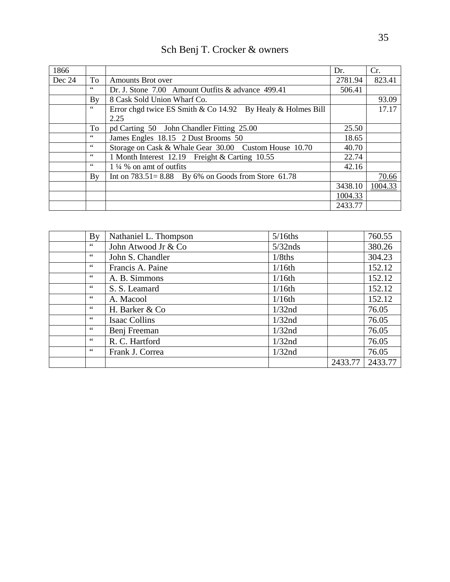| 1866   |                |                                                               | Dr.     | Cr.     |
|--------|----------------|---------------------------------------------------------------|---------|---------|
| Dec 24 | To             | Amounts Brot over                                             | 2781.94 | 823.41  |
|        | $\zeta\,\zeta$ | Dr. J. Stone 7.00 Amount Outfits & advance 499.41             | 506.41  |         |
|        | By             | 8 Cask Sold Union Wharf Co.                                   |         | 93.09   |
|        | $66\,$         | Error chgd twice ES Smith & Co $14.92$ By Healy & Holmes Bill |         | 17.17   |
|        |                | 2.25                                                          |         |         |
|        | To             | pd Carting 50 John Chandler Fitting 25.00                     | 25.50   |         |
|        | $\zeta\,\zeta$ | James Engles 18.15 2 Dust Brooms 50                           | 18.65   |         |
|        | $\zeta\,\zeta$ | Storage on Cask & Whale Gear 30.00 Custom House 10.70         | 40.70   |         |
|        | $\leq$ $\leq$  | 1 Month Interest 12.19 Freight & Carting 10.55                | 22.74   |         |
|        | $\zeta\,\zeta$ | $1\frac{1}{4}$ % on amt of outfits                            | 42.16   |         |
|        | By             | Int on $783.51 = 8.88$ By 6% on Goods from Store 61.78        |         | 70.66   |
|        |                |                                                               | 3438.10 | 1004.33 |
|        |                |                                                               | 1004.33 |         |
|        |                |                                                               | 2433.77 |         |

| Sch Benj T. Crocker & owners |  |  |
|------------------------------|--|--|
|------------------------------|--|--|

|    | $\mathbf{B}\mathbf{v}$ | Nathaniel L. Thompson | $5/16$ ths |         | 760.55  |
|----|------------------------|-----------------------|------------|---------|---------|
| 66 |                        | John Atwood Jr & Co   | $5/32$ nds |         | 380.26  |
| 66 |                        | John S. Chandler      | $1/8$ ths  |         | 304.23  |
| 66 |                        | Francis A. Paine      | 1/16th     |         | 152.12  |
| 66 |                        | A. B. Simmons         | $1/16$ th  |         | 152.12  |
| 66 |                        | S. S. Leamard         | $1/16$ th  |         | 152.12  |
| 66 |                        | A. Macool             | 1/16th     |         | 152.12  |
| 66 |                        | H. Barker & Co        | 1/32nd     |         | 76.05   |
| 66 |                        | Isaac Collins         | $1/32$ nd  |         | 76.05   |
| 66 |                        | Benj Freeman          | $1/32$ nd  |         | 76.05   |
| 66 |                        | R. C. Hartford        | $1/32$ nd  |         | 76.05   |
| 66 |                        | Frank J. Correa       | $1/32$ nd  |         | 76.05   |
|    |                        |                       |            | 2433.77 | 2433.77 |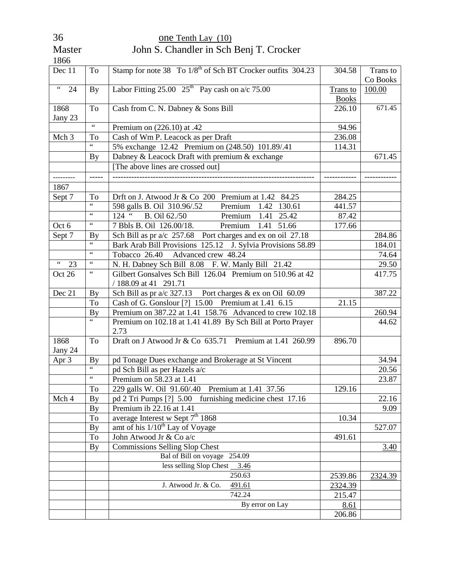| 1866                                                    |                          |                                                                         |              |          |
|---------------------------------------------------------|--------------------------|-------------------------------------------------------------------------|--------------|----------|
| Dec 11                                                  | To                       | Stamp for note 38 To 1/8 <sup>th</sup> of Sch BT Crocker outfits 304.23 | 304.58       | Trans to |
|                                                         |                          |                                                                         |              | Co Books |
| $\boldsymbol{\varsigma}$ $\boldsymbol{\varsigma}$<br>24 | <b>By</b>                | Labor Fitting 25.00 $25th$ Pay cash on a/c 75.00                        | Trans to     | 100.00   |
|                                                         |                          |                                                                         | <b>Books</b> |          |
| 1868                                                    | To                       | Cash from C. N. Dabney & Sons Bill                                      | 226.10       | 671.45   |
| Jany 23                                                 |                          |                                                                         |              |          |
|                                                         | $\zeta$ $\zeta$          | Premium on (226.10) at .42                                              | 94.96        |          |
| Mch 3                                                   | To                       | Cash of Wm P. Leacock as per Draft                                      | 236.08       |          |
|                                                         | 66                       | 5% exchange 12.42 Premium on (248.50) 101.89/.41                        | 114.31       |          |
|                                                         | <b>By</b>                | Dabney & Leacock Draft with premium & exchange                          |              | 671.45   |
|                                                         |                          | [The above lines are crossed out]                                       |              |          |
| ---------                                               | -----                    |                                                                         |              |          |
| 1867                                                    |                          |                                                                         |              |          |
| Sept 7                                                  | To                       | Drft on J. Atwood Jr & Co 200 Premium at 1.42 84.25                     | 284.25       |          |
|                                                         | $\overline{\mathcal{L}}$ | 598 galls B. Oil 310.96/.52<br>Premium<br>1.42 130.61                   | 441.57       |          |
|                                                         | $\zeta$ $\zeta$          | $124$ "<br>B. Oil 62./50<br>Premium<br>1.41 25.42                       | 87.42        |          |
| Oct 6                                                   | $\zeta\,\zeta$           | 7 Bbls B. Oil 126.00/18.<br>Premium<br>1.41 51.66                       | 177.66       |          |
| Sept 7                                                  | <b>By</b>                | Sch Bill as pr a/c 257.68 Port charges and ex on oil 27.18              |              | 284.86   |
|                                                         | $\overline{\mathbf{G}}$  | Bark Arab Bill Provisions 125.12 J. Sylvia Provisions 58.89             |              | 184.01   |
|                                                         | $\zeta$ $\zeta$          | Tobacco 26.40 Advanced crew 48.24                                       |              | 74.64    |
| $\boldsymbol{\zeta} \, \boldsymbol{\zeta}$<br>23        | $\zeta\,\zeta$           | N. H. Dabney Sch Bill 8.08 F. W. Manly Bill 21.42                       |              | 29.50    |
| Oct 26                                                  | $\zeta\,\zeta$           | Gilbert Gonsalves Sch Bill 126.04 Premium on 510.96 at 42               |              | 417.75   |
|                                                         |                          | / 188.09 at 41 291.71                                                   |              |          |
| Dec 21                                                  | By                       | Sch Bill as pr $a/c$ 327.13 Port charges & ex on Oil 60.09              |              | 387.22   |
|                                                         | To                       | Cash of G. Gonslour [?] 15.00 Premium at 1.41 6.15                      | 21.15        |          |
|                                                         | By                       | Premium on 387.22 at 1.41 158.76 Advanced to crew 102.18                |              | 260.94   |
|                                                         | $\overline{\mathbf{G}}$  | Premium on 102.18 at 1.41 41.89 By Sch Bill at Porto Prayer             |              | 44.62    |
|                                                         |                          | 2.73                                                                    |              |          |
| 1868                                                    | To                       | Draft on J Atwood Jr & Co $635.71$ Premium at 1.41 260.99               | 896.70       |          |
| Jany 24                                                 |                          |                                                                         |              |          |
| Apr 3                                                   | By                       | pd Tonage Dues exchange and Brokerage at St Vincent                     |              | 34.94    |
|                                                         | $\overline{\mathbf{G}}$  | pd Sch Bill as per Hazels a/c                                           |              | 20.56    |
|                                                         | $\zeta$ $\zeta$          | Premium on 58.23 at 1.41                                                |              | 23.87    |
|                                                         | To                       | 229 galls W. Oil 91.60/.40 Premium at 1.41 37.56                        | 129.16       |          |
| Mch 4                                                   | By                       | pd 2 Tri Pumps [?] 5.00<br>furnishing medicine chest 17.16              |              | 22.16    |
|                                                         | <b>By</b>                | Premium ib 22.16 at 1.41                                                |              | 9.09     |
|                                                         | To                       | average Interest w Sept 7 <sup>th</sup> 1868                            | 10.34        |          |
|                                                         | By                       | amt of his $1/10^{th}$ Lay of Voyage                                    |              | 527.07   |
|                                                         | To                       | John Atwood Jr & Co a/c                                                 | 491.61       |          |
|                                                         | By                       | <b>Commissions Selling Slop Chest</b>                                   |              | 3.40     |
|                                                         |                          | Bal of Bill on voyage 254.09                                            |              |          |
|                                                         |                          | less selling Slop Chest<br>3.46                                         |              |          |
|                                                         |                          | 250.63                                                                  | 2539.86      | 2324.39  |
|                                                         |                          | J. Atwood Jr. & Co.<br>491.61                                           | 2324.39      |          |
|                                                         |                          | 742.24                                                                  | 215.47       |          |
|                                                         |                          | By error on Lay                                                         | 8.61         |          |
|                                                         |                          |                                                                         | 206.86       |          |

#### 36 one Tenth Lay (10) Master John S. Chandler in Sch Benj T. Crocker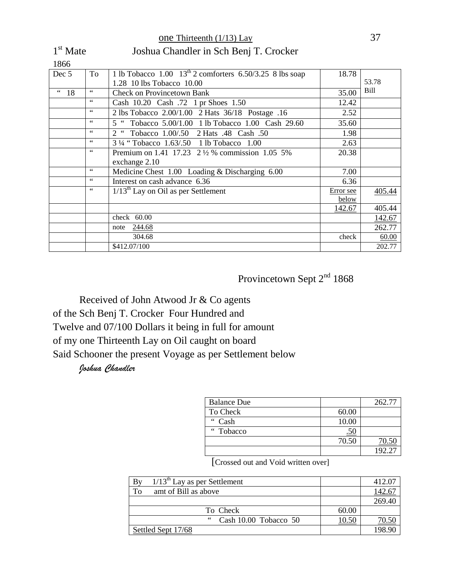| 1866         |                |                                                               |           |               |
|--------------|----------------|---------------------------------------------------------------|-----------|---------------|
| Dec 5        | To             | 1 lb Tobacco 1.00 $13^{th}$ 2 comforters 6.50/3.25 8 lbs soap | 18.78     |               |
|              |                | 1.28 10 lbs Tobacco 10.00                                     |           | 53.78         |
| $\degree$ 18 | $\leq$ $\leq$  | <b>Check on Provincetown Bank</b>                             | 35.00     | Bill          |
|              | 66             | Cash 10.20 Cash .72 1 pr Shoes 1.50                           | 12.42     |               |
|              | 66             | 2 lbs Tobacco 2.00/1.00 2 Hats 36/18 Postage .16              | 2.52      |               |
|              | 66             | 5 " Tobacco 5.00/1.00 1 lb Tobacco 1.00 Cash 29.60            | 35.60     |               |
|              | 66             | 2 <sup>16</sup><br>Tobacco 1.00/.50 2 Hats .48 Cash .50       | 1.98      |               |
|              | 66             | 3 1/4 "Tobacco 1.63/.50 1 lb Tobacco 1.00                     | 2.63      |               |
|              | $\zeta\,\zeta$ | Premium on 1.41 17.23 2 1/2 % commission 1.05 5%              | 20.38     |               |
|              |                | exchange 2.10                                                 |           |               |
|              | 66             | Medicine Chest 1.00 Loading & Discharging 6.00                | 7.00      |               |
|              | 66             | Interest on cash advance 6.36                                 | 6.36      |               |
|              | $\leq$ $\leq$  | $1/13th$ Lay on Oil as per Settlement                         | Error see | 405.44        |
|              |                |                                                               | below     |               |
|              |                |                                                               | 142.67    | 405.44        |
|              |                | check $60.00$                                                 |           | <u>142.67</u> |
|              |                | note 244.68                                                   |           | 262.77        |
|              |                | 304.68                                                        | check     | 60.00         |
|              |                | \$412.07/100                                                  |           | 202.77        |

one Thirteenth (1/13) Lay 37 1<sup>st</sup> Mate Joshua Chandler in Sch Benj T. Crocker

# Provincetown Sept 2<sup>nd</sup> 1868

Received of John Atwood Jr & Co agents of the Sch Benj T. Crocker Four Hundred and Twelve and 07/100 Dollars it being in full for amount of my one Thirteenth Lay on Oil caught on board Said Schooner the present Voyage as per Settlement below

#### *Joshua Chandler*

| <b>Balance Due</b> |       | 262.77 |
|--------------------|-------|--------|
| To Check           | 60.00 |        |
| " Cash             | 10.00 |        |
| "Tobacco           | .50   |        |
|                    | 70.50 | 70.50  |
|                    |       | 192.21 |

[Crossed out and Void written over]

| $1/13^{\text{th}}$ Lay as per Settlement<br>By |       | 412.07 |
|------------------------------------------------|-------|--------|
| To<br>amt of Bill as above                     |       |        |
|                                                |       | 269.40 |
| To Check                                       | 60.00 |        |
| 66<br>Cash 10.00 Tobacco 50                    | 10.50 | 70.50  |
| Settled Sept 17/68                             |       | 198.90 |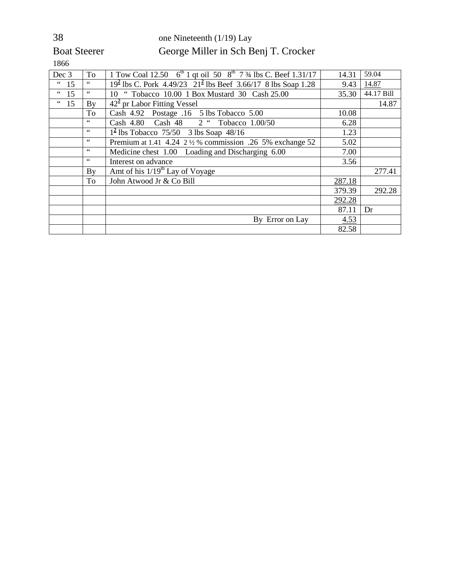# 38 one Nineteenth (1/19) Lay Boat Steerer George Miller in Sch Benj T. Crocker

| Dec 3                               | To              | 1 Tow Coal 12.50 $6^{th}$ 1 qt oil 50 $8^{th}$ 7 $\frac{3}{4}$ lbs C. Beef 1.31/17 | 14.31  | 59.04      |
|-------------------------------------|-----------------|------------------------------------------------------------------------------------|--------|------------|
| $\,$ $\,$ $\,$ $\,$<br>15           | $\zeta$ $\zeta$ | $192$ lbs C. Pork 4.49/23 $212$ lbs Beef 3.66/17 8 lbs Soap 1.28                   | 9.43   | 14.87      |
| $\,$ $\,$ $\,$ $\,$ $\,$ $\,$<br>15 | $\zeta\,\zeta$  | 10 " Tobacco 10.00 1 Box Mustard 30 Cash 25.00                                     | 35.30  | 44.17 Bill |
| $\degree$ 15                        | By              | $422$ pr Labor Fitting Vessel                                                      |        | 14.87      |
|                                     | To              | Cash 4.92 Postage .16 5 lbs Tobacco 5.00                                           | 10.08  |            |
|                                     | $\leq$ $\leq$   | Cash 4.80 Cash 48 2 " Tobacco 1.00/50                                              | 6.28   |            |
|                                     | $\zeta\,\zeta$  | $1^2$ lbs Tobacco 75/50 3 lbs Soap 48/16                                           | 1.23   |            |
|                                     | $\zeta\,\zeta$  | Premium at 1.41 4.24 2 1/2 % commission .26 5% exchange 52                         | 5.02   |            |
|                                     | $\zeta\,\zeta$  | Medicine chest 1.00 Loading and Discharging 6.00                                   | 7.00   |            |
|                                     | $\zeta\,\zeta$  | Interest on advance                                                                | 3.56   |            |
|                                     | By              | Amt of his $1/19th$ Lay of Voyage                                                  |        | 277.41     |
|                                     | To              | John Atwood Jr & Co Bill                                                           | 287.18 |            |
|                                     |                 |                                                                                    | 379.39 | 292.28     |
|                                     |                 |                                                                                    | 292.28 |            |
|                                     |                 |                                                                                    | 87.11  | Dr         |
|                                     |                 | By Error on Lay                                                                    | 4.53   |            |
|                                     |                 |                                                                                    | 82.58  |            |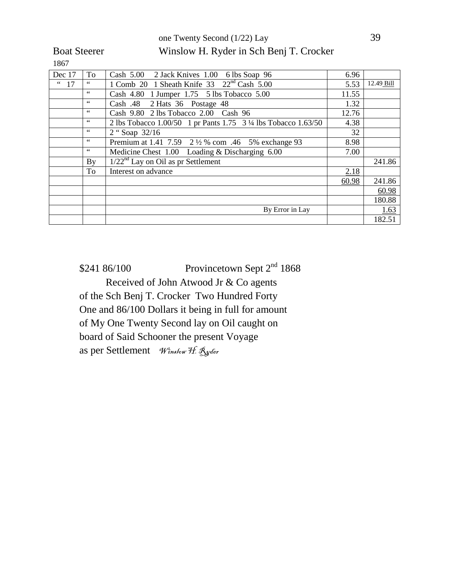one Twenty Second (1/22) Lay 39 Boat Steerer Winslow H. Ryder in Sch Benj T. Crocker

1867

| Dec 17                        | To             | Cash 5.00 2 Jack Knives 1.00 6 lbs Soap 96                      | 6.96  |            |
|-------------------------------|----------------|-----------------------------------------------------------------|-------|------------|
| $\boldsymbol{\epsilon}$<br>17 | $\zeta\,\zeta$ | 1 Comb 20 1 Sheath Knife 33 22 <sup>nd</sup> Cash 5.00          | 5.53  | 12.49 Bill |
|                               | 66             | Cash 4.80 1 Jumper 1.75 5 lbs Tobacco 5.00                      | 11.55 |            |
|                               | 66             | Cash .48 2 Hats 36 Postage 48                                   | 1.32  |            |
|                               | 66             | Cash 9.80 2 lbs Tobacco 2.00 Cash 96                            | 12.76 |            |
|                               | $\zeta\,\zeta$ | 2 lbs Tobacco 1.00/50 1 pr Pants 1.75 3 1/4 lbs Tobacco 1.63/50 | 4.38  |            |
|                               | 66             | 2 "Soap 32/16                                                   | 32    |            |
|                               | 66             | Premium at 1.41 7.59 2 1/2 % com .46 5% exchange 93             | 8.98  |            |
|                               | $\zeta\,\zeta$ | Medicine Chest 1.00 Loading & Discharging 6.00                  | 7.00  |            |
|                               | By             | $1/22^{nd}$ Lay on Oil as pr Settlement                         |       | 241.86     |
|                               | To             | Interest on advance                                             | 2.18  |            |
|                               |                |                                                                 | 60.98 | 241.86     |
|                               |                |                                                                 |       | 60.98      |
|                               |                |                                                                 |       | 180.88     |
|                               |                | By Error in Lay                                                 |       | 1.63       |
|                               |                |                                                                 |       | 182.51     |

 $$241\,86/100$  Provincetown Sept  $2<sup>nd</sup> 1868$ Received of John Atwood Jr & Co agents of the Sch Benj T. Crocker Two Hundred Forty One and 86/100 Dollars it being in full for amount of My One Twenty Second lay on Oil caught on board of Said Schooner the present Voyage as per Settlement Winslow H. Ryder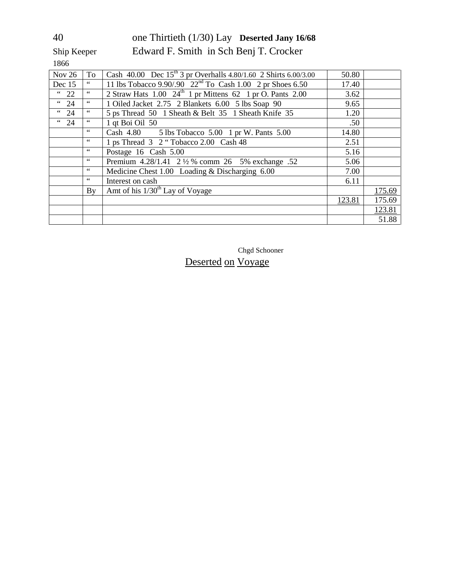### 40 one Thirtieth (1/30) Lay **Deserted Jany 16/68** Ship Keeper Edward F. Smith in Sch Benj T. Crocker

1866

| Nov $26$          | To             | Cash 40.00 Dec 15 <sup>th</sup> 3 pr Overhalls 4.80/1.60 2 Shirts 6.00/3.00  | 50.80  |        |
|-------------------|----------------|------------------------------------------------------------------------------|--------|--------|
| Dec 15            | $66$           | 11 lbs Tobacco $9.90/.90$ $22nd$ To Cash 1.00 $2$ pr Shoes 6.50              | 17.40  |        |
| $\degree$ 22      | $\,$ 4 $\,$    | 2 Straw Hats $1.00\text{ }24^{\text{th}}$ 1 pr Mittens 62 1 pr O. Pants 2.00 | 3.62   |        |
| $\frac{1}{24}$    | $\zeta\,\zeta$ | 1 Oiled Jacket 2.75 2 Blankets 6.00 5 lbs Soap 90                            | 9.65   |        |
| $\overline{4}$ 24 | $\,$ 6 6 $\,$  | 5 ps Thread 50 1 Sheath & Belt 35 1 Sheath Knife 35                          | 1.20   |        |
| $\overline{4}$ 24 | $\zeta\,\zeta$ | 1 qt Boi Oil 50                                                              | .50    |        |
|                   | 66             | Cash 4.80 5 lbs Tobacco 5.00 1 pr W. Pants 5.00                              | 14.80  |        |
|                   | 66             | 1 ps Thread 3 2 "Tobacco 2.00 Cash 48                                        | 2.51   |        |
|                   | $\leq$ $\leq$  | Postage 16 Cash 5.00                                                         | 5.16   |        |
|                   | $\,$ 6 6 $\,$  | Premium 4.28/1.41 2 1/2 % comm 26 5% exchange .52                            | 5.06   |        |
|                   | $\,$ 6 6 $\,$  | Medicine Chest 1.00 Loading & Discharging 6.00                               | 7.00   |        |
|                   | $\,$ 6 6 $\,$  | Interest on cash                                                             | 6.11   |        |
|                   | By             | Amt of his $1/30th$ Lay of Voyage                                            |        | 175.69 |
|                   |                |                                                                              | 123.81 | 175.69 |
|                   |                |                                                                              |        | 123.81 |
|                   |                |                                                                              |        | 51.88  |

Chgd Schooner

### Deserted on Voyage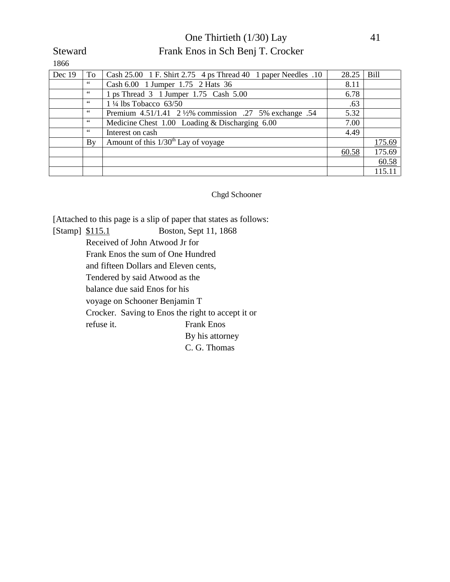#### One Thirtieth (1/30) Lay 41 Steward Frank Enos in Sch Benj T. Crocker

| Dec 19 | To | Cash $25.00 \text{ } 1 \text{ } F$ . Shirt $2.75 \text{ } 4 \text{ } ps$ Thread $40 \text{ } 1 \text{ paper Needles}$ .10 | 28.25 | <b>Bill</b> |
|--------|----|---------------------------------------------------------------------------------------------------------------------------|-------|-------------|
|        | 66 | Cash 6.00 1 Jumper 1.75 2 Hats 36                                                                                         | 8.11  |             |
|        | 66 | 1 ps Thread 3 1 Jumper 1.75 Cash 5.00                                                                                     | 6.78  |             |
|        | 66 | $1\frac{1}{4}$ lbs Tobacco 63/50                                                                                          | .63   |             |
|        | 66 | Premium 4.51/1.41 2 ½% commission .27 5% exchange .54                                                                     | 5.32  |             |
|        | 66 | Medicine Chest 1.00 Loading & Discharging 6.00                                                                            | 7.00  |             |
|        | 66 | Interest on cash                                                                                                          | 4.49  |             |
|        | By | Amount of this $1/30th$ Lay of voyage                                                                                     |       | 175.69      |
|        |    |                                                                                                                           | 60.58 | 175.69      |
|        |    |                                                                                                                           |       | 60.58       |
|        |    |                                                                                                                           |       | 115.11      |

Chgd Schooner

[Attached to this page is a slip of paper that states as follows:

[Stamp] \$115.1 Boston, Sept 11, 1868 Received of John Atwood Jr for Frank Enos the sum of One Hundred and fifteen Dollars and Eleven cents, Tendered by said Atwood as the balance due said Enos for his voyage on Schooner Benjamin T Crocker. Saving to Enos the right to accept it or refuse it. Frank Enos By his attorney C. G. Thomas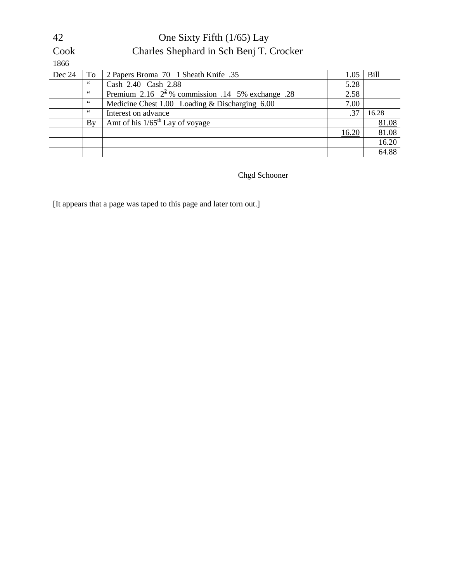|--|

### One Sixty Fifth (1/65) Lay Cook Charles Shephard in Sch Benj T. Crocker

1866

| Dec 24 | To | 2 Papers Broma 70 1 Sheath Knife .35                | 1.05  | <b>Bill</b> |
|--------|----|-----------------------------------------------------|-------|-------------|
|        | 66 | Cash 2.40 Cash 2.88                                 | 5.28  |             |
|        | 66 | Premium 2.16 $2^2$ % commission .14 5% exchange .28 | 2.58  |             |
|        | 66 | Medicine Chest 1.00 Loading & Discharging 6.00      | 7.00  |             |
|        | 66 | Interest on advance                                 | .37   | 16.28       |
|        | By | Amt of his $1/65^{\text{th}}$ Lay of voyage         |       | 81.08       |
|        |    |                                                     | 16.20 | 81.08       |
|        |    |                                                     |       | 16.20       |
|        |    |                                                     |       | 64.88       |

Chgd Schooner

[It appears that a page was taped to this page and later torn out.]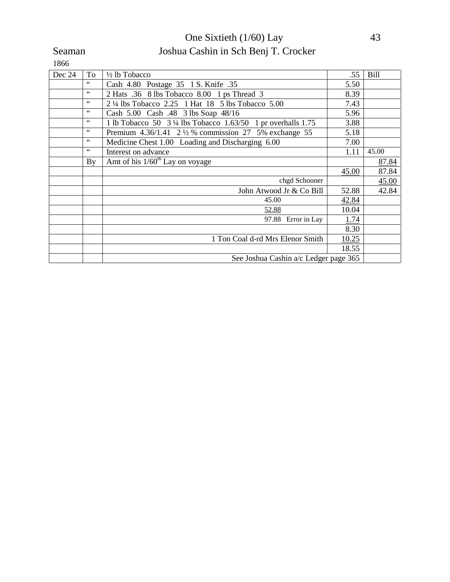### One Sixtieth (1/60) Lay 43 Seaman Joshua Cashin in Sch Benj T. Crocker

| Dec 24 | To             | 1/2 lb Tobacco                                                         | .55   | <b>Bill</b> |
|--------|----------------|------------------------------------------------------------------------|-------|-------------|
|        | 66             | Cash 4.80 Postage 35 1 S. Knife .35                                    | 5.50  |             |
|        | 66             | 2 Hats .36 8 lbs Tobacco 8.00 1 ps Thread 3                            | 8.39  |             |
|        | $\zeta\,\zeta$ | 2 ¼ lbs Tobacco 2.25 1 Hat 18 5 lbs Tobacco 5.00                       | 7.43  |             |
|        | $\zeta\,\zeta$ | Cash 5.00 Cash .48 3 lbs Soap 48/16                                    | 5.96  |             |
|        | $\zeta\,\zeta$ | 1 lb Tobacco 50 $3\frac{1}{4}$ lbs Tobacco 1.63/50 1 pr overhalls 1.75 | 3.88  |             |
|        | 66             | Premium $4.36/1.41$ 2 $\frac{1}{2}$ % commission 27 5% exchange 55     | 5.18  |             |
|        | 66             | Medicine Chest 1.00 Loading and Discharging 6.00                       | 7.00  |             |
|        | $\leq$ $\leq$  | Interest on advance                                                    | 1.11  | 45.00       |
|        | By             | Amt of his $1/60th$ Lay on voyage                                      |       | 87.84       |
|        |                |                                                                        | 45.00 | 87.84       |
|        |                | chgd Schooner                                                          |       | 45.00       |
|        |                | John Atwood Jr & Co Bill                                               | 52.88 | 42.84       |
|        |                | 45.00                                                                  | 42.84 |             |
|        |                | 52.88                                                                  | 10.04 |             |
|        |                | 97.88 Error in Lay                                                     | 1.74  |             |
|        |                |                                                                        | 8.30  |             |
|        |                | 1 Ton Coal d-rd Mrs Elenor Smith                                       | 10.25 |             |
|        |                |                                                                        | 18.55 |             |
|        |                | See Joshua Cashin a/c Ledger page 365                                  |       |             |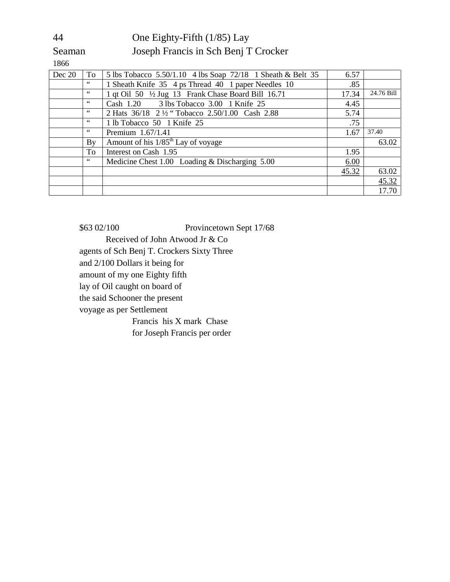#### 44 One Eighty-Fifth (1/85) Lay Seaman Joseph Francis in Sch Benj T Crocker

1866

| Dec 20 | To | 5 lbs Tobacco 5.50/1.10 4 lbs Soap 72/18 1 Sheath & Belt 35 | 6.57  |            |
|--------|----|-------------------------------------------------------------|-------|------------|
|        | 66 | 1 Sheath Knife 35 4 ps Thread 40 1 paper Needles 10         | .85   |            |
|        | 66 | 1 qt Oil 50 1/2 Jug 13 Frank Chase Board Bill 16.71         | 17.34 | 24.76 Bill |
|        | 66 | Cash 1.20 3 lbs Tobacco 3.00 1 Knife 25                     | 4.45  |            |
|        | 66 | 2 Hats 36/18 2 1/2 "Tobacco 2.50/1.00 Cash 2.88             | 5.74  |            |
|        | 66 | 1 lb Tobacco 50 1 Knife 25                                  | .75   |            |
|        | 66 | Premium 1.67/1.41                                           | 1.67  | 37.40      |
|        | By | Amount of his 1/85 <sup>th</sup> Lay of voyage              |       | 63.02      |
|        | To | Interest on Cash 1.95                                       | 1.95  |            |
|        | 66 | Medicine Chest 1.00 Loading & Discharging 5.00              | 6.00  |            |
|        |    |                                                             | 45.32 | 63.02      |
|        |    |                                                             |       | 45.32      |
|        |    |                                                             |       | 17.70      |

\$63 02/100 Provincetown Sept 17/68 Received of John Atwood Jr & Co agents of Sch Benj T. Crockers Sixty Three and 2/100 Dollars it being for amount of my one Eighty fifth lay of Oil caught on board of the said Schooner the present voyage as per Settlement Francis his X mark Chase for Joseph Francis per order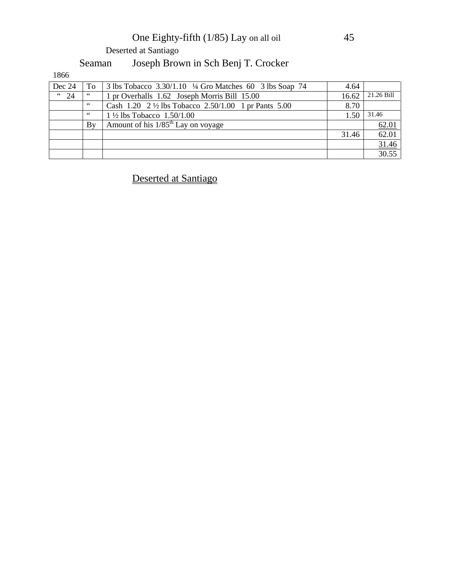# One Eighty-fifth (1/85) Lay on all oil 45

Deserted at Santiago

# Seaman Joseph Brown in Sch Benj T. Crocker

1866

| Dec 24         | To | 3 lbs Tobacco $3.30/1.10$ ¼ Gro Matches 60 3 lbs Soap 74       | 4.64  |            |
|----------------|----|----------------------------------------------------------------|-------|------------|
| $\frac{1}{24}$ | 66 | 1 pr Overhalls 1.62 Joseph Morris Bill 15.00                   | 16.62 | 21.26 Bill |
|                | 66 | Cash 1.20 $2\frac{1}{2}$ lbs Tobacco 2.50/1.00 1 pr Pants 5.00 | 8.70  |            |
|                | 66 | $1\frac{1}{2}$ lbs Tobacco $1.50/1.00$                         | 1.50  | 31.46      |
|                | Bv | Amount of his $1/85th$ Lay on voyage                           |       | 62.01      |
|                |    |                                                                | 31.46 | 62.01      |
|                |    |                                                                |       | 31.46      |
|                |    |                                                                |       | 30.55      |

### Deserted at Santiago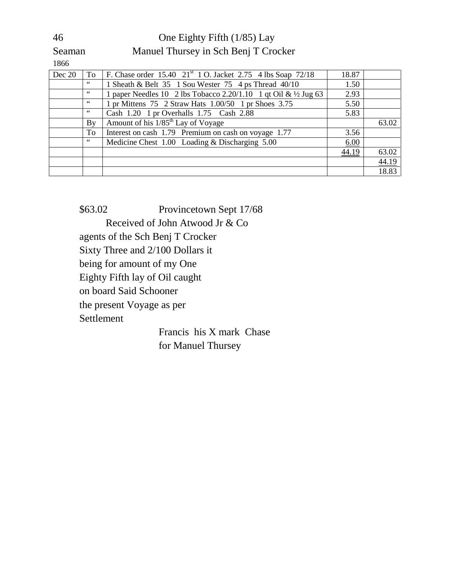#### 46 One Eighty Fifth (1/85) Lay

Seaman Manuel Thursey in Sch Benj T Crocker

1866

| Dec 20 | To | F. Chase order 15.40 21 <sup>st</sup> 1 O. Jacket 2.75 4 lbs Soap 72/18    | 18.87 |       |
|--------|----|----------------------------------------------------------------------------|-------|-------|
|        | 66 | 1 Sheath & Belt 35 1 Sou Wester 75 4 ps Thread 40/10                       | 1.50  |       |
|        | 66 | 1 paper Needles 10 2 lbs Tobacco 2.20/1.10 1 qt Oil & $\frac{1}{2}$ Jug 63 | 2.93  |       |
|        | 66 | 1 pr Mittens 75 2 Straw Hats 1.00/50 1 pr Shoes 3.75                       | 5.50  |       |
|        | 66 | Cash 1.20 1 pr Overhalls 1.75 Cash 2.88                                    | 5.83  |       |
|        | By | Amount of his 1/85 <sup>th</sup> Lay of Voyage                             |       | 63.02 |
|        | To | Interest on cash 1.79 Premium on cash on voyage 1.77                       | 3.56  |       |
|        | 66 | Medicine Chest $1.00$ Loading & Discharging $5.00$                         | 6.00  |       |
|        |    |                                                                            | 44.19 | 63.02 |
|        |    |                                                                            |       | 44.19 |
|        |    |                                                                            |       | 18.83 |

\$63.02 Provincetown Sept 17/68 Received of John Atwood Jr & Co agents of the Sch Benj T Crocker Sixty Three and 2/100 Dollars it being for amount of my One Eighty Fifth lay of Oil caught on board Said Schooner the present Voyage as per Settlement Francis his X mark Chase

for Manuel Thursey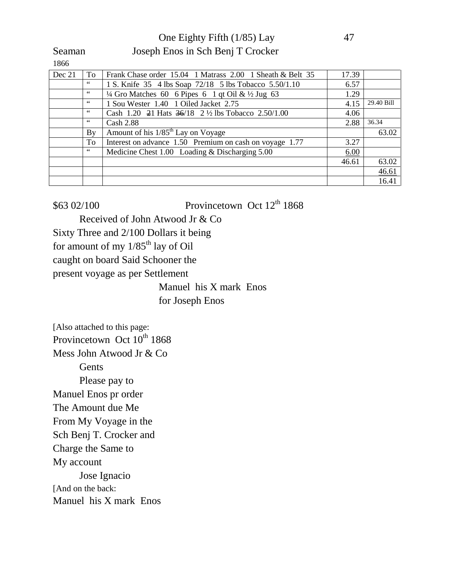One Eighty Fifth (1/85) Lay 47

Seaman Joseph Enos in Sch Benj T Crocker

1866

| Dec 21 | To | Frank Chase order 15.04 1 Matrass 2.00 1 Sheath & Belt 35              | 17.39 |            |
|--------|----|------------------------------------------------------------------------|-------|------------|
|        | 66 | 1 S. Knife 35 4 lbs Soap 72/18 5 lbs Tobacco 5.50/1.10                 | 6.57  |            |
|        | 66 | $\frac{1}{4}$ Gro Matches 60 6 Pipes 6 1 qt Oil & $\frac{1}{2}$ Jug 63 | 1.29  |            |
|        | 66 | 1 Sou Wester 1.40 1 Oiled Jacket 2.75                                  | 4.15  | 29.40 Bill |
|        | 66 | Cash 1.20 $\neq$ 1 Hats $\frac{36}{18}$ 2 ½ lbs Tobacco 2.50/1.00      | 4.06  |            |
|        | 66 | <b>Cash 2.88</b>                                                       | 2.88  | 36.34      |
|        | By | Amount of his 1/85 <sup>th</sup> Lay on Voyage                         |       | 63.02      |
|        | To | Interest on advance 1.50 Premium on cash on voyage 1.77                | 3.27  |            |
|        | 66 | Medicine Chest 1.00 Loading & Discharging 5.00                         | 6.00  |            |
|        |    |                                                                        | 46.61 | 63.02      |
|        |    |                                                                        |       | 46.61      |
|        |    |                                                                        |       | 16.41      |

 $$63\,02/100$  Provincetown Oct  $12<sup>th</sup>1868$ 

Received of John Atwood Jr & Co

Sixty Three and 2/100 Dollars it being

for amount of my  $1/85<sup>th</sup>$  lay of Oil

caught on board Said Schooner the

present voyage as per Settlement

Manuel his X mark Enos for Joseph Enos

[Also attached to this page: Provincetown Oct  $10^{th}$  1868 Mess John Atwood Jr & Co Gents Please pay to Manuel Enos pr order The Amount due Me From My Voyage in the Sch Benj T. Crocker and Charge the Same to My account Jose Ignacio [And on the back: Manuel his X mark Enos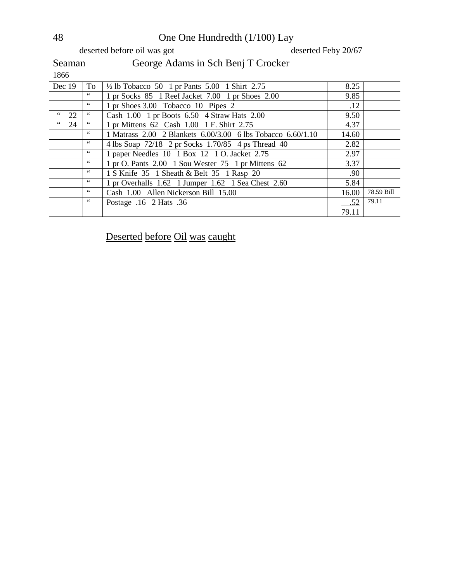# 48 One One Hundredth (1/100) Lay<br>deserted before oil was got deserted Feby 20/67

deserted before oil was got

Seaman

1866

| Dec $19$          | To            | $\frac{1}{2}$ lb Tobacco 50 1 pr Pants 5.00 1 Shirt 2.75                 | 8.25  |            |
|-------------------|---------------|--------------------------------------------------------------------------|-------|------------|
|                   | 66            | 1 pr Socks 85 1 Reef Jacket 7.00 1 pr Shoes 2.00                         | 9.85  |            |
|                   | 66            | $\frac{1 \text{ pr} \text{Shoes } 3.00}{10 \text{ Po} \cdot 10}$ Pipes 2 | .12   |            |
| $\,$ 6 $\,$<br>22 | 66            | Cash $1.00$ 1 pr Boots $6.50$ 4 Straw Hats $2.00$                        | 9.50  |            |
| $\frac{1}{24}$    | 66            | 1 pr Mittens 62 Cash 1.00 1 F. Shirt 2.75                                | 4.37  |            |
|                   | 66            | 1 Matrass 2.00 2 Blankets 6.00/3.00 6 lbs Tobacco 6.60/1.10              | 14.60 |            |
|                   | 66            | 4 lbs Soap 72/18 2 pr Socks 1.70/85 4 ps Thread 40                       | 2.82  |            |
|                   | 66            | 1 paper Needles 10 1 Box 12 1 O. Jacket 2.75                             | 2.97  |            |
|                   | 66            | 1 pr O. Pants 2.00 1 Sou Wester 75 1 pr Mittens 62                       | 3.37  |            |
|                   | 66            | 1 S Knife 35 1 Sheath & Belt 35 1 Rasp 20                                | .90   |            |
|                   | $\leq$ $\leq$ | 1 pr Overhalls 1.62 1 Jumper 1.62 1 Sea Chest 2.60                       | 5.84  |            |
|                   | 66            | Cash 1.00 Allen Nickerson Bill 15.00                                     | 16.00 | 78.59 Bill |
|                   | 66            | Postage .16 2 Hats .36                                                   | .52   | 79.11      |
|                   |               |                                                                          | 79.11 |            |

Deserted before Oil was caught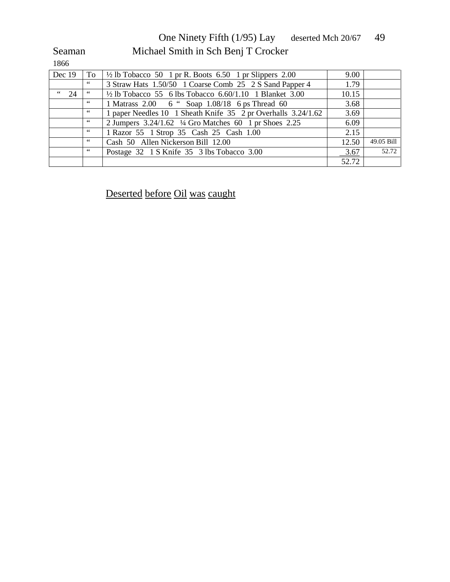One Ninety Fifth (1/95) Lay deserted Mch 20/67 49 Seaman Michael Smith in Sch Benj T Crocker

1866

| Dec 19         | To | $\frac{1}{2}$ lb Tobacco 50 1 pr R. Boots 6.50 1 pr Slippers 2.00  | 9.00  |            |
|----------------|----|--------------------------------------------------------------------|-------|------------|
|                | 66 | 3 Straw Hats 1.50/50 1 Coarse Comb 25 2 S Sand Papper 4            | 1.79  |            |
| $\frac{1}{24}$ | 66 | $\frac{1}{2}$ lb Tobacco 55 6 lbs Tobacco 6.60/1.10 1 Blanket 3.00 | 10.15 |            |
|                | 66 | 1 Matrass 2.00 6 " Soap 1.08/18 6 ps Thread 60                     | 3.68  |            |
|                | 66 | 1 paper Needles 10 1 Sheath Knife 35 2 pr Overhalls 3.24/1.62      | 3.69  |            |
|                | 66 | 2 Jumpers $3.24/1.62$ $\frac{1}{4}$ Gro Matches 60 1 pr Shoes 2.25 | 6.09  |            |
|                | 66 | 1 Razor 55 1 Strop 35 Cash 25 Cash 1.00                            | 2.15  |            |
|                | 66 | Cash 50 Allen Nickerson Bill 12.00                                 | 12.50 | 49.05 Bill |
|                | 66 | Postage 32 1 S Knife 35 3 lbs Tobacco 3.00                         | 3.67  | 52.72      |
|                |    |                                                                    | 52.72 |            |

Deserted before Oil was caught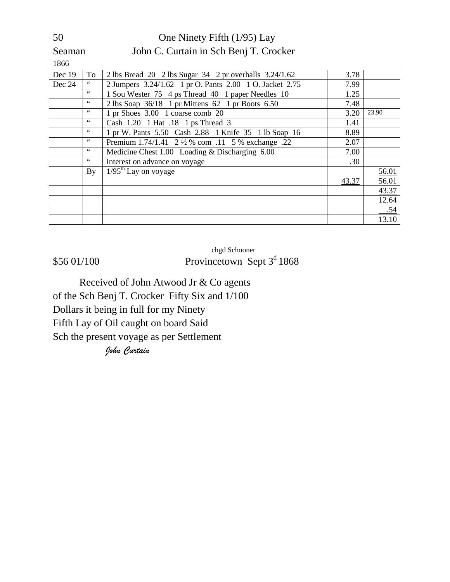#### 50 One Ninety Fifth (1/95) Lay Seaman John C. Curtain in Sch Benj T. Crocker

1866

| Dec 19 | To            | 2 lbs Bread 20 2 lbs Sugar 34 2 pr overhalls 3.24/1.62  | 3.78  |       |
|--------|---------------|---------------------------------------------------------|-------|-------|
| Dec 24 | 66            | 2 Jumpers 3.24/1.62 1 pr O. Pants 2.00 1 O. Jacket 2.75 | 7.99  |       |
|        | $\leq$ $\leq$ | 1 Sou Wester 75 4 ps Thread 40 1 paper Needles 10       | 1.25  |       |
|        | 66            | 2 lbs Soap $36/18$ 1 pr Mittens 62 1 pr Boots 6.50      | 7.48  |       |
|        | $\leq$ $\leq$ | 1 pr Shoes 3.00 1 coarse comb 20                        | 3.20  | 23.90 |
|        | $\leq$ $\leq$ | Cash 1.20 1 Hat .18 1 ps Thread 3                       | 1.41  |       |
|        | $\leq$ $\leq$ | 1 pr W. Pants 5.50 Cash 2.88 1 Knife 35 1 lb Soap 16    | 8.89  |       |
|        | $\leq$ $\leq$ | Premium 1.74/1.41 2 1/2 % com .11 5 % exchange .22      | 2.07  |       |
|        | $\leq$ $\leq$ | Medicine Chest 1.00 Loading & Discharging 6.00          | 7.00  |       |
|        | $\leq$ $\leq$ | Interest on advance on voyage                           | .30   |       |
|        | By            | $\frac{1}{95^{\text{th}}}$ Lay on voyage                |       | 56.01 |
|        |               |                                                         | 43.37 | 56.01 |
|        |               |                                                         |       | 43.37 |
|        |               |                                                         |       | 12.64 |
|        |               |                                                         |       | .54   |
|        |               |                                                         |       | 13.10 |

chgd Schooner  $$56 01/100$  Provincetown Sept  $3<sup>d</sup> 1868$ 

Received of John Atwood Jr & Co agents of the Sch Benj T. Crocker Fifty Six and 1/100 Dollars it being in full for my Ninety Fifth Lay of Oil caught on board Said Sch the present voyage as per Settlement

*John Curtain*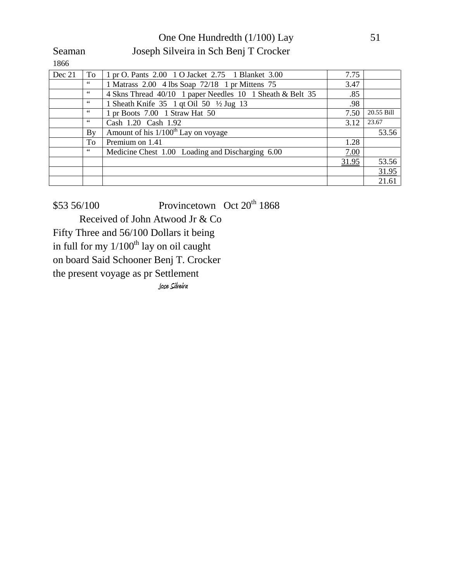#### One One Hundredth (1/100) Lay 51 Seaman Joseph Silveira in Sch Benj T Crocker

1866

| Dec 21 | To            | 1 pr O. Pants 2.00 1 O Jacket 2.75 1 Blanket 3.00         | 7.75  |            |
|--------|---------------|-----------------------------------------------------------|-------|------------|
|        | $\leq$ $\leq$ | 1 Matrass 2.00 4 lbs Soap 72/18 1 pr Mittens 75           | 3.47  |            |
|        | 66            | 4 Skns Thread 40/10 1 paper Needles 10 1 Sheath & Belt 35 | .85   |            |
|        | 66            | 1 Sheath Knife 35 1 qt Oil 50 ½ Jug 13                    | .98   |            |
|        | 66            | 1 pr Boots 7.00 1 Straw Hat 50                            | 7.50  | 20.55 Bill |
|        | 66            | Cash 1.20 Cash 1.92                                       | 3.12  | 23.67      |
|        | By            | Amount of his $1/100^{\text{th}}$ Lay on voyage           |       | 53.56      |
|        | To            | Premium on 1.41                                           | 1.28  |            |
|        | 66            | Medicine Chest 1.00 Loading and Discharging 6.00          | 7.00  |            |
|        |               |                                                           | 31.95 | 53.56      |
|        |               |                                                           |       | 31.95      |
|        |               |                                                           |       | 21.61      |

 $$53\,56/100$  Provincetown Oct  $20^{th}$  1868

Received of John Atwood Jr & Co

Fifty Three and 56/100 Dollars it being

in full for my  $1/100^{th}$  lay on oil caught

on board Said Schooner Benj T. Crocker

the present voyage as pr Settlement

**Jose Silveira**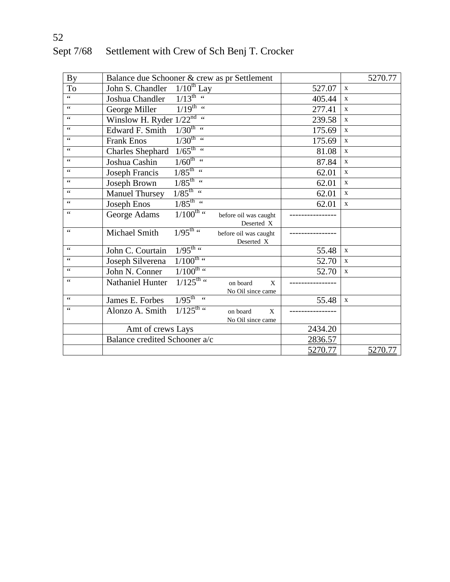| <b>By</b>        | Balance due Schooner & crew as pr Settlement                                             |                | 5270.77      |
|------------------|------------------------------------------------------------------------------------------|----------------|--------------|
| To               | $1/10^{th}$ Lay<br>John S. Chandler                                                      | 527.07         | $\mathbf{X}$ |
| 66               | $\frac{1}{1/13^{\text{th}} \cdot 4}$<br>Joshua Chandler                                  | 405.44         | $\mathbf{X}$ |
| $\zeta \, \zeta$ | $\frac{1}{19^{th}}$ "<br>George Miller                                                   | 277.41         | $\mathbf{X}$ |
| $\zeta \, \zeta$ | Winslow H. Ryder $1/22^{nd}$ "                                                           | 239.58         | $\mathbf{X}$ |
| $\zeta$ $\zeta$  | $1/30^{\text{th}}$ "<br>Edward F. Smith                                                  | 175.69         | $\mathbf{X}$ |
| $\zeta$ $\zeta$  | $\frac{1}{30^{th}}$ "<br><b>Frank Enos</b>                                               | 175.69         | $\mathbf{X}$ |
| $\zeta$ $\zeta$  | $\overline{1/65}^{\text{th}}$ "<br><b>Charles Shephard</b>                               | 81.08          | $\mathbf X$  |
| $\zeta$ $\zeta$  | $1/60^{\text{th}}$ "<br>Joshua Cashin                                                    | 87.84          | $\mathbf X$  |
| $\zeta$ $\zeta$  | $1/85^{\text{th}}$ "<br>Joseph Francis                                                   | 62.01          | $\mathbf X$  |
| $\zeta$ $\zeta$  | $1/85^{\text{th}}$ "<br>Joseph Brown                                                     | 62.01          | $\mathbf{X}$ |
| $\zeta$ $\zeta$  | $\frac{1}{85}$ th $\frac{1}{10}$<br><b>Manuel Thursey</b>                                | 62.01          | $\mathbf X$  |
| $\zeta$ $\zeta$  | $1/85^{\text{th}}$ "<br>Joseph Enos                                                      | 62.01          | $\mathbf X$  |
| $\zeta$ $\zeta$  | $1/100^{\text{th}}$ "<br>George Adams<br>before oil was caught<br>Deserted X             |                |              |
| $\zeta$ $\zeta$  | $\frac{1}{95}$ th $\frac{1}{1}$<br>Michael Smith<br>before oil was caught<br>Deserted X  |                |              |
| $\zeta$ $\zeta$  | $\frac{1}{95}$ th $\frac{1}{1}$<br>John C. Courtain                                      | 55.48          | $\mathbf X$  |
| 66               | $1/100^{\text{th}}$ "<br>Joseph Silverena                                                | 52.70          | X            |
| $\zeta$ $\zeta$  | $\frac{1}{100^{th}}$ $\frac{1}{100}$<br>John N. Conner                                   | 52.70          | $\mathbf X$  |
| $\zeta$ $\zeta$  | $\frac{1}{125^{th}}$ "<br>Nathaniel Hunter<br>on board<br>X<br>No Oil since came         |                |              |
| 66               | $1/95^{\text{th}}$ "<br>James E. Forbes                                                  | 55.48          | $\mathbf X$  |
| 66               | $\frac{1}{125^{th}}$<br>Alonzo A. Smith<br>on board<br>$\mathbf{X}$<br>No Oil since came |                |              |
|                  | Amt of crews Lays                                                                        | 2434.20        |              |
|                  | Balance credited Schooner a/c                                                            | 2836.57        |              |
|                  |                                                                                          | <u>5270.77</u> | 5270.77      |

# Sept 7/68 Settlement with Crew of Sch Benj T. Crocker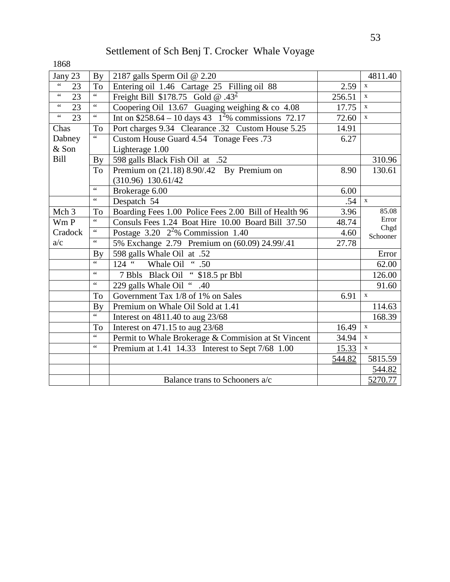| Jany 23                | $\mathbf{By}$            | 2187 galls Sperm Oil @ 2.20                             |        | 4811.40          |
|------------------------|--------------------------|---------------------------------------------------------|--------|------------------|
| $\zeta \, \zeta$<br>23 | To                       | Entering oil 1.46 Cartage 25 Filling oil 88             | 2.59   | $\mathbf X$      |
| $\zeta \, \zeta$<br>23 | $\zeta$ $\zeta$          | Freight Bill \$178.75 Gold @ .43 <sup>2</sup>           | 256.51 | $\mathbf X$      |
| $\zeta$ $\zeta$<br>23  | $\zeta$ $\zeta$          | Coopering Oil 13.67 Guaging weighing & co 4.08          | 17.75  | $\mathbf X$      |
| $\zeta\,\zeta$<br>23   | $\zeta$ $\zeta$          | Int on $$258.64 - 10$ days 43 $1^2\%$ commissions 72.17 | 72.60  | $\mathbf X$      |
| Chas                   | To                       | Port charges 9.34 Clearance .32 Custom House 5.25       | 14.91  |                  |
| Dabney                 | 66                       | Custom House Guard 4.54 Tonage Fees .73                 | 6.27   |                  |
| & Son                  |                          | Lighterage 1.00                                         |        |                  |
| <b>Bill</b>            | $\mathbf{By}$            | 598 galls Black Fish Oil at .52                         |        | 310.96           |
|                        | To                       | Premium on (21.18) 8.90/.42 By Premium on               | 8.90   | 130.61           |
|                        |                          | $(310.96)$ 130.61/42                                    |        |                  |
|                        | $\zeta$ $\zeta$          | Brokerage 6.00                                          | 6.00   |                  |
|                        | $\zeta$ $\zeta$          | Despatch 54                                             | .54    | $\mathbf X$      |
| Mch <sub>3</sub>       | To                       | Boarding Fees 1.00 Police Fees 2.00 Bill of Health 96   | 3.96   | 85.08            |
| Wm P                   | $\zeta$ $\zeta$          | Consuls Fees 1.24 Boat Hire 10.00 Board Bill 37.50      | 48.74  | Error            |
| Cradock                | $\zeta$ $\zeta$          | Postage $3.20 \frac{2^2}{6}$ Commission 1.40            | 4.60   | Chgd<br>Schooner |
| a/c                    | $\zeta$ $\zeta$          | 5% Exchange 2.79 Premium on (60.09) 24.99/.41           | 27.78  |                  |
|                        | By                       | 598 galls Whale Oil at .52                              |        | Error            |
|                        | $\overline{\mathbf{66}}$ | Whale Oil " .50<br>$124$ $\frac{1}{2}$                  |        | 62.00            |
|                        | $\zeta$ $\zeta$          | 7 Bbls Black Oil "\$18.5 pr Bbl                         |        | 126.00           |
|                        | $\zeta$ $\zeta$          | 229 galls Whale Oil " .40                               |        | 91.60            |
|                        | To                       | Government Tax $\frac{1}{8}$ of 1% on Sales             | 6.91   | $\mathbf{x}$     |
|                        | By                       | Premium on Whale Oil Sold at 1.41                       |        | 114.63           |
|                        | $\zeta$ $\zeta$          | Interest on 4811.40 to aug 23/68                        |        | 168.39           |
|                        | To                       | Interest on $471.15$ to aug $23/68$                     | 16.49  | $\mathbf X$      |
|                        | $\zeta$ $\zeta$          | Permit to Whale Brokerage & Commision at St Vincent     | 34.94  | $\mathbf X$      |
|                        | $\zeta$ $\zeta$          | Premium at 1.41 14.33 Interest to Sept 7/68 1.00        | 15.33  | $\mathbf{x}$     |
|                        |                          |                                                         | 544.82 | 5815.59          |
|                        |                          |                                                         |        | 544.82           |
|                        |                          | Balance trans to Schooners a/c                          |        | 5270.77          |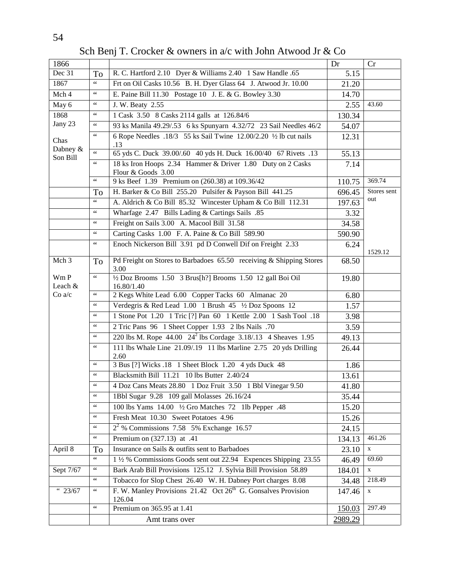| 1866                 |                      |                                                                                     | Dr      | Cr          |
|----------------------|----------------------|-------------------------------------------------------------------------------------|---------|-------------|
| $\overline{Dec}$ 31  | To                   | R. C. Hartford 2.10 Dyer & Williams 2.40 1 Saw Handle .65                           | 5.15    |             |
| 1867                 | $\zeta$ $\zeta$      | Frt on Oil Casks 10.56 B. H. Dyer Glass 64 J. Atwood Jr. 10.00                      | 21.20   |             |
| Mch 4                | $\zeta$ $\zeta$      | E. Paine Bill 11.30 Postage 10 J. E. & G. Bowley 3.30                               | 14.70   |             |
| May 6                | $\zeta$ $\zeta$      | J. W. Beaty 2.55                                                                    | 2.55    | 43.60       |
| 1868                 | $\zeta$ $\zeta$      | 1 Cask 3.50 8 Casks 2114 galls at 126.84/6                                          | 130.34  |             |
| Jany 23              | $\zeta$ $\zeta$      | 93 ks Manila 49.29/.53 6 ks Spunyarn 4.32/72 23 Sail Needles 46/2                   | 54.07   |             |
| Chas                 | $\zeta$ $\zeta$      | 6 Rope Needles .18/3 55 ks Sail Twine 12.00/2.20 1/2 lb cut nails<br>.13            | 12.31   |             |
| Dabney &<br>Son Bill | $\zeta$ $\zeta$      | 65 yds C. Duck 39.00/.60 40 yds H. Duck 16.00/40 67 Rivets .13                      | 55.13   |             |
|                      | $\zeta$ $\zeta$      | 18 ks Iron Hoops 2.34 Hammer & Driver 1.80 Duty on 2 Casks<br>Flour & Goods 3.00    | 7.14    |             |
|                      |                      | 9 ks Beef 1.39 Premium on (260.38) at 109.36/42                                     | 110.75  | 369.74      |
|                      | To                   | H. Barker & Co Bill 255.20 Pulsifer & Payson Bill 441.25                            | 696.45  | Stores sent |
|                      | $\zeta$ $\zeta$      | A. Aldrich & Co Bill 85.32 Wincester Upham & Co Bill 112.31                         | 197.63  | out         |
|                      | $\zeta$ $\zeta$      | Wharfage 2.47 Bills Lading & Cartings Sails .85                                     | 3.32    |             |
|                      | $\zeta$ $\zeta$      | Freight on Sails 3.00 A. Macool Bill 31.58                                          | 34.58   |             |
|                      | $\mbox{G}\,\mbox{G}$ | Carting Casks 1.00 F. A. Paine & Co Bill 589.90                                     | 590.90  |             |
|                      | $\mbox{G}\,\mbox{G}$ | Enoch Nickerson Bill 3.91 pd D Conwell Dif on Freight 2.33                          | 6.24    | 1529.12     |
| Mch 3                | To                   | Pd Freight on Stores to Barbadoes 65.50 receiving & Shipping Stores<br>3.00         | 68.50   |             |
| Wm P<br>Leach &      | $\zeta$ $\zeta$      | 1/2 Doz Brooms 1.50 3 Brus[h?] Brooms 1.50 12 gall Boi Oil<br>16.80/1.40            | 19.80   |             |
| Co a/c               | $\mbox{G}\,\mbox{G}$ | 2 Kegs White Lead 6.00 Copper Tacks 60 Almanac 20                                   | 6.80    |             |
|                      | $\zeta$ $\zeta$      | Verdegris & Red Lead 1.00 1 Brush 45 1/2 Doz Spoons 12                              | 1.57    |             |
|                      | $\zeta$ $\zeta$      | 1 Stone Pot 1.20 1 Tric [?] Pan 60 1 Kettle 2.00 1 Sash Tool .18                    | 3.98    |             |
|                      | $\zeta$ $\zeta$      | 2 Tric Pans 96 1 Sheet Copper 1.93 2 Ibs Nails .70                                  | 3.59    |             |
|                      | $\zeta$ $\zeta$      | 220 lbs M. Rope 44.00 24 <sup>2</sup> lbs Cordage 3.18/.13 4 Sheaves 1.95           | 49.13   |             |
|                      | $\zeta$ $\zeta$      | 111 lbs Whale Line 21.09/19 11 lbs Marline 2.75 20 yds Drilling<br>2.60             | 26.44   |             |
|                      | $\zeta$ $\zeta$      | 3 Bus [?] Wicks .18 1 Sheet Block 1.20 4 yds Duck 48                                | 1.86    |             |
|                      | $\zeta$ $\zeta$      | Blacksmith Bill 11.21 10 lbs Butter 2.40/24                                         | 13.61   |             |
|                      |                      | 4 Doz Cans Meats 28.80 1 Doz Fruit 3.50 1 Bbl Vinegar 9.50                          | 41.80   |             |
|                      | $\zeta$ $\zeta$      | 1Bbl Sugar 9.28 109 gall Molasses 26.16/24                                          | 35.44   |             |
|                      | $\mbox{G}\,\mbox{G}$ | 100 lbs Yams 14.00 1/2 Gro Matches 72 1lb Pepper .48                                | 15.20   |             |
|                      | $\zeta$ $\zeta$      | Fresh Meat 10.30 Sweet Potatoes 4.96                                                | 15.26   |             |
|                      | $\zeta$ $\zeta$      | $22$ % Commissions 7.58 5% Exchange 16.57                                           | 24.15   |             |
|                      | $\zeta$ $\zeta$      | Premium on (327.13) at .41                                                          | 134.13  | 461.26      |
| April 8              | To                   | Insurance on Sails & outfits sent to Barbadoes                                      | 23.10   | $\mathbf X$ |
|                      | $\zeta$ $\zeta$      | 1 1/2 % Commissions Goods sent out 22.94 Expences Shipping 23.55                    | 46.49   | 69.60       |
| Sept 7/67            | $\zeta\,\zeta$       | Bark Arab Bill Provisions 125.12 J. Sylvia Bill Provision 58.89                     | 184.01  | $\mathbf X$ |
|                      | $\zeta$ $\zeta$      | Tobacco for Slop Chest 26.40 W. H. Dabney Port charges 8.08                         | 34.48   | 218.49      |
| $\frac{1}{11}$ 23/67 | $\zeta$ $\zeta$      | F. W. Manley Provisions 21.42 Oct 26 <sup>th</sup> G. Gonsalves Provision<br>126.04 | 147.46  | $\mathbf X$ |
|                      | $\zeta$ $\zeta$      | Premium on 365.95 at 1.41                                                           | 150.03  | 297.49      |
|                      |                      | Amt trans over                                                                      | 2989.29 |             |

Sch Benj T. Crocker & owners in a/c with John Atwood Jr & Co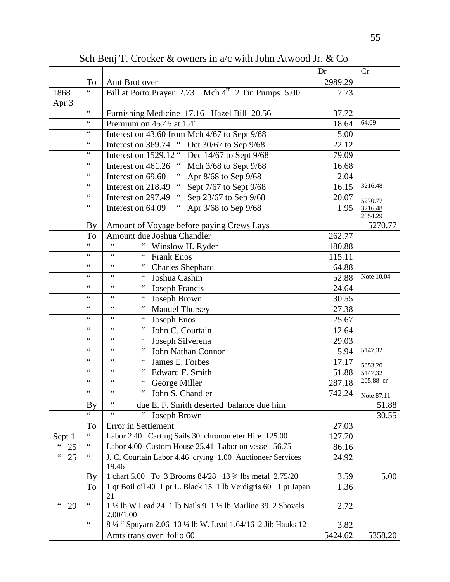|              |                          |                                                                            | Dr      | Cr                    |
|--------------|--------------------------|----------------------------------------------------------------------------|---------|-----------------------|
|              | To                       | Amt Brot over                                                              | 2989.29 |                       |
| 1868         | $\overline{\mathcal{L}}$ | Bill at Porto Prayer 2.73 Mch 4 <sup>th</sup> 2 Tin Pumps 5.00             | 7.73    |                       |
| Apr 3        |                          |                                                                            |         |                       |
|              | $\zeta$ $\zeta$          | Furnishing Medicine 17.16 Hazel Bill 20.56                                 | 37.72   |                       |
|              | $\zeta$ $\zeta$          | Premium on 45.45 at 1.41                                                   | 18.64   | 64.09                 |
|              | $\zeta$ $\zeta$          | Interest on 43.60 from Mch 4/67 to Sept 9/68                               | 5.00    |                       |
|              | $\zeta$ $\zeta$          | " Oct 30/67 to Sep $9/68$<br>Interest on 369.74                            | 22.12   |                       |
|              | $\zeta$ $\zeta$          | Interest on 1529.12 "<br>Dec 14/67 to Sept 9/68                            | 79.09   |                       |
|              | $\zeta$ $\zeta$          | Mch 3/68 to Sept 9/68<br>Interest on 461.26                                | 16.68   |                       |
|              | $\zeta$ $\zeta$          | Apr 8/68 to Sep 9/68<br>Interest on 69.60                                  | 2.04    |                       |
|              | $\zeta$ $\zeta$          | Sept 7/67 to Sept 9/68<br>Interest on 218.49                               | 16.15   | 3216.48               |
|              | $\,$ 6 $\,$              | $\epsilon$ $\epsilon$<br>Sep 23/67 to Sep 9/68<br>Interest on 297.49       | 20.07   | 5270.77               |
|              | $\zeta$ $\zeta$          | Apr 3/68 to Sep 9/68<br>Interest on 64.09                                  | 1.95    | 3216.48<br>2054.29    |
|              | <b>By</b>                | Amount of Voyage before paying Crews Lays                                  |         | 5270.77               |
|              | To                       | Amount due Joshua Chandler                                                 | 262.77  |                       |
|              | $\zeta$ $\zeta$          | $\zeta$ $\zeta$<br>$\zeta$ $\zeta$<br>Winslow H. Ryder                     | 180.88  |                       |
|              | $\zeta$ $\zeta$          | $\zeta\,\zeta$<br>$\zeta$ $\zeta$<br><b>Frank Enos</b>                     | 115.11  |                       |
|              |                          | $\zeta$ $\zeta$<br>$\zeta$ $\zeta$<br><b>Charles Shephard</b>              | 64.88   |                       |
|              | $\zeta$ $\zeta$          | $\zeta \, \zeta$<br>$\zeta$ $\zeta$<br>Joshua Cashin                       | 52.88   | Note 10.04            |
|              | $\zeta$ $\zeta$          | $\zeta$ $\zeta$<br>$\zeta$ $\zeta$<br>Joseph Francis                       | 24.64   |                       |
|              | $\zeta$ $\zeta$          | $\zeta$ $\zeta$<br>$\mbox{G}\,\mbox{G}$<br>Joseph Brown                    | 30.55   |                       |
|              | $\zeta$ $\zeta$          | $\zeta$ $\zeta$<br>$\zeta$ $\zeta$<br><b>Manuel Thursey</b>                | 27.38   |                       |
|              | $\zeta$ $\zeta$          | $\zeta$ $\zeta$<br>$\zeta$ $\zeta$<br>Joseph Enos                          | 25.67   |                       |
|              | $\zeta$ $\zeta$          | $\zeta$ $\zeta$<br>$\zeta$ $\zeta$<br>John C. Courtain                     | 12.64   |                       |
|              | $\zeta$ $\zeta$          | $\zeta$ $\zeta$<br>$\zeta$ $\zeta$<br>Joseph Silverena                     | 29.03   |                       |
|              | $\zeta$ $\zeta$          | $\zeta$ $\zeta$<br>$\zeta$ $\zeta$<br>John Nathan Connor                   | 5.94    | 5147.32               |
|              | $\zeta$ $\zeta$          | $\zeta$ $\zeta$<br>$\zeta$ $\zeta$<br>James E. Forbes                      | 17.17   | 5353.20               |
|              | $\zeta$ $\zeta$          | $\zeta$ $\zeta$<br>$\,$ $\,$ $\,$ $\,$ $\,$<br>Edward F. Smith             | 51.88   | 5147.32               |
|              | $\zeta$ $\zeta$          | $\zeta$ $\zeta$<br>$\zeta$ $\zeta$<br>George Miller                        | 287.18  | 205.88 cr             |
|              | $\zeta$ $\zeta$          | $\zeta$ $\zeta$<br>$\zeta\,\zeta$<br>John S. Chandler                      |         | $742.24$   Note 87.11 |
|              | By                       | $\zeta$ $\zeta$<br>due E. F. Smith deserted balance due him                |         | 51.88                 |
|              | $\zeta \, \zeta$         | Joseph Brown                                                               |         | 30.55                 |
|              | To                       | Error in Settlement                                                        | 27.03   |                       |
| Sept 1       | $\zeta \, \zeta$         | Labor 2.40 Carting Sails 30 chronometer Hire 125.00                        | 127.70  |                       |
| $66 -$<br>25 | $\zeta\,\zeta$           | Labor 4.00 Custom House 25.41 Labor on vessel 56.75                        | 86.16   |                       |
| 66<br>25     |                          | J. C. Courtain Labor 4.46 crying 1.00 Auctioneer Services<br>19.46         | 24.92   |                       |
|              | <b>By</b>                | 1 chart 5.00 To 3 Brooms 84/28 13 34 lbs metal 2.75/20                     | 3.59    | 5.00                  |
|              | To                       | 1 qt Boil oil 40 1 pr L. Black 15 1 lb Verdigris 60 1 pt Japan<br>21       | 1.36    |                       |
| 66<br>29     | $\zeta$ $\zeta$          | 1 1/2 lb W Lead 24 1 lb Nails 9 1 1/2 lb Marline 39 2 Shovels<br>2.00/1.00 | 2.72    |                       |
|              | $\zeta$ $\zeta$          | 8 1/4 "Spuyarn 2.06 10 1/4 lb W. Lead 1.64/16 2 Jib Hauks 12               | 3.82    |                       |
|              |                          | Amts trans over folio 60                                                   | 5424.62 | 5358.20               |

Sch Benj T. Crocker & owners in a/c with John Atwood Jr. & Co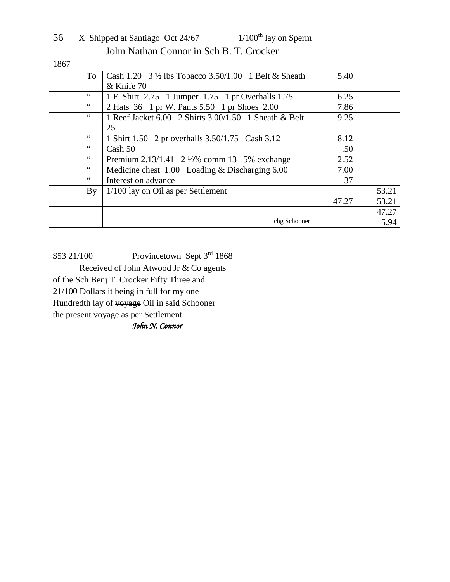| 56 | X Shipped at Santiago Oct 24/67         | $1/100^{th}$ lay on Sperm |
|----|-----------------------------------------|---------------------------|
|    | John Nathan Connor in Sch B. T. Crocker |                           |

1867

| To                     | Cash 1.20 $3\frac{1}{2}$ lbs Tobacco 3.50/1.00 1 Belt & Sheath | 5.40  |       |
|------------------------|----------------------------------------------------------------|-------|-------|
|                        | & Knife 70                                                     |       |       |
| 66                     | 1 F. Shirt 2.75 1 Jumper 1.75 1 pr Overhalls 1.75              | 6.25  |       |
| 66                     | 2 Hats 36 1 pr W. Pants 5.50 1 pr Shoes 2.00                   | 7.86  |       |
| 66                     | 1 Reef Jacket 6.00 2 Shirts 3.00/1.50 1 Sheath & Belt          | 9.25  |       |
|                        | 25                                                             |       |       |
| 66                     | 1 Shirt 1.50 2 pr overhalls 3.50/1.75 Cash 3.12                | 8.12  |       |
| $\zeta \zeta$          | Cash 50                                                        | .50   |       |
| $\zeta \zeta$          | Premium 2.13/1.41 2 1/2% comm 13 5% exchange                   | 2.52  |       |
| $\zeta\,\zeta$         | Medicine chest 1.00 Loading & Discharging 6.00                 | 7.00  |       |
| 66                     | Interest on advance                                            | 37    |       |
| $\mathbf{B}\mathbf{v}$ | $1/100$ lay on Oil as per Settlement                           |       | 53.21 |
|                        |                                                                | 47.27 | 53.21 |
|                        |                                                                |       | 47.27 |
|                        | chg Schooner                                                   |       | 5.94  |

\$53 21/100 Provincetown Sept 3rd 1868 Received of John Atwood Jr & Co agents of the Sch Benj T. Crocker Fifty Three and 21/100 Dollars it being in full for my one Hundredth lay of voyage Oil in said Schooner the present voyage as per Settlement *John N. Connor*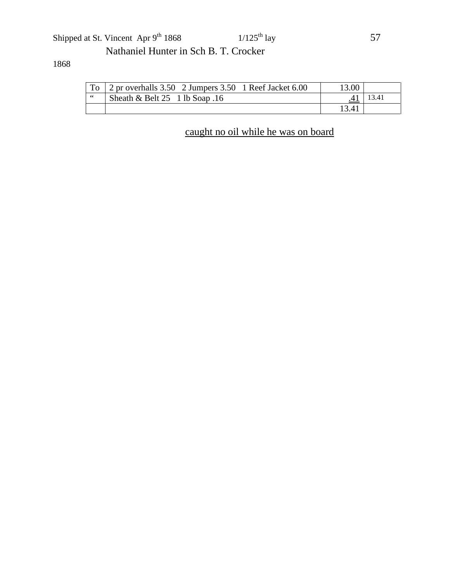### Shipped at St. Vincent Apr  $9^{th}$  1868 1/125<sup>th</sup> lay 57 Nathaniel Hunter in Sch B. T. Crocker

#### 1868

| To   | 2 pr overhalls 3.50 2 Jumpers 3.50 1 Reef Jacket 6.00 | 3.00  |       |
|------|-------------------------------------------------------|-------|-------|
| - 66 | Sheath & Belt $25 \quad 1$ lb Soap .16                |       | 13.41 |
|      |                                                       | 13.41 |       |

# caught no oil while he was on board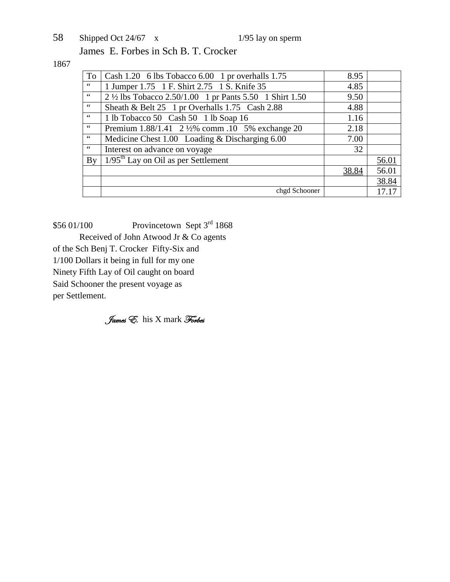58 Shipped Oct 24/67 x 1/95 lay on sperm James E. Forbes in Sch B. T. Crocker

1867

| To                     | Cash 1.20 6 lbs Tobacco 6.00 1 pr overhalls 1.75         | 8.95  |       |
|------------------------|----------------------------------------------------------|-------|-------|
| 66                     | 1 Jumper 1.75 1 F. Shirt 2.75 1 S. Knife 35              | 4.85  |       |
| 66                     | 2 1/2 lbs Tobacco 2.50/1.00 1 pr Pants 5.50 1 Shirt 1.50 | 9.50  |       |
| 66                     | Sheath & Belt 25 1 pr Overhalls 1.75 Cash 2.88           | 4.88  |       |
| 66                     | 1 lb Tobacco 50 Cash 50 1 lb Soap 16                     | 1.16  |       |
| 66                     | Premium 1.88/1.41 2 ½% comm .10 5% exchange 20           | 2.18  |       |
| $\leq$ $\leq$          | Medicine Chest 1.00 Loading & Discharging 6.00           | 7.00  |       |
| 66                     | Interest on advance on voyage                            | 32    |       |
| $\mathbf{B}\mathbf{v}$ | $1/95$ <sup>th</sup> Lay on Oil as per Settlement        |       | 56.01 |
|                        |                                                          | 38.84 | 56.01 |
|                        |                                                          |       | 38.84 |
|                        | chgd Schooner                                            |       |       |

 $$56 01/100$  Provincetown Sept 3<sup>rd</sup> 1868 Received of John Atwood Jr & Co agents of the Sch Benj T. Crocker Fifty-Six and 1/100 Dollars it being in full for my one Ninety Fifth Lay of Oil caught on board Said Schooner the present voyage as per Settlement.

James E. his X mark Forbes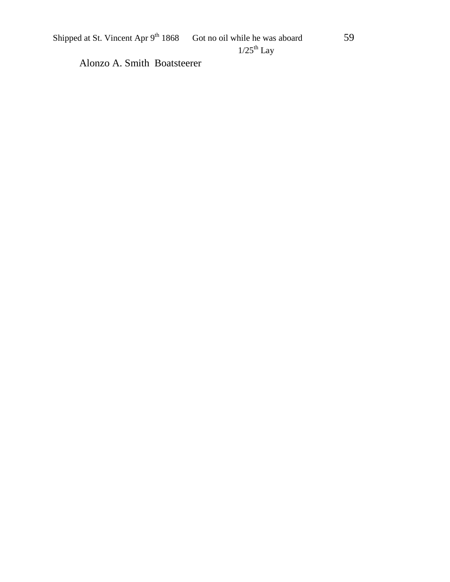Shipped at St. Vincent Apr  $9^{th}$  1868 Got no oil while he was aboard 59

Alonzo A. Smith Boatsteerer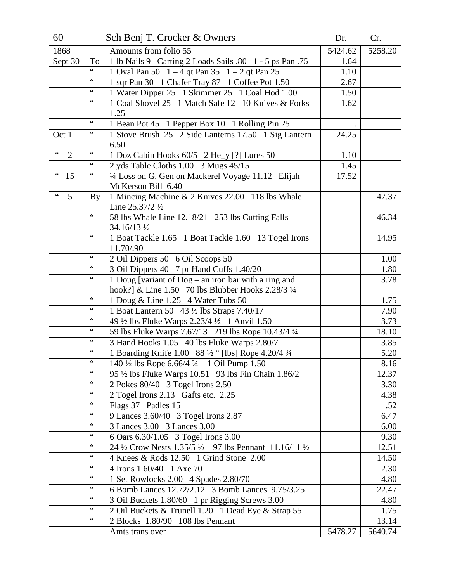| 60                           |                               | Sch Benj T. Crocker & Owners                                                                                         | Dr.     | Cr.          |
|------------------------------|-------------------------------|----------------------------------------------------------------------------------------------------------------------|---------|--------------|
| 1868                         |                               | Amounts from folio 55                                                                                                | 5424.62 | 5258.20      |
| Sept 30                      | To                            | 1 lb Nails 9 Carting 2 Loads Sails .80 1 - 5 ps Pan .75                                                              | 1.64    |              |
|                              | $\zeta$ $\zeta$               | 1 Oval Pan 50  1 – 4 qt Pan 35  1 – 2 qt Pan 25                                                                      | 1.10    |              |
|                              | $\zeta\,\zeta$                | 1 sqr Pan 30 1 Chafer Tray 87 1 Coffee Pot 1.50                                                                      | 2.67    |              |
|                              |                               | 1 Water Dipper 25 1 Skimmer 25 1 Coal Hod 1.00                                                                       | 1.50    |              |
|                              | $\zeta$ $\zeta$               | 1 Coal Shovel 25 1 Match Safe 12 10 Knives & Forks                                                                   | 1.62    |              |
|                              |                               | 1.25                                                                                                                 |         |              |
|                              |                               | 1 Bean Pot 45 1 Pepper Box 10 1 Rolling Pin 25                                                                       |         |              |
| Oct 1                        | $\,$ 6 6 $\,$                 | 1 Stove Brush .25 2 Side Lanterns 17.50 1 Sig Lantern                                                                | 24.25   |              |
|                              |                               | 6.50                                                                                                                 |         |              |
| $\zeta$ $\zeta$<br>2         |                               | 1 Doz Cabin Hooks 60/5 2 He_y [?] Lures 50                                                                           | 1.10    |              |
|                              | $\zeta$ $\zeta$               | 2 yds Table Cloths 1.00 3 Mugs 45/15                                                                                 | 1.45    |              |
| $\leftrightsquigarrow$<br>15 | $\mbox{\bf 6}$ $\mbox{\bf 6}$ | 1/4 Loss on G. Gen on Mackerel Voyage 11.12 Elijah                                                                   | 17.52   |              |
|                              |                               | McKerson Bill 6.40                                                                                                   |         |              |
| $\zeta$ $\zeta$<br>5         | <b>By</b>                     | 1 Mincing Machine & 2 Knives 22.00 118 lbs Whale                                                                     |         | 47.37        |
|                              | $\zeta$ $\zeta$               | Line $25.37/2$ $\frac{1}{2}$                                                                                         |         |              |
|                              |                               | 58 lbs Whale Line 12.18/21 253 lbs Cutting Falls                                                                     |         | 46.34        |
|                              | $\,$ 6 6 $\,$                 | 34.16/13 1/2                                                                                                         |         |              |
|                              |                               | 1 Boat Tackle 1.65 1 Boat Tackle 1.60 13 Togel Irons                                                                 |         | 14.95        |
|                              |                               | 11.70/.90                                                                                                            |         |              |
|                              |                               | 2 Oil Dippers 50 6 Oil Scoops 50                                                                                     |         | 1.00         |
|                              |                               | 3 Oil Dippers 40 7 pr Hand Cuffs 1.40/20                                                                             |         | 1.80<br>3.78 |
|                              |                               | 1 Doug [variant of Dog – an iron bar with a ring and<br>hook?] & Line 1.50 70 lbs Blubber Hooks 2.28/3 $\frac{1}{4}$ |         |              |
|                              | $\,$ 6 6 $\,$                 | 1 Doug & Line 1.25 4 Water Tubs 50                                                                                   |         | 1.75         |
|                              | $\,$ 6 6 $\,$                 | 1 Boat Lantern 50 43 1/2 lbs Straps 7.40/17                                                                          |         | 7.90         |
|                              | $\,$ 4 $\,$                   | 49 1/2 lbs Fluke Warps 2.23/4 1/2 1 Anvil 1.50                                                                       |         | 3.73         |
|                              | $\,$ 6 6 $\,$                 | 59 lbs Fluke Warps 7.67/13 219 lbs Rope 10.43/4 3/4                                                                  |         | 18.10        |
|                              |                               | 3 Hand Hooks 1.05 40 lbs Fluke Warps 2.80/7                                                                          |         | 3.85         |
|                              |                               | 1 Boarding Knife 1.00 88 1/2 " [lbs] Rope 4.20/4 3/4                                                                 |         | 5.20         |
|                              | $\mbox{\bf 6}$ $\mbox{\bf 6}$ | 140 <sup>1</sup> / <sub>2</sub> lbs Rope 6.66/4 <sup>3</sup> / <sub>4</sub> 1 Oil Pump 1.50                          |         | 8.16         |
|                              | $\zeta$ $\zeta$               | 95 1/2 lbs Fluke Warps 10.51 93 lbs Fin Chain 1.86/2                                                                 |         | 12.37        |
|                              |                               | 2 Pokes 80/40 3 Togel Irons 2.50                                                                                     |         | 3.30         |
|                              | $\mbox{\bf 6}$ $\mbox{\bf 6}$ | 2 Togel Irons 2.13 Gafts etc. 2.25                                                                                   |         | 4.38         |
|                              |                               | Flags 37 Padles 15                                                                                                   |         | .52          |
|                              | $\mbox{\bf 6}$ $\mbox{\bf 6}$ | 9 Lances 3.60/40 3 Togel Irons 2.87                                                                                  |         | 6.47         |
|                              | $\,$ 6 6 $\,$                 | 3 Lances 3.00 3 Lances 3.00                                                                                          |         | 6.00         |
|                              | $\mbox{\bf 6}$ $\mbox{\bf 6}$ | 6 Oars 6.30/1.05 3 Togel Irons 3.00                                                                                  |         | 9.30         |
|                              | $\,$ 6 6 $\,$                 | 24 1/2 Crow Nests 1.35/5 1/2 97 lbs Pennant 11.16/11 1/2                                                             |         | 12.51        |
|                              |                               | 4 Knees & Rods 12.50 1 Grind Stone 2.00                                                                              |         | 14.50        |
|                              | $\,$ 6 6 $\,$                 | 4 Irons 1.60/40 1 Axe 70                                                                                             |         | 2.30         |
|                              | $\,$ 6 6 $\,$                 | 1 Set Rowlocks 2.00 4 Spades 2.80/70                                                                                 |         | 4.80         |
|                              | $\,$ 6 6 $\,$                 | 6 Bomb Lances 12.72/2.12 3 Bomb Lances 9.75/3.25                                                                     |         | 22.47        |
|                              | $\mbox{\bf 6}$ $\mbox{\bf 6}$ | 3 Oil Buckets 1.80/60 1 pr Rigging Screws 3.00                                                                       |         | 4.80         |
|                              | $\,$ 6 6 $\,$                 | 2 Oil Buckets & Trunell 1.20 1 Dead Eye & Strap 55                                                                   |         | 1.75         |
|                              | $\mbox{\bf 6}$ $\mbox{\bf 6}$ | 2 Blocks 1.80/90 108 lbs Pennant                                                                                     |         | 13.14        |
|                              |                               | Amts trans over                                                                                                      | 5478.27 | 5640.74      |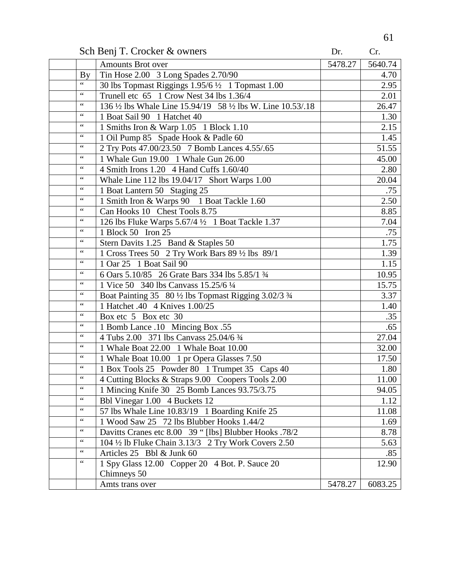Sch Benj T. Crocker & owners Dr. Cr. Cr.

|                         | <b>Amounts Brot over</b>                                    | 5478.27 | 5640.74            |
|-------------------------|-------------------------------------------------------------|---------|--------------------|
| $\mathbf{B} \mathbf{y}$ | Tin Hose 2.00 3 Long Spades 2.70/90                         |         | 4.70               |
| $\zeta$ $\zeta$         | 30 lbs Topmast Riggings 1.95/6 1/2 1 Topmast 1.00           |         | 2.95               |
| $\zeta$ $\zeta$         | Trunell etc 65 1 Crow Nest 34 lbs 1.36/4                    |         | 2.01               |
| $\zeta$ $\zeta$         | 136 1/2 lbs Whale Line 15.94/19 58 1/2 lbs W. Line 10.53/18 |         | 26.47              |
| $\zeta$ $\zeta$         | 1 Boat Sail 90 1 Hatchet 40                                 |         | 1.30               |
|                         | 1 Smiths Iron & Warp 1.05 1 Block 1.10                      |         | 2.15               |
| $\zeta$ $\zeta$         | 1 Oil Pump 85 Spade Hook & Padle 60                         |         | 1.45               |
| $\zeta$ $\zeta$         | 2 Try Pots 47.00/23.50 7 Bomb Lances 4.55/.65               |         | $51.\overline{55}$ |
| $\zeta$ $\zeta$         | 1 Whale Gun 19.00 1 Whale Gun 26.00                         |         | 45.00              |
| $\zeta$ $\zeta$         | 4 Smith Irons 1.20 4 Hand Cuffs 1.60/40                     |         | 2.80               |
| $\zeta$ $\zeta$         | Whale Line 112 lbs 19.04/17 Short Warps 1.00                |         | 20.04              |
| $\zeta$ $\zeta$         | 1 Boat Lantern 50 Staging 25                                |         | .75                |
| $\zeta$ $\zeta$         | 1 Smith Iron & Warps 90 1 Boat Tackle 1.60                  |         | 2.50               |
| $\zeta$ $\zeta$         | Can Hooks 10 Chest Tools 8.75                               |         | 8.85               |
| $\zeta$ $\zeta$         | 126 lbs Fluke Warps 5.67/4 1/2 1 Boat Tackle 1.37           |         | 7.04               |
| $\zeta$ $\zeta$         | 1 Block 50 Iron 25                                          |         | .75                |
| $\zeta$ $\zeta$         | Stern Davits 1.25 Band & Staples 50                         |         | 1.75               |
| $\zeta$ $\zeta$         | 1 Cross Trees 50 2 Try Work Bars 89 1/2 lbs 89/1            |         | 1.39               |
| $\zeta$ $\zeta$         | 1 Oar 25 1 Boat Sail 90                                     |         | 1.15               |
| $\zeta$ $\zeta$         | 6 Oars 5.10/85 26 Grate Bars 334 lbs 5.85/1 3/4             |         | 10.95              |
| $\zeta$ $\zeta$         | 1 Vice 50 340 lbs Canvass 15.25/6 1/4                       |         | 15.75              |
| $\zeta$ $\zeta$         | Boat Painting 35 80 1/2 lbs Topmast Rigging 3.02/3 3/4      |         | 3.37               |
| $\zeta$ $\zeta$         | 1 Hatchet .40 4 Knives 1.00/25                              |         | 1.40               |
| $\zeta$ $\zeta$         | Box etc 5 Box etc 30                                        |         | .35                |
| $\zeta$ $\zeta$         | 1 Bomb Lance .10 Mincing Box .55                            |         | .65                |
| $\zeta$ $\zeta$         | 4 Tubs 2.00 371 lbs Canvass 25.04/6 3/4                     |         | 27.04              |
| $\zeta$ $\zeta$         | 1 Whale Boat 22.00 1 Whale Boat 10.00                       |         | 32.00              |
| $\zeta$ $\zeta$         | 1 Whale Boat 10.00 1 pr Opera Glasses 7.50                  |         | 17.50              |
| $\zeta$ $\zeta$         | 1 Box Tools 25 Powder 80 1 Trumpet 35 Caps 40               |         | 1.80               |
| $\zeta$ $\zeta$         | 4 Cutting Blocks & Straps 9.00 Coopers Tools 2.00           |         | 11.00              |
| 66                      | 1 Mincing Knife 30 25 Bomb Lances 93.75/3.75                |         | 94.05              |
| $\zeta$ $\zeta$         | Bbl Vinegar 1.00 4 Buckets 12                               |         | 1.12               |
|                         | 57 lbs Whale Line 10.83/19 1 Boarding Knife 25              |         | 11.08              |
| $\zeta$ $\zeta$         | 1 Wood Saw 25 72 lbs Blubber Hooks 1.44/2                   |         | 1.69               |
|                         | Davitts Cranes etc 8.00 39 " [lbs] Blubber Hooks .78/2      |         | 8.78               |
| $\zeta$ $\zeta$         | 104 1/2 lb Fluke Chain 3.13/3 2 Try Work Covers 2.50        |         | 5.63               |
| $\zeta$ $\zeta$         | Articles 25 Bbl & Junk 60                                   |         | .85                |
| $\zeta$ $\zeta$         | 1 Spy Glass 12.00 Copper 20 4 Bot. P. Sauce 20              |         | 12.90              |
|                         | Chimneys 50                                                 |         |                    |
|                         | Amts trans over                                             | 5478.27 | 6083.25            |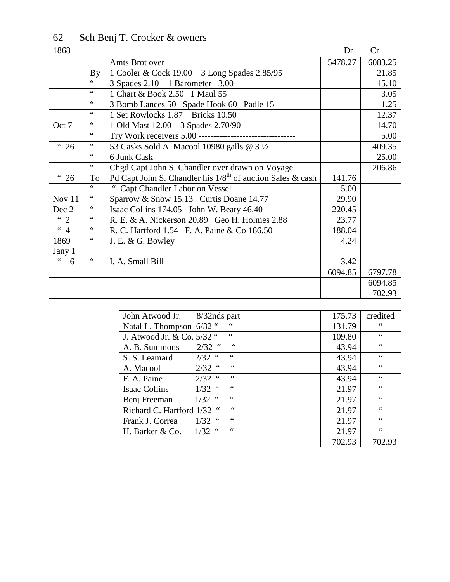# 62 Sch Benj T. Crocker & owners

| 1868                         |                       |                                                                        | Dr      | Cr      |
|------------------------------|-----------------------|------------------------------------------------------------------------|---------|---------|
|                              |                       | Amts Brot over                                                         | 5478.27 | 6083.25 |
|                              | By                    | 1 Cooler & Cock 19.00 3 Long Spades 2.85/95                            |         | 21.85   |
|                              | 66                    | 3 Spades 2.10 1 Barometer 13.00                                        |         | 15.10   |
|                              | $\zeta$ $\zeta$       | 1 Chart & Book 2.50 1 Maul 55                                          |         | 3.05    |
|                              | $\mbox{\bf 6}$        | 3 Bomb Lances 50 Spade Hook 60 Padle 15                                |         | 1.25    |
|                              | $\zeta$ $\zeta$       | 1 Set Rowlocks 1.87 Bricks 10.50                                       |         | 12.37   |
| Oct 7                        | $\mbox{4}$ $\mbox{4}$ | 1 Old Mast 12.00 3 Spades 2.70/90                                      |         | 14.70   |
|                              | 66                    | Try Work receivers 5.00 ---------------------------------              |         | 5.00    |
| <sup>"</sup> 26              | $\mbox{\bf 6}$        | 53 Casks Sold A. Macool 10980 galls @ 3 1/2                            |         | 409.35  |
|                              | $\zeta$ $\zeta$       | 6 Junk Cask                                                            |         | 25.00   |
|                              | $\mbox{\bf 6}$        | Chgd Capt John S. Chandler over drawn on Voyage                        |         | 206.86  |
| <sup>"</sup> 26              | To                    | Pd Capt John S. Chandler his 1/8 <sup>th</sup> of auction Sales & cash | 141.76  |         |
|                              | 66                    | " Capt Chandler Labor on Vessel                                        | 5.00    |         |
| Nov 11                       | $\zeta$ $\zeta$       | Sparrow & Snow 15.13 Curtis Doane 14.77                                | 29.90   |         |
| Dec 2                        | 66                    | Isaac Collins 174.05 John W. Beaty 46.40                               | 220.45  |         |
| $\lq$ 2                      | 66                    | R. E. & A. Nickerson 20.89 Geo H. Holmes 2.88                          | 23.77   |         |
| $\overline{4}$               | 66                    | R. C. Hartford 1.54 F. A. Paine & Co 186.50                            | 188.04  |         |
| 1869                         | $\zeta$ $\zeta$       | J. E. & G. Bowley                                                      | 4.24    |         |
| Jany 1                       |                       |                                                                        |         |         |
| $\overline{\mathbf{G}}$<br>6 | $\mbox{\bf 6}$        | I. A. Small Bill                                                       | 3.42    |         |
|                              |                       |                                                                        | 6094.85 | 6797.78 |
|                              |                       |                                                                        |         | 6094.85 |
|                              |                       |                                                                        |         | 702.93  |

| John Atwood Jr.<br>8/32nds part                                  | 175.73 | credited      |
|------------------------------------------------------------------|--------|---------------|
| $\zeta \zeta$<br>Natal L. Thompson 6/32 "                        | 131.79 | 66            |
| $\zeta \zeta$<br>J. Atwood Jr. & Co. 5/32 "                      | 109.80 | $\zeta \zeta$ |
| $\zeta$ $\zeta$<br>$2/32$ "<br>A. B. Summons                     | 43.94  | $\zeta \zeta$ |
| 66<br>$2/32$ "<br>S. S. Leamard                                  | 43.94  | $\zeta \zeta$ |
| 66<br>$2/32$ "<br>A. Macool                                      | 43.94  | $\zeta \zeta$ |
| 66<br>$2/32$ "<br>F. A. Paine                                    | 43.94  | 66            |
| $\zeta$ $\zeta$<br>$\leq$ $\leq$<br>1/32<br><b>Isaac Collins</b> | 21.97  | $\zeta \zeta$ |
| 66<br>$1/32$ "<br>Benj Freeman                                   | 21.97  | $\zeta \zeta$ |
| 66<br>Richard C. Hartford 1/32 "                                 | 21.97  | $\zeta \zeta$ |
| $\zeta$ $\zeta$<br>66<br>1/32<br>Frank J. Correa                 | 21.97  | $\zeta \zeta$ |
| 66<br>$1/32$ "<br>H. Barker & Co.                                | 21.97  | $\zeta \zeta$ |
|                                                                  | 702.93 | 702.93        |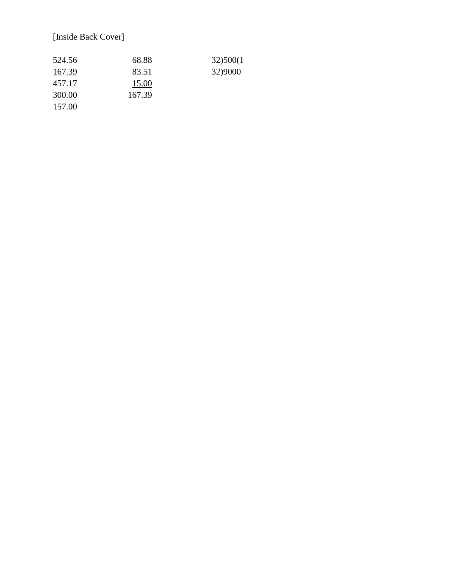#### [Inside Back Cover]

| 524.56 | 68.88  | 32)500(1 |
|--------|--------|----------|
| 167.39 | 83.51  | 32)9000  |
| 457.17 | 15.00  |          |
| 300.00 | 167.39 |          |
| 157.00 |        |          |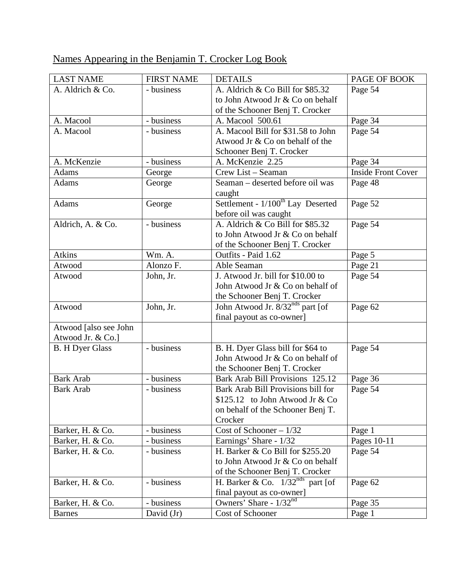# Names Appearing in the Benjamin T. Crocker Log Book

| <b>LAST NAME</b>       | <b>FIRST NAME</b> | <b>DETAILS</b>                                          | PAGE OF BOOK              |
|------------------------|-------------------|---------------------------------------------------------|---------------------------|
| A. Aldrich & Co.       | - business        | A. Aldrich & Co Bill for \$85.32                        | Page 54                   |
|                        |                   | to John Atwood Jr & Co on behalf                        |                           |
|                        |                   | of the Schooner Benj T. Crocker                         |                           |
| A. Macool              | - business        | A. Macool 500.61                                        | Page 34                   |
| A. Macool              | - business        | A. Macool Bill for \$31.58 to John                      | Page 54                   |
|                        |                   | Atwood Jr & Co on behalf of the                         |                           |
|                        |                   | Schooner Benj T. Crocker                                |                           |
| A. McKenzie            | - business        | A. McKenzie 2.25                                        | Page 34                   |
| <b>Adams</b>           | George            | Crew List - Seaman                                      | <b>Inside Front Cover</b> |
| <b>Adams</b>           | George            | Seaman - deserted before oil was                        | Page 48                   |
|                        |                   | caught                                                  |                           |
| <b>Adams</b>           | George            | Settlement - $\frac{1}{100}$ <sup>th</sup> Lay Deserted | Page 52                   |
|                        |                   | before oil was caught                                   |                           |
| Aldrich, A. & Co.      | - business        | A. Aldrich & Co Bill for \$85.32                        | Page 54                   |
|                        |                   | to John Atwood Jr & Co on behalf                        |                           |
|                        |                   | of the Schooner Benj T. Crocker                         |                           |
| <b>Atkins</b>          | Wm. A.            | Outfits - Paid 1.62                                     | Page 5                    |
| Atwood                 | Alonzo F.         | Able Seaman                                             | Page 21                   |
| Atwood                 | John, Jr.         | J. Atwood Jr. bill for \$10.00 to                       | Page 54                   |
|                        |                   | John Atwood Jr & Co on behalf of                        |                           |
|                        |                   | the Schooner Benj T. Crocker                            |                           |
| Atwood                 | John, Jr.         | John Atwood Jr. 8/32 <sup>nds</sup> part [of            | Page 62                   |
|                        |                   | final payout as co-owner]                               |                           |
| Atwood [also see John  |                   |                                                         |                           |
| Atwood Jr. & Co.]      |                   |                                                         |                           |
| <b>B.</b> H Dyer Glass | - business        | B. H. Dyer Glass bill for \$64 to                       | Page 54                   |
|                        |                   | John Atwood Jr & Co on behalf of                        |                           |
|                        |                   | the Schooner Benj T. Crocker                            |                           |
| <b>Bark Arab</b>       | - business        | Bark Arab Bill Provisions 125.12                        | Page 36                   |
| <b>Bark Arab</b>       | - business        | Bark Arab Bill Provisions bill for                      | Page 54                   |
|                        |                   | \$125.12 to John Atwood Jr $& Co$                       |                           |
|                        |                   | on behalf of the Schooner Benj T.                       |                           |
|                        |                   | Crocker                                                 |                           |
| Barker, H. & Co.       | - business        | Cost of Schooner $-1/32$                                | Page 1                    |
| Barker, H. & Co.       | - business        | Earnings' Share - 1/32                                  | Pages 10-11               |
| Barker, H. & Co.       | - business        | H. Barker & Co Bill for \$255.20                        | Page 54                   |
|                        |                   | to John Atwood Jr & Co on behalf                        |                           |
|                        |                   | of the Schooner Benj T. Crocker                         |                           |
| Barker, H. & Co.       | - business        | H. Barker & Co. $1/32^{nds}$ part [of                   | Page 62                   |
|                        |                   | final payout as co-owner]                               |                           |
| Barker, H. & Co.       | - business        | Owners' Share - $1/32^{nd}$                             | Page 35                   |
| <b>Barnes</b>          | David $(Jr)$      | Cost of Schooner                                        | Page 1                    |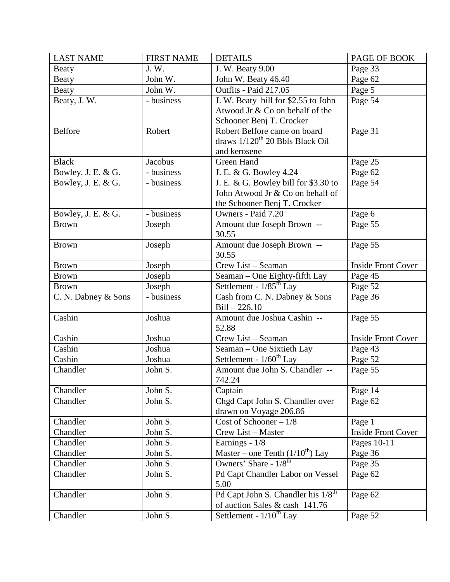| <b>LAST NAME</b>    | <b>FIRST NAME</b> | <b>DETAILS</b>                                 | PAGE OF BOOK              |
|---------------------|-------------------|------------------------------------------------|---------------------------|
| <b>Beaty</b>        | J.W.              | J. W. Beaty 9.00                               | Page 33                   |
| <b>Beaty</b>        | John W.           | John W. Beaty 46.40                            | Page 62                   |
| <b>Beaty</b>        | John W.           | Outfits - Paid 217.05                          | Page 5                    |
| Beaty, J. W.        | - business        | J. W. Beaty bill for \$2.55 to John            | Page 54                   |
|                     |                   | Atwood Jr & Co on behalf of the                |                           |
|                     |                   | Schooner Benj T. Crocker                       |                           |
| <b>Belfore</b>      | Robert            | Robert Belfore came on board                   | Page 31                   |
|                     |                   | draws 1/120 <sup>th</sup> 20 Bbls Black Oil    |                           |
|                     |                   | and kerosene                                   |                           |
| <b>Black</b>        | Jacobus           | Green Hand                                     | Page 25                   |
| Bowley, J. E. & G.  | - business        | J. E. & G. Bowley 4.24                         | Page 62                   |
| Bowley, J. E. & G.  | - business        | J. E. & G. Bowley bill for \$3.30 to           | Page 54                   |
|                     |                   | John Atwood Jr & Co on behalf of               |                           |
|                     |                   | the Schooner Benj T. Crocker                   |                           |
| Bowley, J. E. & G.  | - business        | Owners - Paid 7.20                             | Page 6                    |
| <b>Brown</b>        | Joseph            | Amount due Joseph Brown --                     | Page 55                   |
|                     |                   | 30.55                                          |                           |
| <b>Brown</b>        | Joseph            | Amount due Joseph Brown --                     | Page 55                   |
|                     |                   | 30.55                                          |                           |
| <b>Brown</b>        | Joseph            | Crew List - Seaman                             | <b>Inside Front Cover</b> |
| <b>Brown</b>        | Joseph            | Seaman - One Eighty-fifth Lay                  | Page 45                   |
| <b>Brown</b>        | Joseph            | Settlement - 1/85 <sup>th</sup> Lay            | Page 52                   |
| C. N. Dabney & Sons | - business        | Cash from C. N. Dabney & Sons                  | Page 36                   |
|                     |                   | $Bill - 226.10$                                |                           |
| Cashin              | Joshua            | Amount due Joshua Cashin --                    | Page 55                   |
|                     |                   | 52.88                                          |                           |
| Cashin              | Joshua            | Crew List - Seaman                             | <b>Inside Front Cover</b> |
| Cashin              | Joshua            | Seaman - One Sixtieth Lay                      | Page 43                   |
| Cashin              | Joshua            | Settlement - $1/60^{th}$ Lay                   | Page 52                   |
| Chandler            | John S.           | Amount due John S. Chandler --                 | Page 55                   |
|                     |                   | 742.24                                         |                           |
| Chandler            | John S.           | Captain                                        | Page 14                   |
| Chandler            | John S.           | Chgd Capt John S. Chandler over                | Page 62                   |
|                     |                   | drawn on Voyage 206.86                         |                           |
| Chandler            | John S.           | Cost of Schooner $-1/8$                        | Page 1                    |
| Chandler            | John S.           | Crew List - Master                             | <b>Inside Front Cover</b> |
| Chandler            | John S.           | Earnings - 1/8                                 | Pages 10-11               |
| Chandler            | John S.           | Master – one Tenth $(1/10^{th})$ Lay           | Page 36                   |
| Chandler            | John S.           | Owners' Share - 1/8 <sup>th</sup>              | Page 35                   |
| Chandler            | John S.           | Pd Capt Chandler Labor on Vessel               | Page 62                   |
|                     |                   | 5.00                                           |                           |
| Chandler            | John S.           | Pd Capt John S. Chandler his 1/8 <sup>th</sup> | Page 62                   |
|                     |                   | of auction Sales & cash 141.76                 |                           |
| Chandler            | John S.           | Settlement - $1/10^{th}$ Lay                   | Page $5\overline{2}$      |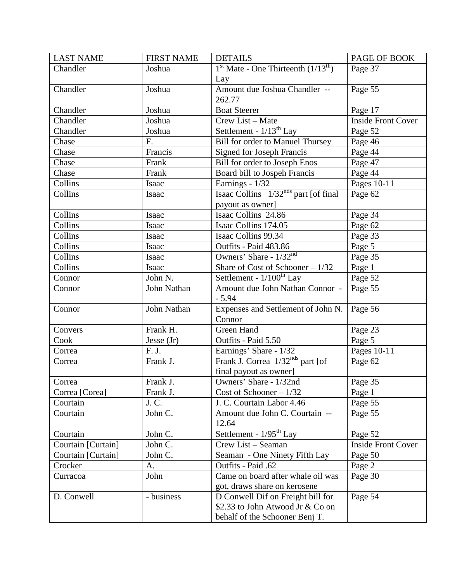| <b>LAST NAME</b>   | <b>FIRST NAME</b> | <b>DETAILS</b>                                   | PAGE OF BOOK              |
|--------------------|-------------------|--------------------------------------------------|---------------------------|
| Chandler           | Joshua            | $1st$ Mate - One Thirteenth $(1/13th)$           | Page 37                   |
|                    |                   | Lay                                              |                           |
| Chandler           | Joshua            | Amount due Joshua Chandler --                    | Page 55                   |
|                    |                   | 262.77                                           |                           |
| Chandler           | Joshua            | <b>Boat Steerer</b>                              | Page 17                   |
| Chandler           | Joshua            | Crew List - Mate                                 | <b>Inside Front Cover</b> |
| Chandler           | Joshua            | Settlement - 1/13 <sup>th</sup> Lay              | Page 52                   |
| Chase              | F.                | <b>Bill for order to Manuel Thursey</b>          | Page 46                   |
| Chase              | Francis           | <b>Signed for Joseph Francis</b>                 | Page 44                   |
| Chase              | Frank             | Bill for order to Joseph Enos                    | Page 47                   |
| Chase              | Frank             | Board bill to Jospeh Francis                     | Page 44                   |
| Collins            | Isaac             | Earnings - 1/32                                  | Pages 10-11               |
| Collins            | Isaac             | Isaac Collins 1/32 <sup>nds</sup> part [of final | Page 62                   |
|                    |                   | payout as owner]                                 |                           |
| Collins            | Isaac             | Isaac Collins 24.86                              | Page 34                   |
| Collins            | Isaac             | Isaac Collins 174.05                             | Page 62                   |
| Collins            | Isaac             | Isaac Collins 99.34                              | Page 33                   |
| Collins            | Isaac             | Outfits - Paid 483.86                            | Page 5                    |
| Collins            | Isaac             | Owners' Share - $1/32^{nd}$                      | Page 35                   |
| Collins            | Isaac             | Share of Cost of Schooner $-1/32$                | Page 1                    |
| Connor             | John N.           | Settlement - $1/100^{th}$ Lay                    | Page 52                   |
| Connor             | John Nathan       | Amount due John Nathan Connor -                  | Page 55                   |
|                    |                   | $-5.94$                                          |                           |
| Connor             | John Nathan       | Expenses and Settlement of John N.               | Page 56                   |
|                    |                   | Connor                                           |                           |
| Convers            | Frank H.          | Green Hand                                       | Page 23                   |
| Cook               | Jesse $(Jr)$      | Outfits - Paid 5.50                              | Page 5                    |
| Correa             | F. J.             | Earnings' Share - 1/32                           | Pages 10-11               |
| Correa             | Frank J.          | Frank J. Correa 1/32 <sup>nds</sup> part [of     | Page 62                   |
|                    |                   | final payout as owner]                           |                           |
| Correa             | Frank J.          | Owners' Share - 1/32nd                           | Page 35                   |
| Correa [Corea]     | Frank J.          | Cost of Schooner $-1/32$                         | Page 1                    |
| Courtain           | J. C.             | J. C. Courtain Labor 4.46                        | Page 55                   |
| Courtain           | John C.           | Amount due John C. Courtain --                   | Page 55                   |
|                    |                   | 12.64                                            |                           |
| Courtain           | John C.           | Settlement - $1/95th$ Lay                        | Page 52                   |
| Courtain [Curtain] | John C.           | Crew List - Seaman                               | <b>Inside Front Cover</b> |
| Courtain [Curtain] | John C.           | Seaman - One Ninety Fifth Lay                    | Page 50                   |
| Crocker            | A.                | Outfits - Paid .62                               | Page 2                    |
| Curracoa           | John              | Came on board after whale oil was                | Page 30                   |
|                    |                   | got, draws share on kerosene                     |                           |
| D. Conwell         | - business        | D Conwell Dif on Freight bill for                | Page 54                   |
|                    |                   | \$2.33 to John Atwood Jr & Co on                 |                           |
|                    |                   | behalf of the Schooner Benj T.                   |                           |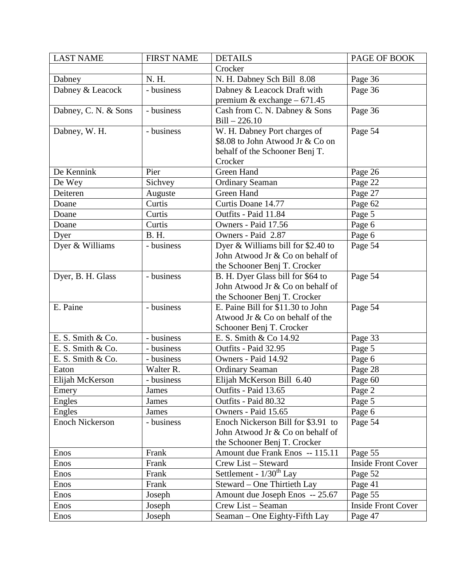| <b>LAST NAME</b>       | <b>FIRST NAME</b> | <b>DETAILS</b>                     | PAGE OF BOOK              |
|------------------------|-------------------|------------------------------------|---------------------------|
|                        |                   | Crocker                            |                           |
| Dabney                 | N. H.             | N. H. Dabney Sch Bill 8.08         | Page 36                   |
| Dabney & Leacock       | - business        | Dabney & Leacock Draft with        | Page 36                   |
|                        |                   | premium & exchange $-671.45$       |                           |
| Dabney, C. N. & Sons   | - business        | Cash from C. N. Dabney & Sons      | Page 36                   |
|                        |                   | $Bill - 226.10$                    |                           |
| Dabney, W. H.          | - business        | W. H. Dabney Port charges of       | Page 54                   |
|                        |                   | \$8.08 to John Atwood Jr & Co on   |                           |
|                        |                   | behalf of the Schooner Benj T.     |                           |
|                        |                   | Crocker                            |                           |
| De Kennink             | Pier              | Green Hand                         | Page 26                   |
| De Wey                 | Sichvey           | <b>Ordinary Seaman</b>             | Page 22                   |
| Deiteren               | Auguste           | Green Hand                         | Page 27                   |
| Doane                  | Curtis            | Curtis Doane 14.77                 | Page 62                   |
| Doane                  | Curtis            | Outfits - Paid 11.84               | Page 5                    |
| Doane                  | Curtis            | Owners - Paid 17.56                | Page 6                    |
| Dyer                   | <b>B.H.</b>       | Owners - Paid 2.87                 | Page 6                    |
| Dyer & Williams        | - business        | Dyer & Williams bill for \$2.40 to | Page 54                   |
|                        |                   | John Atwood Jr & Co on behalf of   |                           |
|                        |                   | the Schooner Benj T. Crocker       |                           |
| Dyer, B. H. Glass      | - business        | B. H. Dyer Glass bill for \$64 to  | Page 54                   |
|                        |                   | John Atwood Jr & Co on behalf of   |                           |
|                        |                   | the Schooner Benj T. Crocker       |                           |
| E. Paine               | - business        | E. Paine Bill for \$11.30 to John  | Page 54                   |
|                        |                   | Atwood Jr & Co on behalf of the    |                           |
|                        |                   | Schooner Benj T. Crocker           |                           |
| E. S. Smith & Co.      | - business        | E. S. Smith & Co 14.92             | Page 33                   |
| E. S. Smith & Co.      | - business        | Outfits - Paid 32.95               | Page 5                    |
| E. S. Smith & Co.      | - business        | Owners - Paid 14.92                | Page 6                    |
| Eaton                  | Walter R.         | <b>Ordinary Seaman</b>             | Page 28                   |
| Elijah McKerson        | - business        | Elijah McKerson Bill 6.40          | Page 60                   |
| Emery                  | James             | Outfits - Paid 13.65               | Page 2                    |
| <b>Engles</b>          | James             | Outfits - Paid 80.32               | Page 5                    |
| <b>Engles</b>          | James             | Owners - Paid 15.65                | Page 6                    |
| <b>Enoch Nickerson</b> | - business        | Enoch Nickerson Bill for \$3.91 to | Page 54                   |
|                        |                   | John Atwood Jr & Co on behalf of   |                           |
|                        |                   | the Schooner Benj T. Crocker       |                           |
| Enos                   | Frank             | Amount due Frank Enos -- 115.11    | Page 55                   |
| Enos                   | Frank             | Crew List - Steward                | <b>Inside Front Cover</b> |
| Enos                   | Frank             | Settlement - $1/30^{th}$ Lay       | Page 52                   |
| Enos                   | Frank             | Steward – One Thirtieth Lay        | Page 41                   |
| Enos                   | Joseph            | Amount due Joseph Enos -- 25.67    | Page 55                   |
| Enos                   | Joseph            | Crew List - Seaman                 | <b>Inside Front Cover</b> |
| Enos                   | Joseph            | Seaman – One Eighty-Fifth Lay      | Page 47                   |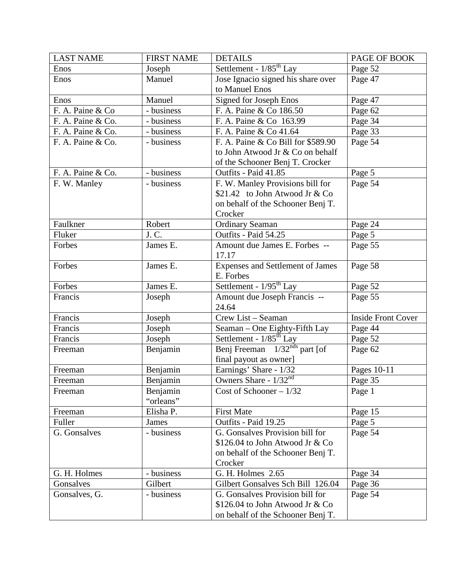| <b>LAST NAME</b>  | <b>FIRST NAME</b> | <b>DETAILS</b>                      | PAGE OF BOOK              |
|-------------------|-------------------|-------------------------------------|---------------------------|
| Enos              | Joseph            | Settlement - 1/85 <sup>th</sup> Lay | Page 52                   |
| Enos              | Manuel            | Jose Ignacio signed his share over  | Page 47                   |
|                   |                   | to Manuel Enos                      |                           |
| Enos              | Manuel            | Signed for Joseph Enos              | Page 47                   |
| F. A. Paine & Co  | - business        | F. A. Paine & Co 186.50             | Page 62                   |
| F. A. Paine & Co. | - business        | F. A. Paine & Co 163.99             | Page 34                   |
| F. A. Paine & Co. | - business        | F. A. Paine & Co 41.64              | Page 33                   |
| F. A. Paine & Co. | - business        | F. A. Paine & Co Bill for \$589.90  | Page 54                   |
|                   |                   | to John Atwood Jr & Co on behalf    |                           |
|                   |                   | of the Schooner Benj T. Crocker     |                           |
| F. A. Paine & Co. | - business        | Outfits - Paid 41.85                | Page 5                    |
| F. W. Manley      | - business        | F. W. Manley Provisions bill for    | Page 54                   |
|                   |                   | \$21.42 to John Atwood Jr & Co      |                           |
|                   |                   | on behalf of the Schooner Benj T.   |                           |
|                   |                   | Crocker                             |                           |
| Faulkner          | Robert            | <b>Ordinary Seaman</b>              | Page 24                   |
| Fluker            | J. C.             | Outfits - Paid 54.25                | Page 5                    |
| Forbes            | James E.          | Amount due James E. Forbes --       | Page 55                   |
|                   |                   | 17.17                               |                           |
| Forbes            | James E.          | Expenses and Settlement of James    | Page 58                   |
|                   |                   | E. Forbes                           |                           |
| Forbes            | James E.          | Settlement - $1/95^{\text{th}}$ Lay | Page 52                   |
| Francis           | Joseph            | Amount due Joseph Francis --        | Page 55                   |
|                   |                   | 24.64                               |                           |
| Francis           | Joseph            | Crew List - Seaman                  | <b>Inside Front Cover</b> |
| Francis           | Joseph            | Seaman – One Eighty-Fifth Lay       | Page 44                   |
| Francis           | Joseph            | Settlement - $1/85^{\text{th}}$ Lay | Page 52                   |
| Freeman           | Benjamin          | Benj Freeman $1/32^{nds}$ part [of  | Page 62                   |
|                   |                   | final payout as owner]              |                           |
| Freeman           | Benjamin          | Earnings' Share - 1/32              | Pages 10-11               |
| Freeman           | Benjamin          | Owners Share - $1/32^{nd}$          | Page 35                   |
| Freeman           | Benjamin          | Cost of Schooner $-1/32$            | Page 1                    |
|                   | "orleans"         |                                     |                           |
| Freeman           | Elisha P.         | <b>First Mate</b>                   | Page 15                   |
| Fuller            | <b>James</b>      | Outfits - Paid 19.25                | Page 5                    |
| G. Gonsalves      | - business        | G. Gonsalves Provision bill for     | Page 54                   |
|                   |                   | \$126.04 to John Atwood Jr & Co     |                           |
|                   |                   | on behalf of the Schooner Benj T.   |                           |
|                   |                   | Crocker                             |                           |
| G. H. Holmes      | - business        | G. H. Holmes 2.65                   | Page 34                   |
| Gonsalves         | Gilbert           | Gilbert Gonsalves Sch Bill 126.04   | Page 36                   |
| Gonsalves, G.     | - business        | G. Gonsalves Provision bill for     | Page 54                   |
|                   |                   | \$126.04 to John Atwood Jr & Co     |                           |
|                   |                   | on behalf of the Schooner Benj T.   |                           |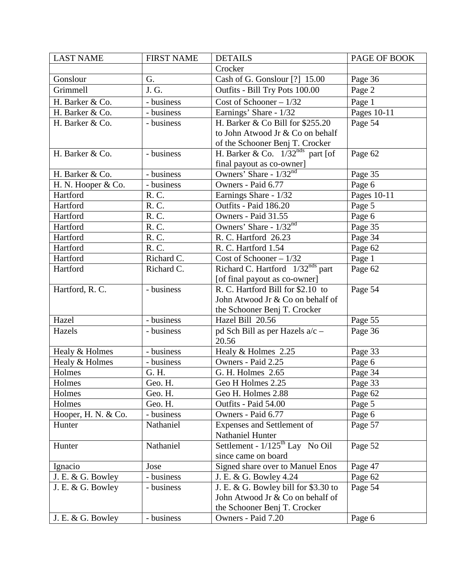| <b>LAST NAME</b>    | <b>FIRST NAME</b>       | <b>DETAILS</b>                              | PAGE OF BOOK |
|---------------------|-------------------------|---------------------------------------------|--------------|
|                     |                         | Crocker                                     |              |
| Gonslour            | G.                      | Cash of G. Gonslour [?] 15.00               | Page 36      |
| Grimmell            | J. G.                   | Outfits - Bill Try Pots 100.00              | Page 2       |
| H. Barker & Co.     | - business              | Cost of Schooner $-1/32$                    | Page 1       |
| H. Barker & Co.     | - business              | Earnings' Share - 1/32                      | Pages 10-11  |
| H. Barker & Co.     | - business              | H. Barker & Co Bill for \$255.20            | Page 54      |
|                     |                         | to John Atwood Jr & Co on behalf            |              |
|                     |                         | of the Schooner Benj T. Crocker             |              |
| H. Barker & Co.     | - business              | H. Barker & Co. $1/32^{nds}$ part [of       | Page 62      |
|                     |                         | final payout as co-owner]                   |              |
| H. Barker & Co.     | $\overline{-}$ business | Owners' Share - 1/32 <sup>nd</sup>          | Page 35      |
| H. N. Hooper & Co.  | - business              | Owners - Paid 6.77                          | Page 6       |
| Hartford            | R. C.                   | Earnings Share - 1/32                       | Pages 10-11  |
| Hartford            | R. C.                   | Outfits - Paid 186.20                       | Page 5       |
| Hartford            | R. C.                   | Owners - Paid 31.55                         | Page 6       |
| Hartford            | R. C.                   | Owners' Share - 1/32 <sup>nd</sup>          | Page 35      |
| Hartford            | R. C.                   | R. C. Hartford 26.23                        | Page 34      |
| Hartford            | R. C.                   | R. C. Hartford 1.54                         | Page 62      |
| Hartford            | Richard C.              | Cost of Schooner - 1/32                     | Page 1       |
| Hartford            | Richard C.              | Richard C. Hartford $1/32^{nds}$ part       | Page 62      |
|                     |                         | [of final payout as co-owner]               |              |
| Hartford, R. C.     | - business              | R. C. Hartford Bill for \$2.10 to           | Page 54      |
|                     |                         | John Atwood Jr & Co on behalf of            |              |
|                     |                         | the Schooner Benj T. Crocker                |              |
| Hazel               | - business              | Hazel Bill 20.56                            | Page 55      |
| Hazels              | - business              | pd Sch Bill as per Hazels a/c -             | Page 36      |
|                     |                         | 20.56                                       |              |
| Healy & Holmes      | - business              | Healy & Holmes 2.25                         | Page 33      |
| Healy & Holmes      | - business              | Owners - Paid 2.25                          | Page 6       |
| Holmes              | G. H.                   | G. H. Holmes 2.65                           | Page 34      |
| Holmes              | Geo. H.                 | Geo H Holmes 2.25                           | Page 33      |
| Holmes              | Geo. H.                 | Geo H. Holmes 2.88                          | Page 62      |
| Holmes              | Geo. H.                 | Outfits - Paid 54.00                        | Page 5       |
| Hooper, H. N. & Co. | - business              | Owners - Paid 6.77                          | Page 6       |
| Hunter              | Nathaniel               | Expenses and Settlement of                  | Page 57      |
|                     |                         | Nathaniel Hunter                            |              |
| Hunter              | Nathaniel               | Settlement - $1/125^{\text{th}}$ Lay No Oil | Page 52      |
|                     |                         | since came on board                         |              |
| Ignacio             | Jose                    | Signed share over to Manuel Enos            | Page 47      |
| J. E. & G. Bowley   | - business              | J. E. & G. Bowley 4.24                      | Page 62      |
| J. E. & G. Bowley   | - business              | J. E. & G. Bowley bill for \$3.30 to        | Page 54      |
|                     |                         | John Atwood Jr & Co on behalf of            |              |
|                     |                         | the Schooner Benj T. Crocker                |              |
| J. E. & G. Bowley   | - business              | Owners - Paid 7.20                          | Page 6       |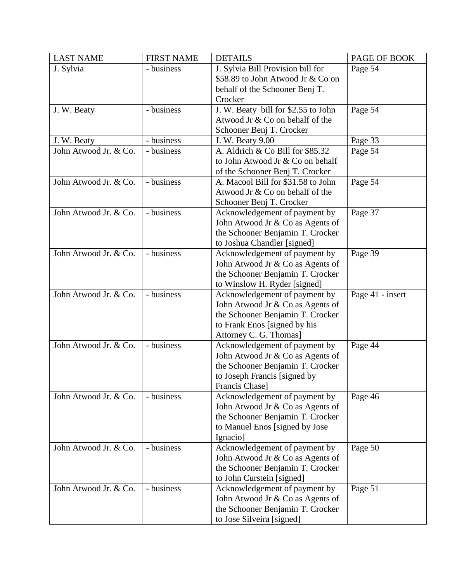| <b>LAST NAME</b>      | <b>FIRST NAME</b> | <b>DETAILS</b>                      | PAGE OF BOOK     |
|-----------------------|-------------------|-------------------------------------|------------------|
| J. Sylvia             | - business        | J. Sylvia Bill Provision bill for   | Page 54          |
|                       |                   | \$58.89 to John Atwood Jr & Co on   |                  |
|                       |                   | behalf of the Schooner Benj T.      |                  |
|                       |                   | Crocker                             |                  |
| J. W. Beaty           | - business        | J. W. Beaty bill for \$2.55 to John | Page 54          |
|                       |                   | Atwood Jr & Co on behalf of the     |                  |
|                       |                   | Schooner Benj T. Crocker            |                  |
| J. W. Beaty           | - business        | J. W. Beaty 9.00                    | Page 33          |
| John Atwood Jr. & Co. | - business        | A. Aldrich & Co Bill for \$85.32    | Page 54          |
|                       |                   | to John Atwood Jr & Co on behalf    |                  |
|                       |                   | of the Schooner Benj T. Crocker     |                  |
| John Atwood Jr. & Co. | - business        | A. Macool Bill for \$31.58 to John  | Page 54          |
|                       |                   | Atwood Jr & Co on behalf of the     |                  |
|                       |                   | Schooner Benj T. Crocker            |                  |
| John Atwood Jr. & Co. | - business        | Acknowledgement of payment by       | Page 37          |
|                       |                   | John Atwood Jr & Co as Agents of    |                  |
|                       |                   | the Schooner Benjamin T. Crocker    |                  |
|                       |                   | to Joshua Chandler [signed]         |                  |
| John Atwood Jr. & Co. | - business        | Acknowledgement of payment by       | Page 39          |
|                       |                   | John Atwood Jr & Co as Agents of    |                  |
|                       |                   | the Schooner Benjamin T. Crocker    |                  |
|                       |                   | to Winslow H. Ryder [signed]        |                  |
| John Atwood Jr. & Co. | - business        | Acknowledgement of payment by       | Page 41 - insert |
|                       |                   | John Atwood Jr & Co as Agents of    |                  |
|                       |                   | the Schooner Benjamin T. Crocker    |                  |
|                       |                   | to Frank Enos [signed by his        |                  |
|                       |                   | Attorney C. G. Thomas]              |                  |
| John Atwood Jr. & Co. | - business        | Acknowledgement of payment by       | Page 44          |
|                       |                   | John Atwood Jr & Co as Agents of    |                  |
|                       |                   | the Schooner Benjamin T. Crocker    |                  |
|                       |                   | to Joseph Francis [signed by        |                  |
|                       |                   | Francis Chase]                      |                  |
| John Atwood Jr. & Co. | - business        | Acknowledgement of payment by       | Page 46          |
|                       |                   | John Atwood Jr & Co as Agents of    |                  |
|                       |                   | the Schooner Benjamin T. Crocker    |                  |
|                       |                   | to Manuel Enos [signed by Jose      |                  |
|                       |                   | Ignacio]                            |                  |
| John Atwood Jr. & Co. | - business        | Acknowledgement of payment by       | Page 50          |
|                       |                   | John Atwood Jr & Co as Agents of    |                  |
|                       |                   | the Schooner Benjamin T. Crocker    |                  |
|                       |                   | to John Curstein [signed]           |                  |
| John Atwood Jr. & Co. | - business        | Acknowledgement of payment by       | Page 51          |
|                       |                   | John Atwood Jr & Co as Agents of    |                  |
|                       |                   | the Schooner Benjamin T. Crocker    |                  |
|                       |                   | to Jose Silveira [signed]           |                  |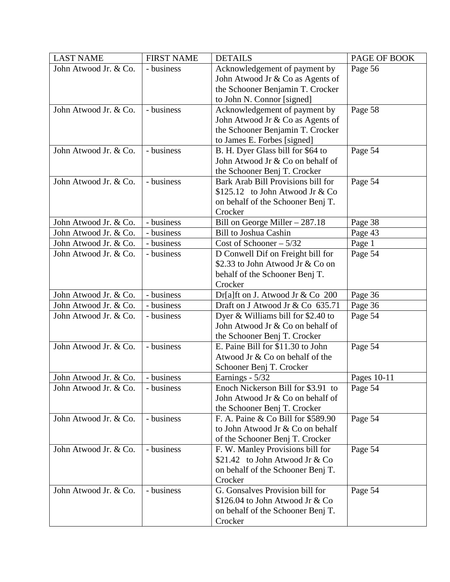| <b>LAST NAME</b>      | <b>FIRST NAME</b> | <b>DETAILS</b>                     | PAGE OF BOOK |
|-----------------------|-------------------|------------------------------------|--------------|
| John Atwood Jr. & Co. | - business        | Acknowledgement of payment by      | Page 56      |
|                       |                   | John Atwood Jr & Co as Agents of   |              |
|                       |                   | the Schooner Benjamin T. Crocker   |              |
|                       |                   | to John N. Connor [signed]         |              |
| John Atwood Jr. & Co. | - business        | Acknowledgement of payment by      | Page 58      |
|                       |                   | John Atwood Jr & Co as Agents of   |              |
|                       |                   | the Schooner Benjamin T. Crocker   |              |
|                       |                   | to James E. Forbes [signed]        |              |
| John Atwood Jr. & Co. | - business        | B. H. Dyer Glass bill for \$64 to  | Page 54      |
|                       |                   | John Atwood Jr & Co on behalf of   |              |
|                       |                   | the Schooner Benj T. Crocker       |              |
| John Atwood Jr. & Co. | - business        | Bark Arab Bill Provisions bill for | Page 54      |
|                       |                   | $$125.12$ to John Atwood Jr & Co   |              |
|                       |                   | on behalf of the Schooner Benj T.  |              |
|                       |                   | Crocker                            |              |
| John Atwood Jr. & Co. | - business        | Bill on George Miller $-287.18$    | Page 38      |
| John Atwood Jr. & Co. | - business        | <b>Bill to Joshua Cashin</b>       | Page 43      |
| John Atwood Jr. & Co. | - business        | Cost of Schooner $-5/32$           | Page 1       |
| John Atwood Jr. & Co. | - business        | D Conwell Dif on Freight bill for  | Page 54      |
|                       |                   | \$2.33 to John Atwood Jr & Co on   |              |
|                       |                   | behalf of the Schooner Benj T.     |              |
|                       |                   | Crocker                            |              |
| John Atwood Jr. & Co. | - business        | Dr[a]ft on J. Atwood Jr & Co 200   | Page 36      |
| John Atwood Jr. & Co. | - business        | Draft on J Atwood Jr & Co 635.71   | Page 36      |
| John Atwood Jr. & Co. | - business        | Dyer & Williams bill for \$2.40 to | Page 54      |
|                       |                   | John Atwood Jr & Co on behalf of   |              |
|                       |                   | the Schooner Benj T. Crocker       |              |
| John Atwood Jr. & Co. | - business        | E. Paine Bill for \$11.30 to John  | Page 54      |
|                       |                   | Atwood Jr & Co on behalf of the    |              |
|                       |                   | Schooner Benj T. Crocker           |              |
| John Atwood Jr. & Co. | - business        | Earnings - 5/32                    | Pages 10-11  |
| John Atwood Jr. & Co. | - business        | Enoch Nickerson Bill for \$3.91 to | Page 54      |
|                       |                   | John Atwood Jr & Co on behalf of   |              |
|                       |                   | the Schooner Benj T. Crocker       |              |
| John Atwood Jr. & Co. | - business        | F. A. Paine & Co Bill for \$589.90 | Page 54      |
|                       |                   | to John Atwood Jr & Co on behalf   |              |
|                       |                   | of the Schooner Benj T. Crocker    |              |
| John Atwood Jr. & Co. | - business        | F. W. Manley Provisions bill for   | Page 54      |
|                       |                   | \$21.42 to John Atwood Jr & Co     |              |
|                       |                   | on behalf of the Schooner Benj T.  |              |
|                       |                   | Crocker                            |              |
| John Atwood Jr. & Co. | - business        | G. Gonsalves Provision bill for    | Page 54      |
|                       |                   | \$126.04 to John Atwood Jr & Co    |              |
|                       |                   | on behalf of the Schooner Benj T.  |              |
|                       |                   | Crocker                            |              |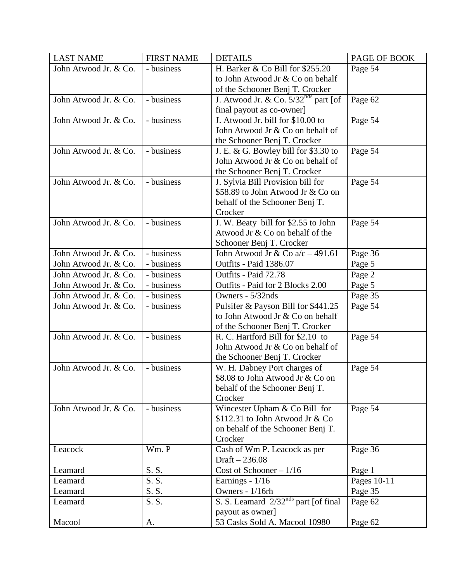| <b>LAST NAME</b>      | <b>FIRST NAME</b> | <b>DETAILS</b>                                       | PAGE OF BOOK |
|-----------------------|-------------------|------------------------------------------------------|--------------|
| John Atwood Jr. & Co. | - business        | H. Barker & Co Bill for \$255.20                     | Page 54      |
|                       |                   | to John Atwood Jr & Co on behalf                     |              |
|                       |                   | of the Schooner Benj T. Crocker                      |              |
| John Atwood Jr. & Co. | - business        | J. Atwood Jr. & Co. $5/32^{\overline{nds}}$ part [of | Page 62      |
|                       |                   | final payout as co-owner]                            |              |
| John Atwood Jr. & Co. | - business        | J. Atwood Jr. bill for \$10.00 to                    | Page 54      |
|                       |                   | John Atwood Jr & Co on behalf of                     |              |
|                       |                   | the Schooner Benj T. Crocker                         |              |
| John Atwood Jr. & Co. | - business        | J. E. & G. Bowley bill for $$3.30$ to                | Page 54      |
|                       |                   | John Atwood Jr & Co on behalf of                     |              |
|                       |                   | the Schooner Benj T. Crocker                         |              |
| John Atwood Jr. & Co. | - business        | J. Sylvia Bill Provision bill for                    | Page 54      |
|                       |                   | \$58.89 to John Atwood Jr & Co on                    |              |
|                       |                   | behalf of the Schooner Benj T.                       |              |
|                       |                   | Crocker                                              |              |
| John Atwood Jr. & Co. | - business        | J. W. Beaty bill for \$2.55 to John                  | Page 54      |
|                       |                   | Atwood Jr & Co on behalf of the                      |              |
|                       |                   | Schooner Benj T. Crocker                             |              |
| John Atwood Jr. & Co. | - business        | John Atwood Jr & Co a/c - 491.61                     | Page 36      |
| John Atwood Jr. & Co. | - business        | Outfits - Paid 1386.07                               | Page 5       |
| John Atwood Jr. & Co. | - business        | Outfits - Paid 72.78                                 | Page 2       |
| John Atwood Jr. & Co. | - business        | Outfits - Paid for 2 Blocks 2.00                     | Page 5       |
| John Atwood Jr. & Co. | - business        | Owners - 5/32nds                                     | Page 35      |
| John Atwood Jr. & Co. | - business        | Pulsifer & Payson Bill for \$441.25                  | Page 54      |
|                       |                   | to John Atwood Jr & Co on behalf                     |              |
|                       |                   | of the Schooner Benj T. Crocker                      |              |
| John Atwood Jr. & Co. | - business        | R. C. Hartford Bill for \$2.10 to                    | Page 54      |
|                       |                   | John Atwood Jr & Co on behalf of                     |              |
|                       |                   | the Schooner Benj T. Crocker                         |              |
| John Atwood Jr. & Co. | - business        | W. H. Dabney Port charges of                         | Page 54      |
|                       |                   | \$8.08 to John Atwood Jr & Co on                     |              |
|                       |                   | behalf of the Schooner Benj T.                       |              |
|                       |                   | Crocker                                              |              |
| John Atwood Jr. & Co. | - business        | Wincester Upham & Co Bill for                        | Page 54      |
|                       |                   | \$112.31 to John Atwood Jr & Co                      |              |
|                       |                   | on behalf of the Schooner Benj T.                    |              |
|                       |                   | Crocker                                              |              |
| Leacock               | Wm. P             | Cash of Wm P. Leacock as per                         | Page 36      |
|                       |                   | Draft $-236.08$                                      |              |
| Leamard               | S.S.              | Cost of Schooner $-1/16$                             | Page 1       |
| Leamard               | S. S.             | Earnings - 1/16                                      | Pages 10-11  |
| Leamard               | S. S.             | Owners - 1/16rh                                      | Page 35      |
| Leamard               | S. S.             | S. S. Leamard $2/32^{nds}$ part [of final            | Page 62      |
|                       |                   | payout as owner]                                     |              |
| Macool                | A.                | 53 Casks Sold A. Macool 10980                        | Page 62      |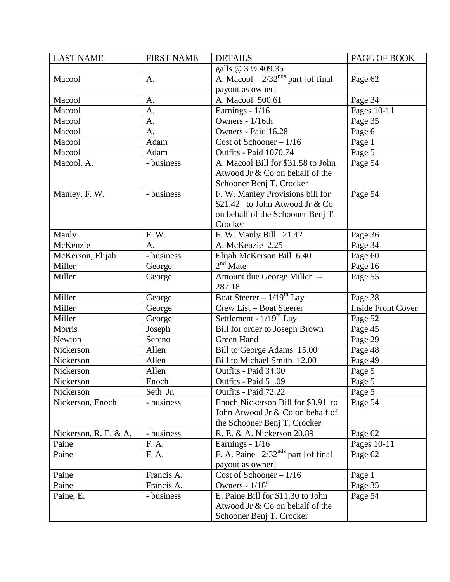| <b>LAST NAME</b>      | <b>FIRST NAME</b> | <b>DETAILS</b>                           | PAGE OF BOOK              |
|-----------------------|-------------------|------------------------------------------|---------------------------|
|                       |                   | galls @ 3 1/2 409.35                     |                           |
| Macool                | Α.                | A. Macool $2/32^{nds}$ part [of final    | Page 62                   |
|                       |                   | payout as owner]                         |                           |
| Macool                | A.                | A. Macool 500.61                         | Page 34                   |
| Macool                | A.                | Earnings - $1/16$                        | Pages 10-11               |
| Macool                | A.                | Owners - 1/16th                          | Page 35                   |
| Macool                | A.                | Owners - Paid 16.28                      | Page 6                    |
| Macool                | Adam              | Cost of Schooner - 1/16                  | Page 1                    |
| Macool                | Adam              | <b>Outfits - Paid 1070.74</b>            | Page 5                    |
| Macool, A.            | - business        | A. Macool Bill for \$31.58 to John       | Page 54                   |
|                       |                   | Atwood Jr & Co on behalf of the          |                           |
|                       |                   | Schooner Benj T. Crocker                 |                           |
| Manley, F. W.         | - business        | F. W. Manley Provisions bill for         | Page 54                   |
|                       |                   | \$21.42 to John Atwood Jr & Co           |                           |
|                       |                   | on behalf of the Schooner Benj T.        |                           |
|                       |                   | Crocker                                  |                           |
| Manly                 | F. W.             | F. W. Manly Bill 21.42                   | Page 36                   |
| McKenzie              | A.                | A. McKenzie 2.25                         | Page 34                   |
| McKerson, Elijah      | - business        | Elijah McKerson Bill 6.40                | Page 60                   |
| Miller                | George            | $2nd$ Mate                               | Page 16                   |
| Miller                | George            | Amount due George Miller --              | Page 55                   |
|                       |                   | 287.18                                   |                           |
| Miller                | George            | Boat Steerer – $1/19^{th}$ Lay           | Page 38                   |
| Miller                | George            | Crew List - Boat Steerer                 | <b>Inside Front Cover</b> |
| Miller                | George            | Settlement - $1/19^{th}$ Lay             | Page 52                   |
| Morris                | Joseph            | Bill for order to Joseph Brown           | Page 45                   |
| Newton                | Sereno            | Green Hand                               | Page 29                   |
| Nickerson             | Allen             | Bill to George Adams 15.00               | Page 48                   |
| Nickerson             | Allen             | Bill to Michael Smith 12.00              | Page 49                   |
| Nickerson             | Allen             | Outfits - Paid 34.00                     | Page 5                    |
| Nickerson             | Enoch             | Outfits - Paid 51.09                     | Page 5                    |
| Nickerson             | Seth Jr.          | Outfits - Paid 72.22                     | Page 5                    |
| Nickerson, Enoch      | - business        | Enoch Nickerson Bill for \$3.91 to       | Page 54                   |
|                       |                   | John Atwood Jr & Co on behalf of         |                           |
|                       |                   | the Schooner Benj T. Crocker             |                           |
| Nickerson, R. E. & A. | - business        | R. E. & A. Nickerson 20.89               | Page 62                   |
| Paine                 | F. A.             | Earnings - 1/16                          | Pages 10-11               |
| Paine                 | F. A.             | F. A. Paine $2/32^{nds}$ part [of final] | Page 62                   |
|                       |                   | payout as owner]                         |                           |
| Paine                 | Francis A.        | Cost of Schooner $-1/16$                 | Page 1                    |
| Paine                 | Francis A.        | Owners - $1/16^{th}$                     | Page 35                   |
| Paine, E.             | - business        | E. Paine Bill for \$11.30 to John        | Page 54                   |
|                       |                   | Atwood Jr & Co on behalf of the          |                           |
|                       |                   | Schooner Benj T. Crocker                 |                           |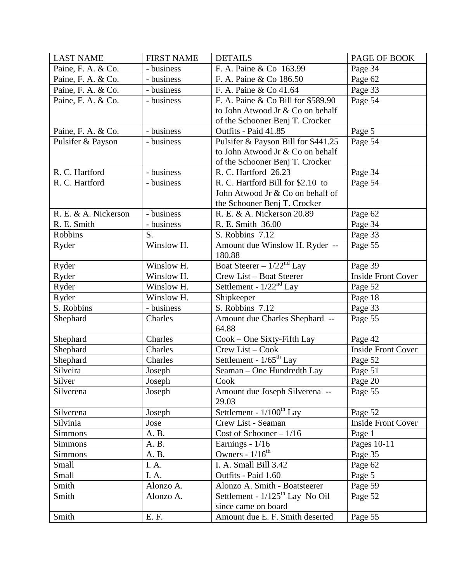| <b>LAST NAME</b>     | <b>FIRST NAME</b> | <b>DETAILS</b>                       | PAGE OF BOOK              |
|----------------------|-------------------|--------------------------------------|---------------------------|
| Paine, F. A. & Co.   | - business        | F. A. Paine & Co 163.99              | Page 34                   |
| Paine, F. A. & Co.   | - business        | F. A. Paine & Co 186.50              | Page 62                   |
| Paine, F. A. & Co.   | - business        | F. A. Paine & Co 41.64               | Page 33                   |
| Paine, F. A. & Co.   | - business        | F. A. Paine & Co Bill for \$589.90   | Page 54                   |
|                      |                   | to John Atwood Jr & Co on behalf     |                           |
|                      |                   | of the Schooner Benj T. Crocker      |                           |
| Paine, F. A. & Co.   | - business        | Outfits - Paid 41.85                 | Page 5                    |
| Pulsifer & Payson    | - business        | Pulsifer & Payson Bill for \$441.25  | Page 54                   |
|                      |                   | to John Atwood Jr & Co on behalf     |                           |
|                      |                   | of the Schooner Benj T. Crocker      |                           |
| R. C. Hartford       | - business        | R. C. Hartford 26.23                 | Page 34                   |
| R. C. Hartford       | - business        | R. C. Hartford Bill for \$2.10 to    | Page 54                   |
|                      |                   | John Atwood Jr & Co on behalf of     |                           |
|                      |                   | the Schooner Benj T. Crocker         |                           |
| R. E. & A. Nickerson | - business        | R. E. & A. Nickerson 20.89           | Page 62                   |
| R. E. Smith          | - business        | R. E. Smith 36.00                    | Page 34                   |
| Robbins              | S.                | S. Robbins 7.12                      | Page 33                   |
| Ryder                | Winslow H.        | Amount due Winslow H. Ryder --       | Page 55                   |
|                      |                   | 180.88                               |                           |
| Ryder                | Winslow H.        | Boat Steerer – $1/22nd$ Lay          | Page 39                   |
| Ryder                | Winslow H.        | Crew List - Boat Steerer             | <b>Inside Front Cover</b> |
| Ryder                | Winslow H.        | Settlement - $1/22^{nd}$ Lay         | Page 52                   |
| Ryder                | Winslow H.        | Shipkeeper                           | Page 18                   |
| S. Robbins           | - business        | S. Robbins 7.12                      | Page 33                   |
| Shephard             | Charles           | Amount due Charles Shephard --       | Page 55                   |
|                      |                   | 64.88                                |                           |
| Shephard             | Charles           | Cook – One Sixty-Fifth Lay           | Page 42                   |
| Shephard             | Charles           | Crew List - Cook                     | <b>Inside Front Cover</b> |
| Shephard             | Charles           | Settlement - 1/65 <sup>th</sup> Lay  | Page 52                   |
| Silveira             | Joseph            | Seaman – One Hundredth Lay           | Page 51                   |
| Silver               | Joseph            | Cook                                 | Page 20                   |
| Silverena            | Joseph            | Amount due Joseph Silverena --       | Page 55                   |
|                      |                   | 29.03                                |                           |
| Silverena            | Joseph            | Settlement - $1/100^{th}$ Lay        | Page 52                   |
| Silvinia             | Jose              | Crew List - Seaman                   | <b>Inside Front Cover</b> |
| <b>Simmons</b>       | A. B.             | Cost of Schooner $-1/16$             | Page 1                    |
| Simmons              | A. B.             | Earnings - 1/16                      | Pages 10-11               |
| Simmons              | A. B.             | Owners $-1/16^{th}$                  | Page 35                   |
| Small                | I.A.              | $\overline{I}$ . A. Small Bill 3.42  | Page 62                   |
| Small                | I.A.              | Outfits - Paid 1.60                  | Page 5                    |
| Smith                | Alonzo A.         | Alonzo A. Smith - Boatsteerer        | Page 59                   |
| Smith                | Alonzo A.         | Settlement - $1/125^{th}$ Lay No Oil | Page 52                   |
|                      |                   | since came on board                  |                           |
| Smith                | E. F.             | Amount due E. F. Smith deserted      | Page 55                   |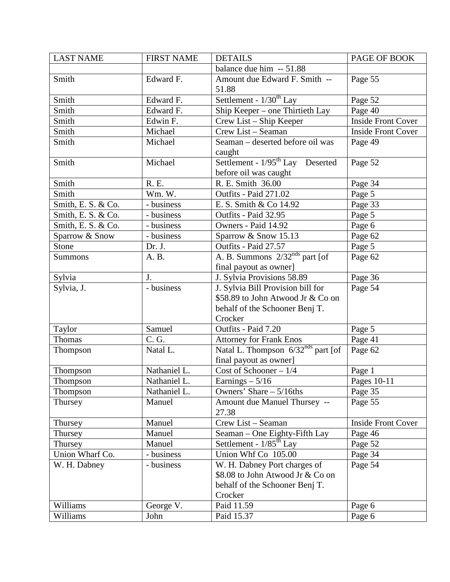| <b>LAST NAME</b>     | <b>FIRST NAME</b> | <b>DETAILS</b>                                 | PAGE OF BOOK              |
|----------------------|-------------------|------------------------------------------------|---------------------------|
|                      |                   | balance due him -- 51.88                       |                           |
| Smith                | Edward F.         | Amount due Edward F. Smith --                  | Page 55                   |
|                      |                   | 51.88                                          |                           |
| Smith                | Edward F.         | Settlement - $1/30^{th}$ Lay                   | Page 52                   |
| Smith                | Edward F.         | Ship Keeper – one Thirtieth Lay                | Page 40                   |
| Smith                | Edwin F.          | Crew List - Ship Keeper                        | <b>Inside Front Cover</b> |
| Smith                | Michael           | Crew List - Seaman                             | <b>Inside Front Cover</b> |
| Smith                | Michael           | Seaman - deserted before oil was               | Page 49                   |
|                      |                   | caught                                         |                           |
| Smith                | Michael           | Settlement - 1/95 <sup>th</sup> Lay Deserted   | Page 52                   |
|                      |                   | before oil was caught                          |                           |
| Smith                | <b>R.</b> E.      | R. E. Smith 36.00                              | Page 34                   |
| Smith                | Wm. W.            | Outfits - Paid 271.02                          | Page 5                    |
| Smith, E. S. $& Co.$ | - business        | E. S. Smith & Co 14.92                         | Page 33                   |
| Smith, E. S. & Co.   | - business        | Outfits - Paid 32.95                           | Page 5                    |
| Smith, E. S. & Co.   | - business        | Owners - Paid 14.92                            | Page 6                    |
| Sparrow & Snow       | - business        | Sparrow & Snow 15.13                           | Page 62                   |
| Stone                | Dr. J.            | Outfits - Paid 27.57                           | Page 5                    |
| Summons              | A. B.             | A. B. Summons $2/32^{nds}$ part [of            | Page 62                   |
|                      |                   | final payout as owner]                         |                           |
| Sylvia               | J.                | J. Sylvia Provisions 58.89                     | Page 36                   |
| Sylvia, J.           | - business        | J. Sylvia Bill Provision bill for              | Page 54                   |
|                      |                   | \$58.89 to John Atwood Jr & Co on              |                           |
|                      |                   | behalf of the Schooner Benj T.                 |                           |
|                      |                   | Crocker                                        |                           |
| Taylor               | Samuel            | Outfits - Paid 7.20                            | Page 5                    |
| Thomas               | C. G.             | <b>Attorney for Frank Enos</b>                 | Page 41                   |
| Thompson             | Natal L.          | Natal L. Thompson 6/32 <sup>nds</sup> part [of | Page 62                   |
|                      |                   | final payout as owner]                         |                           |
| Thompson             | Nathaniel L.      | Cost of Schooner $-1/4$                        | Page 1                    |
| Thompson             | Nathaniel L.      | Earnings $-5/16$                               | Pages 10-11               |
| Thompson             | Nathaniel L.      | Owners' Share $-5/16$ ths                      | Page 35                   |
| Thursey              | Manuel            | Amount due Manuel Thursey --                   | Page 55                   |
|                      |                   | 27.38                                          |                           |
| Thursey              | Manuel            | Crew List - Seaman                             | <b>Inside Front Cover</b> |
| Thursey              | Manuel            | Seaman - One Eighty-Fifth Lay                  | Page 46                   |
| Thursey              | Manuel            | Settlement - $1/85^{\text{th}}$ Lay            | Page 52                   |
| Union Wharf Co.      | - business        | Union Whf Co 105.00                            | Page 34                   |
| W. H. Dabney         | - business        | W. H. Dabney Port charges of                   | Page 54                   |
|                      |                   | \$8.08 to John Atwood Jr & Co on               |                           |
|                      |                   | behalf of the Schooner Benj T.                 |                           |
|                      |                   | Crocker                                        |                           |
| Williams             | George V.         | Paid 11.59                                     | Page 6                    |
| Williams             | John              | Paid 15.37                                     | Page 6                    |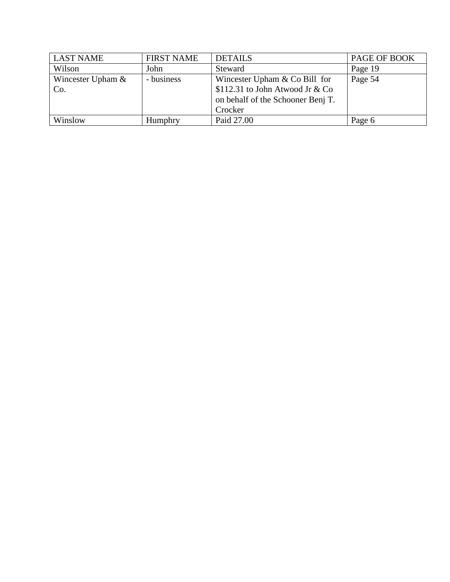| <b>LAST NAME</b>         | <b>FIRST NAME</b> | <b>DETAILS</b>                                                                                                     | PAGE OF BOOK |
|--------------------------|-------------------|--------------------------------------------------------------------------------------------------------------------|--------------|
| Wilson                   | John              | Steward                                                                                                            | Page 19      |
| Wincester Upham &<br>Co. | - business        | Wincester Upham $& Co$ Bill for<br>\$112.31 to John Atwood Jr & Co<br>on behalf of the Schooner Benj T.<br>Crocker | Page 54      |
| Winslow                  | Humphry           | Paid 27.00                                                                                                         | Page 6       |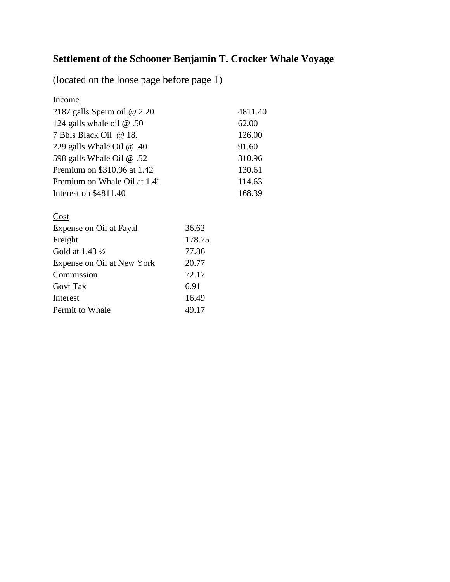# **Settlement of the Schooner Benjamin T. Crocker Whale Voyage**

(located on the loose page before page 1)

Income

| 2187 galls Sperm oil $@$ 2.20    | 4811.40 |
|----------------------------------|---------|
| 124 galls whale oil $\omega$ .50 | 62.00   |
| 7 Bbls Black Oil @ 18.           | 126.00  |
| 229 galls Whale Oil $\omega$ .40 | 91.60   |
| 598 galls Whale Oil @ .52        | 310.96  |
| Premium on \$310.96 at 1.42      | 130.61  |
| Premium on Whale Oil at 1.41     | 114.63  |
| Interest on \$4811.40            | 168.39  |
| Cost                             |         |

| Expense on Oil at Fayal    | 36.62  |
|----------------------------|--------|
| Freight                    | 178.75 |
| Gold at $1.43\frac{1}{2}$  | 77.86  |
| Expense on Oil at New York | 20.77  |
| Commission                 | 72.17  |
| <b>Govt Tax</b>            | 6.91   |
| Interest                   | 16.49  |
| Permit to Whale            | 49.17  |
|                            |        |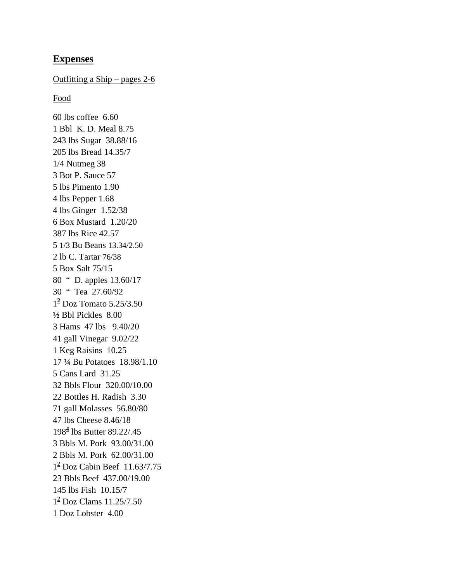# **Expenses**

# Outfitting a Ship – pages 2-6

Food

60 lbs coffee 6.60 1 Bbl K. D. Meal 8.75 243 lbs Sugar 38.88/16 205 lbs Bread 14.35/7 1/4 Nutmeg 38 3 Bot P. Sauce 57 5 lbs Pimento 1.90 4 lbs Pepper 1.68 4 lbs Ginger 1.52/38 6 Box Mustard 1.20/20 387 lbs Rice 42.57 5 1/3 Bu Beans 13.34/2.50 2 lb C. Tartar 76/38 5 Box Salt 75/15 80 " D. apples 13.60/17 30 " Tea 27.60/92 1**<sup>2</sup>** Doz Tomato 5.25/3.50 **½** Bbl Pickles 8.00 3 Hams 47 lbs 9.40/20 41 gall Vinegar 9.02/22 1 Keg Raisins 10.25 17 **¼** Bu Potatoes 18.98/1.10 5 Cans Lard 31.25 32 Bbls Flour 320.00/10.00 22 Bottles H. Radish 3.30 71 gall Molasses 56.80/80 47 lbs Cheese 8.46/18 198**<sup>4</sup>** lbs Butter 89.22/.45 3 Bbls M. Pork 93.00/31.00 2 Bbls M. Pork 62.00/31.00 1**<sup>2</sup>** Doz Cabin Beef 11.63/7.75 23 Bbls Beef 437.00/19.00 145 lbs Fish 10.15/7 1**<sup>2</sup>** Doz Clams 11.25/7.50 1 Doz Lobster 4.00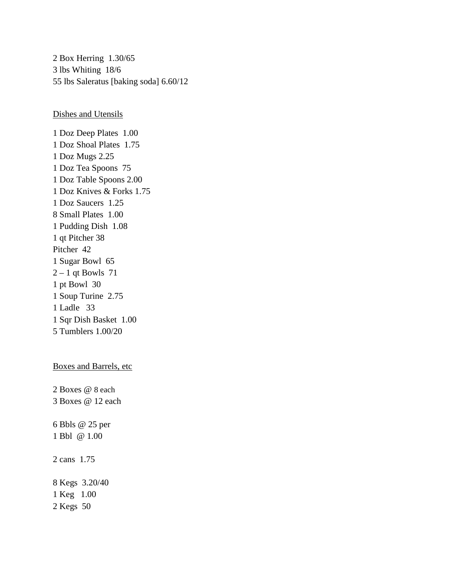2 Box Herring 1.30/65 3 lbs Whiting 18/6 55 lbs Saleratus [baking soda] 6.60/12

Dishes and Utensils

1 Doz Deep Plates 1.00 1 Doz Shoal Plates 1.75 1 Doz Mugs 2.25 1 Doz Tea Spoons 75 1 Doz Table Spoons 2.00 1 Doz Knives & Forks 1.75 1 Doz Saucers 1.25 8 Small Plates 1.00 1 Pudding Dish 1.08 1 qt Pitcher 38 Pitcher 42 1 Sugar Bowl 65  $2 - 1$  qt Bowls 71 1 pt Bowl 30 1 Soup Turine 2.75 1 Ladle 33 1 Sqr Dish Basket 1.00 5 Tumblers 1.00/20

## Boxes and Barrels, etc

2 Boxes @ 8 each 3 Boxes @ 12 each 6 Bbls @ 25 per 1 Bbl @ 1.00 2 cans 1.75 8 Kegs 3.20/40 1 Keg 1.00

2 Kegs 50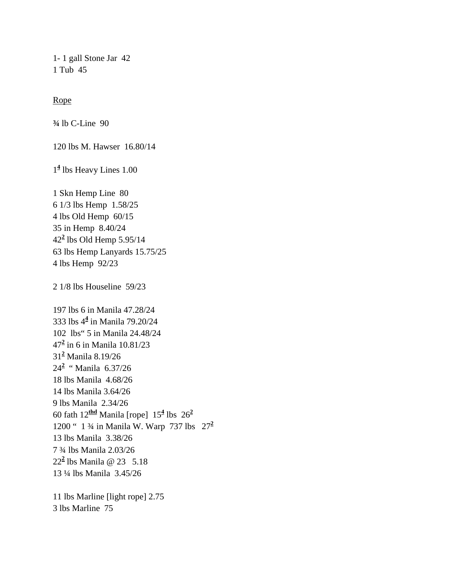1- 1 gall Stone Jar 42 1 Tub 45

## Rope

**¾** lb C-Line 90

120 lbs M. Hawser 16.80/14

1**<sup>4</sup>** lbs Heavy Lines 1.00

1 Skn Hemp Line 80 6 1/3 lbs Hemp 1.58/25 4 lbs Old Hemp 60/15 35 in Hemp 8.40/24 42**<sup>2</sup>** lbs Old Hemp 5.95/14 63 lbs Hemp Lanyards 15.75/25 4 lbs Hemp 92/23

2 1/8 lbs Houseline 59/23

197 lbs 6 in Manila 47.28/24 333 lbs 4**<sup>4</sup>** in Manila 79.20/24 102 lbs" 5 in Manila 24.48/24 47**<sup>2</sup>** in 6 in Manila 10.81/23 31**<sup>2</sup>** Manila 8.19/26 24**<sup>2</sup>** " Manila 6.37/26 18 lbs Manila 4.68/26 14 lbs Manila 3.64/26 9 lbs Manila 2.34/26 60 fath 12**thd** Manila [rope] 15**<sup>4</sup>** lbs 26**<sup>2</sup>** 1200 " 1 ¾ in Manila W. Warp 737 lbs 27**<sup>2</sup>** 13 lbs Manila 3.38/26 7 ¾ lbs Manila 2.03/26 22**<sup>2</sup>** lbs Manila @ 23 5.18 13 ¼ lbs Manila 3.45/26

11 lbs Marline [light rope] 2.75 3 lbs Marline 75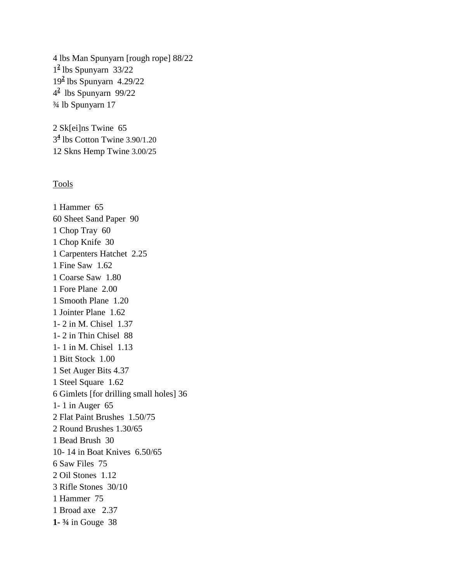4 lbs Man Spunyarn [rough rope] 88/22 1**<sup>2</sup>** lbs Spunyarn 33/22 19**<sup>2</sup>** lbs Spunyarn 4.29/22 4**2** lbs Spunyarn 99/22 ¾ lb Spunyarn 17

2 Sk[ei]ns Twine 65 3**<sup>4</sup>** lbs Cotton Twine 3.90/1.20 12 Skns Hemp Twine 3.00/25

## Tools

1 Hammer 65 60 Sheet Sand Paper 90 1 Chop Tray 60 1 Chop Knife 30 1 Carpenters Hatchet 2.25 1 Fine Saw 1.62 1 Coarse Saw 1.80 1 Fore Plane 2.00 1 Smooth Plane 1.20 1 Jointer Plane 1.62 1- 2 in M. Chisel 1.37 1- 2 in Thin Chisel 88 1- 1 in M. Chisel 1.13 1 Bitt Stock 1.00 1 Set Auger Bits 4.37 1 Steel Square 1.62 6 Gimlets [for drilling small holes] 36 1- 1 in Auger 65 2 Flat Paint Brushes 1.50/75 2 Round Brushes 1.30/65 1 Bead Brush 30 10- 14 in Boat Knives 6.50/65 6 Saw Files 75 2 Oil Stones 1.12 3 Rifle Stones 30/10 1 Hammer 75 1 Broad axe 2.37 **1- ¾** in Gouge 38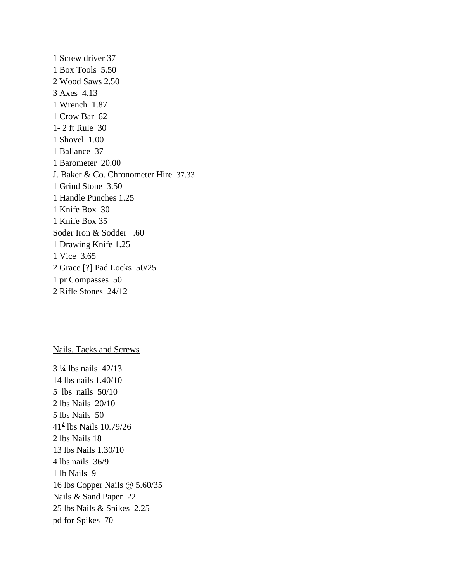1 Screw driver 37 1 Box Tools 5.50 2 Wood Saws 2.50 3 Axes 4.13 1 Wrench 1.87 1 Crow Bar 62 1- 2 ft Rule 30 1 Shovel 1.00 1 Ballance 37 1 Barometer 20.00 J. Baker & Co. Chronometer Hire 37.33 1 Grind Stone 3.50 1 Handle Punches 1.25 1 Knife Box 30 1 Knife Box 35 Soder Iron & Sodder .60 1 Drawing Knife 1.25 1 Vice 3.65 2 Grace [?] Pad Locks 50/25 1 pr Compasses 50 2 Rifle Stones 24/12

#### Nails, Tacks and Screws

3 ¼ lbs nails 42/13 14 lbs nails 1.40/10 5 lbs nails 50/10 2 lbs Nails 20/10 5 lbs Nails 50 41**<sup>2</sup>** lbs Nails 10.79/26 2 lbs Nails 18 13 lbs Nails 1.30/10 4 lbs nails 36/9 1 lb Nails 9 16 lbs Copper Nails @ 5.60/35 Nails & Sand Paper 22 25 lbs Nails & Spikes 2.25 pd for Spikes 70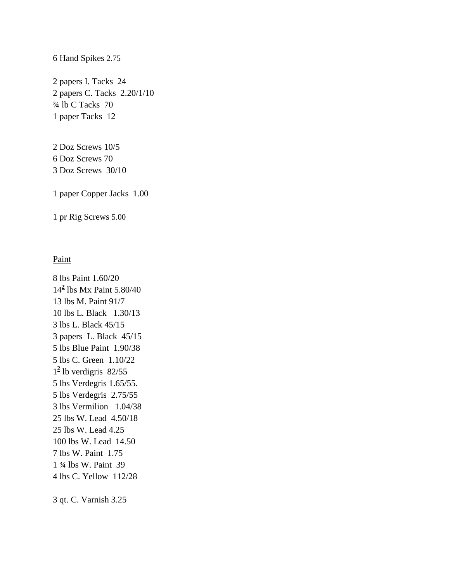#### 6 Hand Spikes 2.75

2 papers I. Tacks 24 2 papers C. Tacks 2.20/1/10 ¾ lb C Tacks 70 1 paper Tacks 12

2 Doz Screws 10/5 6 Doz Screws 70 3 Doz Screws 30/10

1 paper Copper Jacks 1.00

1 pr Rig Screws 5.00

## Paint

8 lbs Paint 1.60/20 14**<sup>2</sup>** lbs Mx Paint 5.80/40 13 lbs M. Paint 91/7 10 lbs L. Black 1.30/13 3 lbs L. Black 45/15 3 papers L. Black 45/15 5 lbs Blue Paint 1.90/38 5 lbs C. Green 1.10/22  $1<sup>2</sup>$  lb verdigris 82/55 5 lbs Verdegris 1.65/55. 5 lbs Verdegris 2.75/55 3 lbs Vermilion 1.04/38 25 lbs W. Lead 4.50/18 25 lbs W. Lead 4.25 100 lbs W. Lead 14.50 7 lbs W. Paint 1.75 1 ¾ lbs W. Paint 39 4 lbs C. Yellow 112/28

3 qt. C. Varnish 3.25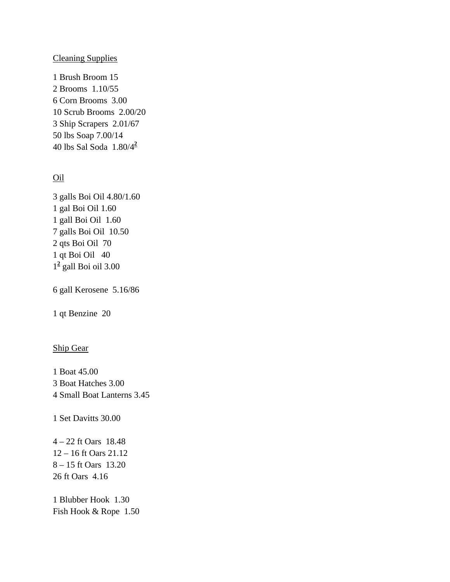# Cleaning Supplies

1 Brush Broom 15 2 Brooms 1.10/55 6 Corn Brooms 3.00 10 Scrub Brooms 2.00/20 3 Ship Scrapers 2.01/67 50 lbs Soap 7.00/14 40 lbs Sal Soda 1.80/4**<sup>2</sup>**

# Oil

3 galls Boi Oil 4.80/1.60 1 gal Boi Oil 1.60 1 gall Boi Oil 1.60 7 galls Boi Oil 10.50 2 qts Boi Oil 70 1 qt Boi Oil 40 1**<sup>2</sup>** gall Boi oil 3.00

6 gall Kerosene 5.16/86

1 qt Benzine 20

# Ship Gear

1 Boat 45.00 3 Boat Hatches 3.00 4 Small Boat Lanterns 3.45

1 Set Davitts 30.00

4 – 22 ft Oars 18.48 12 – 16 ft Oars 21.12 8 – 15 ft Oars 13.20 26 ft Oars 4.16

1 Blubber Hook 1.30 Fish Hook & Rope 1.50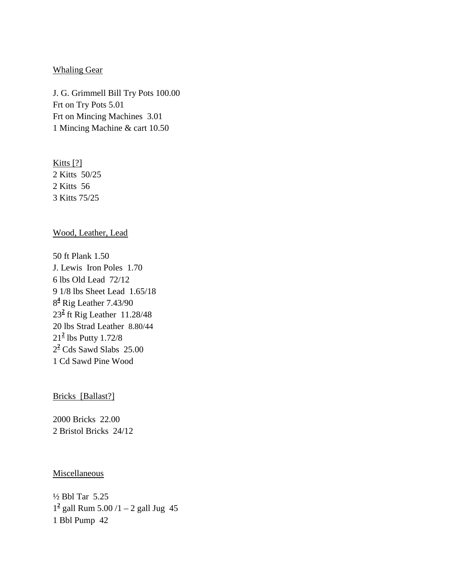## Whaling Gear

J. G. Grimmell Bill Try Pots 100.00 Frt on Try Pots 5.01 Frt on Mincing Machines 3.01 1 Mincing Machine & cart 10.50

Kitts [?] 2 Kitts 50/25 2 Kitts 56 3 Kitts 75/25

Wood, Leather, Lead

50 ft Plank 1.50 J. Lewis Iron Poles 1.70 6 lbs Old Lead 72/12 9 1/8 lbs Sheet Lead 1.65/18 8**<sup>4</sup>** Rig Leather 7.43/90 23**<sup>2</sup>** ft Rig Leather 11.28/48 20 lbs Strad Leather 8.80/44 21**<sup>2</sup>** lbs Putty 1.72/8 2**<sup>2</sup>** Cds Sawd Slabs 25.00 1 Cd Sawd Pine Wood

Bricks [Ballast?]

2000 Bricks 22.00 2 Bristol Bricks 24/12

## Miscellaneous

½ Bbl Tar 5.25  $1^2$  gall Rum 5.00  $/1 - 2$  gall Jug 45 1 Bbl Pump 42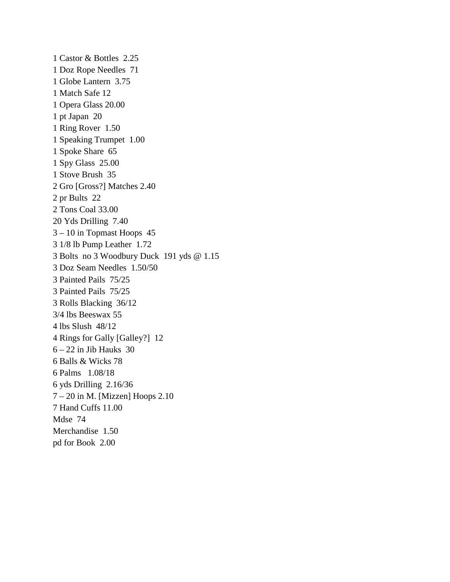1 Castor & Bottles 2.25 1 Doz Rope Needles 71 1 Globe Lantern 3.75 1 Match Safe 12 1 Opera Glass 20.00 1 pt Japan 20 1 Ring Rover 1.50 1 Speaking Trumpet 1.00 1 Spoke Share 65 1 Spy Glass 25.00 1 Stove Brush 35 2 Gro [Gross?] Matches 2.40 2 pr Bults 22 2 Tons Coal 33.00 20 Yds Drilling 7.40 3 – 10 in Topmast Hoops 45 3 1/8 lb Pump Leather 1.72 3 Bolts no 3 Woodbury Duck 191 yds @ 1.15 3 Doz Seam Needles 1.50/50 3 Painted Pails 75/25 3 Painted Pails 75/25 3 Rolls Blacking 36/12 3/4 lbs Beeswax 55 4 lbs Slush 48/12 4 Rings for Gally [Galley?] 12  $6 - 22$  in Jib Hauks 30 6 Balls & Wicks 78 6 Palms 1.08/18 6 yds Drilling 2.16/36 7 – 20 in M. [Mizzen] Hoops 2.10 7 Hand Cuffs 11.00 Mdse 74 Merchandise 1.50 pd for Book 2.00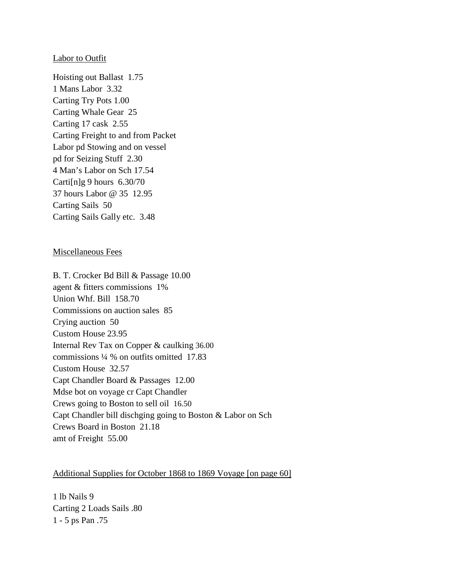### **Labor to Outfit**

Hoisting out Ballast 1.75 1 Mans Labor 3.32 Carting Try Pots 1.00 Carting Whale Gear 25 Carting 17 cask 2.55 Carting Freight to and from Packet Labor pd Stowing and on vessel pd for Seizing Stuff 2.30 4 Man's Labor on Sch 17.54 Carti $[n]$ g 9 hours 6.30/70 37 hours Labor @ 35 12.95 Carting Sails 50 Carting Sails Gally etc. 3.48

#### Miscellaneous Fees

B. T. Crocker Bd Bill & Passage 10.00 agent & fitters commissions 1% Union Whf. Bill 158.70 Commissions on auction sales 85 Crying auction 50 Custom House 23.95 Internal Rev Tax on Copper & caulking 36.00 commissions ¼ % on outfits omitted 17.83 Custom House 32.57 Capt Chandler Board & Passages 12.00 Mdse bot on voyage cr Capt Chandler Crews going to Boston to sell oil 16.50 Capt Chandler bill dischging going to Boston & Labor on Sch Crews Board in Boston 21.18 amt of Freight 55.00

## Additional Supplies for October 1868 to 1869 Voyage [on page 60]

1 lb Nails 9 Carting 2 Loads Sails .80 1 - 5 ps Pan .75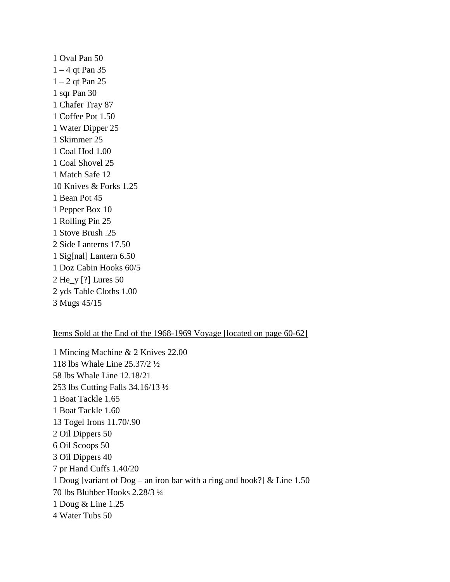1 Oval Pan 50 1 – 4 qt Pan 35 1 – 2 qt Pan 25 1 sqr Pan 30 1 Chafer Tray 87 1 Coffee Pot 1.50 1 Water Dipper 25 1 Skimmer 25 1 Coal Hod 1.00 1 Coal Shovel 25 1 Match Safe 12 10 Knives & Forks 1.25 1 Bean Pot 45 1 Pepper Box 10 1 Rolling Pin 25 1 Stove Brush .25 2 Side Lanterns 17.50 1 Sig[nal] Lantern 6.50 1 Doz Cabin Hooks 60/5 2 He\_y [?] Lures 50 2 yds Table Cloths 1.00 3 Mugs 45/15

### Items Sold at the End of the 1968-1969 Voyage [located on page 60-62]

1 Mincing Machine & 2 Knives 22.00 118 lbs Whale Line 25.37/2 ½ 58 lbs Whale Line 12.18/21 253 lbs Cutting Falls 34.16/13 ½ 1 Boat Tackle 1.65 1 Boat Tackle 1.60 13 Togel Irons 11.70/.90 2 Oil Dippers 50 6 Oil Scoops 50 3 Oil Dippers 40 7 pr Hand Cuffs 1.40/20 1 Doug [variant of Dog – an iron bar with a ring and hook?] & Line 1.50 70 lbs Blubber Hooks 2.28/3 ¼ 1 Doug & Line 1.25 4 Water Tubs 50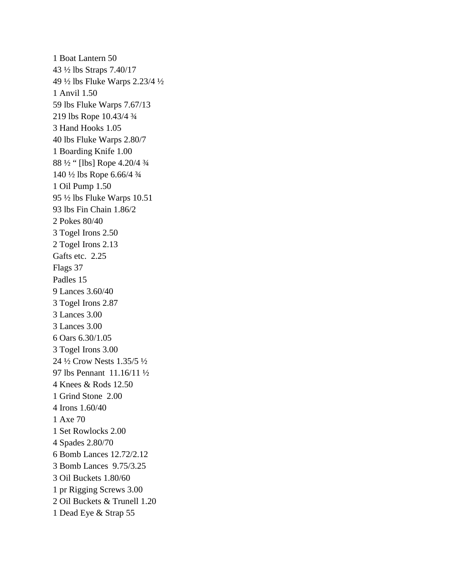1 Boat Lantern 50 43 ½ lbs Straps 7.40/17 49 ½ lbs Fluke Warps 2.23/4 ½ 1 Anvil 1.50 59 lbs Fluke Warps 7.67/13 219 lbs Rope 10.43/4 ¾ 3 Hand Hooks 1.05 40 lbs Fluke Warps 2.80/7 1 Boarding Knife 1.00 88 ½ " [lbs] Rope 4.20/4 ¾ 140 ½ lbs Rope 6.66/4 ¾ 1 Oil Pump 1.50 95 ½ lbs Fluke Warps 10.51 93 lbs Fin Chain 1.86/2 2 Pokes 80/40 3 Togel Irons 2.50 2 Togel Irons 2.13 Gafts etc. 2.25 Flags 37 Padles 15 9 Lances 3.60/40 3 Togel Irons 2.87 3 Lances 3.00 3 Lances 3.00 6 Oars 6.30/1.05 3 Togel Irons 3.00 24 ½ Crow Nests 1.35/5 ½ 97 lbs Pennant 11.16/11 ½ 4 Knees & Rods 12.50 1 Grind Stone 2.00 4 Irons 1.60/40 1 Axe 70 1 Set Rowlocks 2.00 4 Spades 2.80/70 6 Bomb Lances 12.72/2.12 3 Bomb Lances 9.75/3.25 3 Oil Buckets 1.80/60 1 pr Rigging Screws 3.00 2 Oil Buckets & Trunell 1.20 1 Dead Eye & Strap 55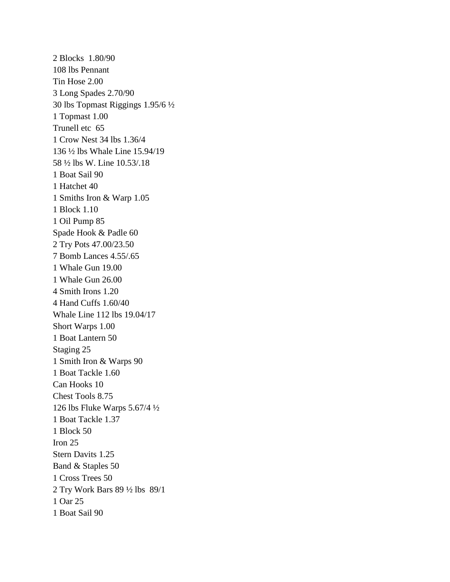2 Blocks 1.80/90 108 lbs Pennant Tin Hose 2.00 3 Long Spades 2.70/90 30 lbs Topmast Riggings 1.95/6 ½ 1 Topmast 1.00 Trunell etc 65 1 Crow Nest 34 lbs 1.36/4 136 ½ lbs Whale Line 15.94/19 58 ½ lbs W. Line 10.53/.18 1 Boat Sail 90 1 Hatchet 40 1 Smiths Iron & Warp 1.05 1 Block 1.10 1 Oil Pump 85 Spade Hook & Padle 60 2 Try Pots 47.00/23.50 7 Bomb Lances 4.55/.65 1 Whale Gun 19.00 1 Whale Gun 26.00 4 Smith Irons 1.20 4 Hand Cuffs 1.60/40 Whale Line 112 lbs 19.04/17 Short Warps 1.00 1 Boat Lantern 50 Staging 25 1 Smith Iron & Warps 90 1 Boat Tackle 1.60 Can Hooks 10 Chest Tools 8.75 126 lbs Fluke Warps 5.67/4 ½ 1 Boat Tackle 1.37 1 Block 50 Iron 25 Stern Davits 1.25 Band & Staples 50 1 Cross Trees 50 2 Try Work Bars 89 ½ lbs 89/1 1 Oar 25 1 Boat Sail 90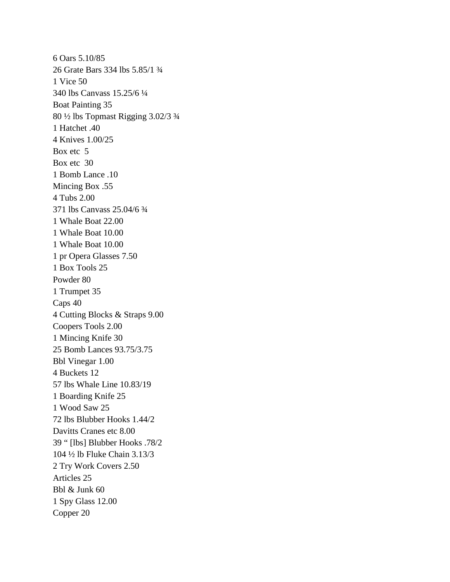6 Oars 5.10/85 26 Grate Bars 334 lbs 5.85/1 ¾ 1 Vice 50 340 lbs Canvass 15.25/6 ¼ Boat Painting 35 80 ½ lbs Topmast Rigging 3.02/3 ¾ 1 Hatchet .40 4 Knives 1.00/25 Box etc 5 Box etc 30 1 Bomb Lance .10 Mincing Box .55 4 Tubs 2.00 371 lbs Canvass 25.04/6 ¾ 1 Whale Boat 22.00 1 Whale Boat 10.00 1 Whale Boat 10.00 1 pr Opera Glasses 7.50 1 Box Tools 25 Powder 80 1 Trumpet 35 Caps 40 4 Cutting Blocks & Straps 9.00 Coopers Tools 2.00 1 Mincing Knife 30 25 Bomb Lances 93.75/3.75 Bbl Vinegar 1.00 4 Buckets 12 57 lbs Whale Line 10.83/19 1 Boarding Knife 25 1 Wood Saw 25 72 lbs Blubber Hooks 1.44/2 Davitts Cranes etc 8.00 39 " [lbs] Blubber Hooks .78/2 104 ½ lb Fluke Chain 3.13/3 2 Try Work Covers 2.50 Articles 25 Bbl & Junk 60 1 Spy Glass 12.00 Copper 20